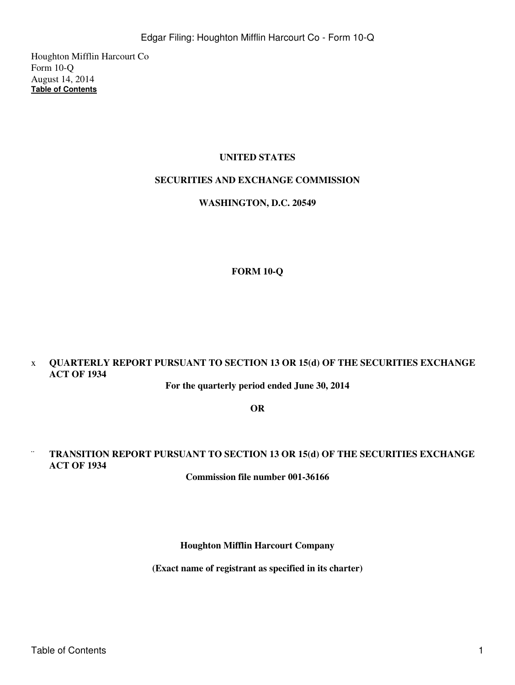Houghton Mifflin Harcourt Co Form 10-Q August 14, 2014 **[Table of Contents](#page-3-0)**

## **UNITED STATES**

## **SECURITIES AND EXCHANGE COMMISSION**

## **WASHINGTON, D.C. 20549**

# **FORM 10-Q**

# x **QUARTERLY REPORT PURSUANT TO SECTION 13 OR 15(d) OF THE SECURITIES EXCHANGE ACT OF 1934**

**For the quarterly period ended June 30, 2014**

**OR**

# ¨ **TRANSITION REPORT PURSUANT TO SECTION 13 OR 15(d) OF THE SECURITIES EXCHANGE ACT OF 1934**

**Commission file number 001-36166**

**Houghton Mifflin Harcourt Company**

**(Exact name of registrant as specified in its charter)**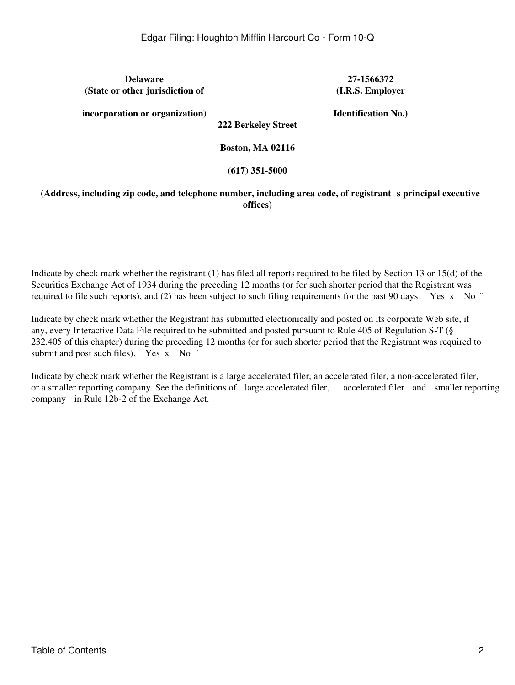**Delaware 27-1566372 (State or other jurisdiction of**

**(I.R.S. Employer**

**incorporation or organization)**

**Identification No.)**

**222 Berkeley Street**

**Boston, MA 02116**

## **(617) 351-5000**

## **(Address, including zip code, and telephone number, including area code, of registrants principal executive offices)**

Indicate by check mark whether the registrant (1) has filed all reports required to be filed by Section 13 or 15(d) of the Securities Exchange Act of 1934 during the preceding 12 months (or for such shorter period that the Registrant was required to file such reports), and (2) has been subject to such filing requirements for the past 90 days. Yes x No  $\degree$ 

Indicate by check mark whether the Registrant has submitted electronically and posted on its corporate Web site, if any, every Interactive Data File required to be submitted and posted pursuant to Rule 405 of Regulation S-T (§ 232.405 of this chapter) during the preceding 12 months (or for such shorter period that the Registrant was required to submit and post such files). Yes x No "

Indicate by check mark whether the Registrant is a large accelerated filer, an accelerated filer, a non-accelerated filer, or a smaller reporting company. See the definitions of large accelerated filer, accelerated filer and smaller reporting company in Rule 12b-2 of the Exchange Act.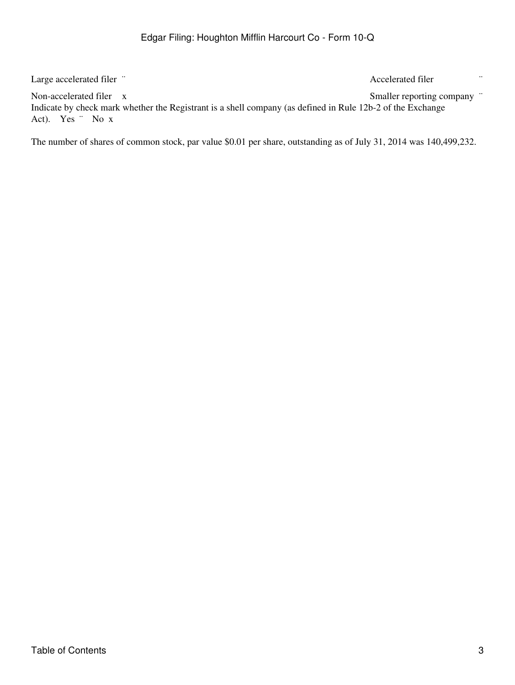Large accelerated filer ¨ and in the set of the set of the set of the set of the set of the set of the set of the set of the set of the set of the set of the set of the set of the set of the set of the set of the set of th

Non-accelerated filer x Smaller reporting company " Indicate by check mark whether the Registrant is a shell company (as defined in Rule 12b-2 of the Exchange Act). Yes ¨ No x

The number of shares of common stock, par value \$0.01 per share, outstanding as of July 31, 2014 was 140,499,232.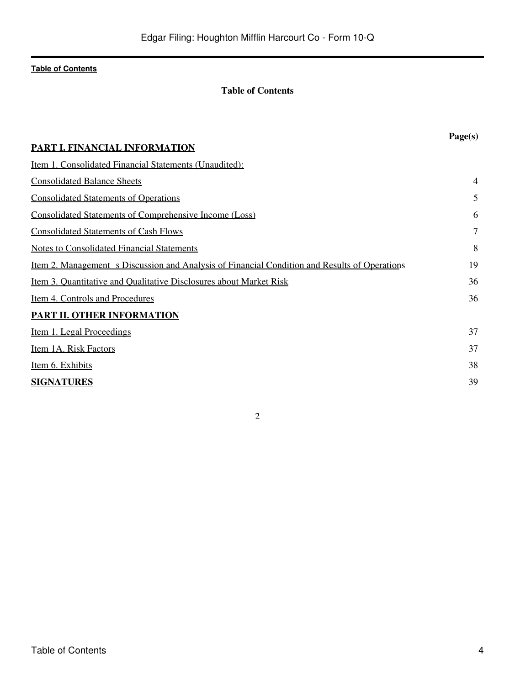## **Table of Contents**

<span id="page-3-0"></span>

|                                                                                                      | Page(s)        |
|------------------------------------------------------------------------------------------------------|----------------|
| PART I. FINANCIAL INFORMATION                                                                        |                |
| <u>Item 1. Consolidated Financial Statements (Unaudited):</u>                                        |                |
| <b>Consolidated Balance Sheets</b>                                                                   | 4              |
| <b>Consolidated Statements of Operations</b>                                                         | 5              |
| <b>Consolidated Statements of Comprehensive Income (Loss)</b>                                        | 6              |
| <b>Consolidated Statements of Cash Flows</b>                                                         | $\overline{7}$ |
| <b>Notes to Consolidated Financial Statements</b>                                                    | 8              |
| <u>Item 2. Management s Discussion and Analysis of Financial Condition and Results of Operations</u> | 19             |
| <u>Item 3. Quantitative and Qualitative Disclosures about Market Risk</u>                            | 36             |
| Item 4. Controls and Procedures                                                                      | 36             |
| PART II. OTHER INFORMATION                                                                           |                |
| <u>Item 1. Legal Proceedings</u>                                                                     | 37             |
| Item 1A. Risk Factors                                                                                | 37             |
| Item 6. Exhibits                                                                                     | 38             |
| <b>SIGNATURES</b>                                                                                    | 39             |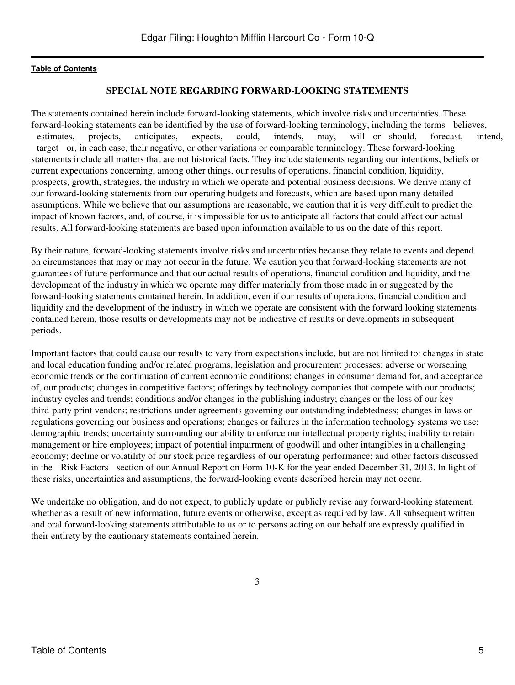#### **SPECIAL NOTE REGARDING FORWARD-LOOKING STATEMENTS**

The statements contained herein include forward-looking statements, which involve risks and uncertainties. These forward-looking statements can be identified by the use of forward-looking terminology, including the terms believes, estimates, projects, anticipates, expects, could, intends, may, will or should, forecast, intend, target or, in each case, their negative, or other variations or comparable terminology. These forward-looking statements include all matters that are not historical facts. They include statements regarding our intentions, beliefs or current expectations concerning, among other things, our results of operations, financial condition, liquidity, prospects, growth, strategies, the industry in which we operate and potential business decisions. We derive many of our forward-looking statements from our operating budgets and forecasts, which are based upon many detailed assumptions. While we believe that our assumptions are reasonable, we caution that it is very difficult to predict the impact of known factors, and, of course, it is impossible for us to anticipate all factors that could affect our actual results. All forward-looking statements are based upon information available to us on the date of this report.

By their nature, forward-looking statements involve risks and uncertainties because they relate to events and depend on circumstances that may or may not occur in the future. We caution you that forward-looking statements are not guarantees of future performance and that our actual results of operations, financial condition and liquidity, and the development of the industry in which we operate may differ materially from those made in or suggested by the forward-looking statements contained herein. In addition, even if our results of operations, financial condition and liquidity and the development of the industry in which we operate are consistent with the forward looking statements contained herein, those results or developments may not be indicative of results or developments in subsequent periods.

Important factors that could cause our results to vary from expectations include, but are not limited to: changes in state and local education funding and/or related programs, legislation and procurement processes; adverse or worsening economic trends or the continuation of current economic conditions; changes in consumer demand for, and acceptance of, our products; changes in competitive factors; offerings by technology companies that compete with our products; industry cycles and trends; conditions and/or changes in the publishing industry; changes or the loss of our key third-party print vendors; restrictions under agreements governing our outstanding indebtedness; changes in laws or regulations governing our business and operations; changes or failures in the information technology systems we use; demographic trends; uncertainty surrounding our ability to enforce our intellectual property rights; inability to retain management or hire employees; impact of potential impairment of goodwill and other intangibles in a challenging economy; decline or volatility of our stock price regardless of our operating performance; and other factors discussed in the Risk Factors section of our Annual Report on Form 10-K for the year ended December 31, 2013. In light of these risks, uncertainties and assumptions, the forward-looking events described herein may not occur.

We undertake no obligation, and do not expect, to publicly update or publicly revise any forward-looking statement, whether as a result of new information, future events or otherwise, except as required by law. All subsequent written and oral forward-looking statements attributable to us or to persons acting on our behalf are expressly qualified in their entirety by the cautionary statements contained herein.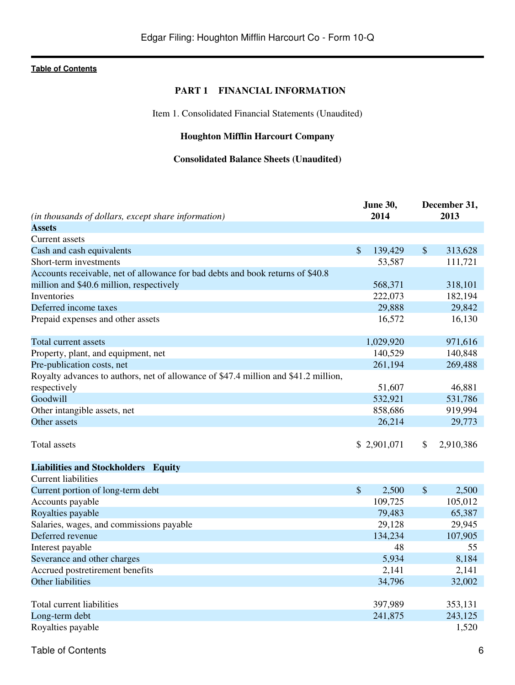## **PART 1 FINANCIAL INFORMATION**

Item 1. Consolidated Financial Statements (Unaudited)

# **Houghton Mifflin Harcourt Company**

# **Consolidated Balance Sheets (Unaudited)**

<span id="page-5-2"></span><span id="page-5-1"></span><span id="page-5-0"></span>

|                                                                                     |                           | June 30,    |               | December 31, |  |
|-------------------------------------------------------------------------------------|---------------------------|-------------|---------------|--------------|--|
| (in thousands of dollars, except share information)                                 |                           | 2014        |               | 2013         |  |
| <b>Assets</b>                                                                       |                           |             |               |              |  |
| Current assets                                                                      |                           |             |               |              |  |
| Cash and cash equivalents                                                           | $\mathcal{S}$             | 139,429     | $\mathcal{S}$ | 313,628      |  |
| Short-term investments                                                              |                           | 53,587      |               | 111,721      |  |
| Accounts receivable, net of allowance for bad debts and book returns of \$40.8      |                           |             |               |              |  |
| million and \$40.6 million, respectively                                            |                           | 568,371     |               | 318,101      |  |
| Inventories                                                                         |                           | 222,073     |               | 182,194      |  |
| Deferred income taxes                                                               |                           | 29,888      |               | 29,842       |  |
| Prepaid expenses and other assets                                                   |                           | 16,572      |               | 16,130       |  |
| Total current assets                                                                |                           | 1,029,920   |               | 971,616      |  |
| Property, plant, and equipment, net                                                 |                           | 140,529     |               | 140,848      |  |
| Pre-publication costs, net                                                          |                           | 261,194     |               | 269,488      |  |
| Royalty advances to authors, net of allowance of \$47.4 million and \$41.2 million, |                           |             |               |              |  |
|                                                                                     |                           |             |               |              |  |
| respectively                                                                        |                           | 51,607      |               | 46,881       |  |
| Goodwill                                                                            |                           | 532,921     |               | 531,786      |  |
| Other intangible assets, net                                                        |                           | 858,686     |               | 919,994      |  |
| Other assets                                                                        |                           | 26,214      |               | 29,773       |  |
| Total assets                                                                        |                           | \$2,901,071 | \$            | 2,910,386    |  |
| <b>Liabilities and Stockholders Equity</b>                                          |                           |             |               |              |  |
| <b>Current liabilities</b>                                                          |                           |             |               |              |  |
| Current portion of long-term debt                                                   | $\boldsymbol{\mathsf{S}}$ | 2,500       | \$            | 2,500        |  |
| Accounts payable                                                                    |                           | 109,725     |               | 105,012      |  |
| Royalties payable                                                                   |                           | 79,483      |               | 65,387       |  |
| Salaries, wages, and commissions payable                                            |                           | 29,128      |               | 29,945       |  |
| Deferred revenue                                                                    |                           | 134,234     |               | 107,905      |  |
| Interest payable                                                                    |                           | 48          |               | 55           |  |
| Severance and other charges                                                         |                           | 5,934       |               | 8,184        |  |
| Accrued postretirement benefits                                                     |                           | 2,141       |               | 2,141        |  |
| Other liabilities                                                                   |                           | 34,796      |               | 32,002       |  |
|                                                                                     |                           |             |               |              |  |
| Total current liabilities                                                           |                           | 397,989     |               | 353,131      |  |
| Long-term debt                                                                      |                           | 241,875     |               | 243,125      |  |
| Royalties payable                                                                   |                           |             |               | 1,520        |  |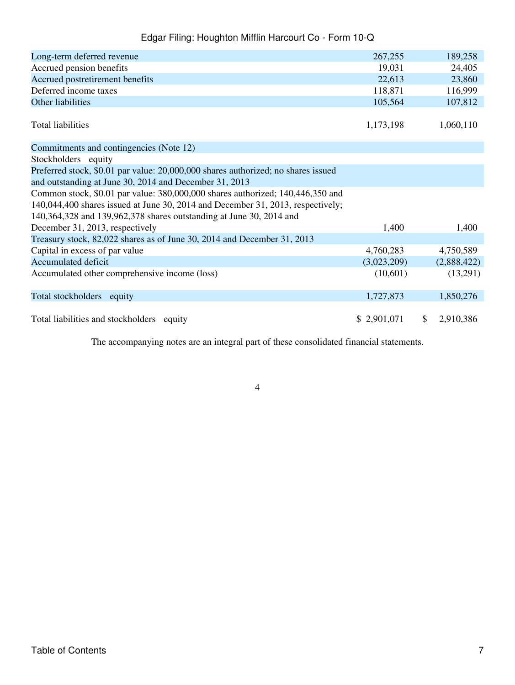| Long-term deferred revenue                                                        | 267,255     |              | 189,258     |
|-----------------------------------------------------------------------------------|-------------|--------------|-------------|
| Accrued pension benefits                                                          | 19,031      |              | 24,405      |
| Accrued postretirement benefits                                                   | 22,613      |              | 23,860      |
| Deferred income taxes                                                             | 118,871     |              | 116,999     |
| Other liabilities                                                                 | 105,564     |              | 107,812     |
| <b>Total liabilities</b>                                                          | 1,173,198   |              | 1,060,110   |
| Commitments and contingencies (Note 12)                                           |             |              |             |
| Stockholders equity                                                               |             |              |             |
| Preferred stock, \$0.01 par value: 20,000,000 shares authorized; no shares issued |             |              |             |
| and outstanding at June 30, 2014 and December 31, 2013                            |             |              |             |
| Common stock, \$0.01 par value: 380,000,000 shares authorized; 140,446,350 and    |             |              |             |
| 140,044,400 shares issued at June 30, 2014 and December 31, 2013, respectively;   |             |              |             |
| 140,364,328 and 139,962,378 shares outstanding at June 30, 2014 and               |             |              |             |
| December 31, 2013, respectively                                                   | 1,400       |              | 1,400       |
| Treasury stock, 82,022 shares as of June 30, 2014 and December 31, 2013           |             |              |             |
| Capital in excess of par value                                                    | 4,760,283   |              | 4,750,589   |
| <b>Accumulated deficit</b>                                                        | (3,023,209) |              | (2,888,422) |
| Accumulated other comprehensive income (loss)                                     | (10,601)    |              | (13,291)    |
| Total stockholders equity                                                         | 1,727,873   |              | 1,850,276   |
| Total liabilities and stockholders equity                                         | \$2,901,071 | $\mathbb{S}$ | 2,910,386   |

The accompanying notes are an integral part of these consolidated financial statements.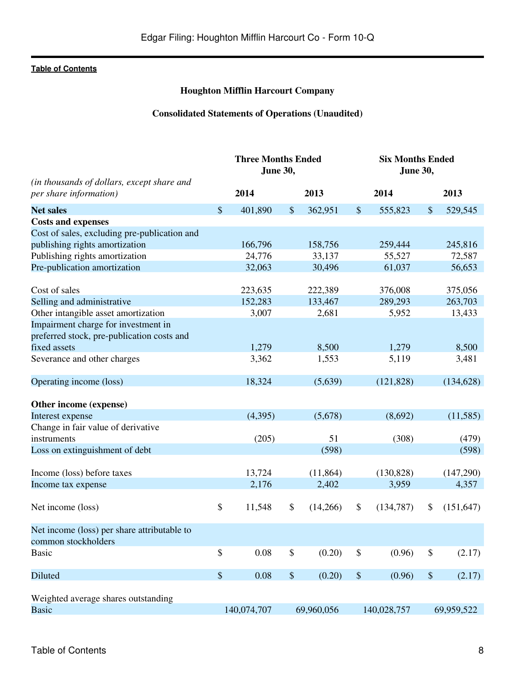# **Houghton Mifflin Harcourt Company**

# **Consolidated Statements of Operations (Unaudited)**

<span id="page-7-0"></span>

|                                                                      |      | <b>Three Months Ended</b><br><b>June 30,</b> |        |            | <b>Six Months Ended</b><br><b>June 30,</b> |             |      |            |
|----------------------------------------------------------------------|------|----------------------------------------------|--------|------------|--------------------------------------------|-------------|------|------------|
| (in thousands of dollars, except share and<br>per share information) |      | 2014                                         |        | 2013       |                                            | 2014        |      | 2013       |
| <b>Net sales</b>                                                     | \$   | 401,890                                      | $\$\$  | 362,951    | \$                                         | 555,823     | \$   | 529,545    |
| <b>Costs and expenses</b>                                            |      |                                              |        |            |                                            |             |      |            |
| Cost of sales, excluding pre-publication and                         |      |                                              |        |            |                                            |             |      |            |
| publishing rights amortization                                       |      | 166,796                                      |        | 158,756    |                                            | 259,444     |      | 245,816    |
| Publishing rights amortization                                       |      | 24,776                                       |        | 33,137     |                                            | 55,527      |      | 72,587     |
| Pre-publication amortization                                         |      | 32,063                                       |        | 30,496     |                                            | 61,037      |      | 56,653     |
|                                                                      |      |                                              |        |            |                                            |             |      |            |
| Cost of sales                                                        |      | 223,635                                      |        | 222,389    |                                            | 376,008     |      | 375,056    |
| Selling and administrative                                           |      | 152,283                                      |        | 133,467    |                                            | 289,293     |      | 263,703    |
| Other intangible asset amortization                                  |      | 3,007                                        |        | 2,681      |                                            | 5,952       |      | 13,433     |
| Impairment charge for investment in                                  |      |                                              |        |            |                                            |             |      |            |
| preferred stock, pre-publication costs and                           |      |                                              |        |            |                                            |             |      |            |
| fixed assets                                                         |      | 1,279                                        |        | 8,500      |                                            | 1,279       |      | 8,500      |
| Severance and other charges                                          |      | 3,362                                        |        | 1,553      |                                            | 5,119       |      | 3,481      |
|                                                                      |      |                                              |        |            |                                            |             |      |            |
| Operating income (loss)                                              |      | 18,324                                       |        | (5,639)    |                                            | (121, 828)  |      | (134, 628) |
|                                                                      |      |                                              |        |            |                                            |             |      |            |
| Other income (expense)                                               |      |                                              |        |            |                                            |             |      |            |
| Interest expense                                                     |      | (4,395)                                      |        | (5,678)    |                                            | (8,692)     |      | (11,585)   |
| Change in fair value of derivative                                   |      |                                              |        |            |                                            |             |      |            |
| instruments                                                          |      | (205)                                        |        | 51         |                                            | (308)       |      | (479)      |
| Loss on extinguishment of debt                                       |      |                                              |        | (598)      |                                            |             |      | (598)      |
|                                                                      |      |                                              |        |            |                                            |             |      |            |
| Income (loss) before taxes                                           |      | 13,724                                       |        | (11, 864)  |                                            | (130, 828)  |      | (147,290)  |
| Income tax expense                                                   |      | 2,176                                        |        | 2,402      |                                            | 3,959       |      | 4,357      |
|                                                                      |      |                                              |        |            |                                            |             |      |            |
| Net income (loss)                                                    | \$   | 11,548                                       | \$     | (14,266)   | \$                                         | (134, 787)  | \$   | (151, 647) |
| Net income (loss) per share attributable to                          |      |                                              |        |            |                                            |             |      |            |
| common stockholders                                                  |      |                                              |        |            |                                            |             |      |            |
| <b>Basic</b>                                                         | \$   | 0.08                                         | \$     | (0.20)     | \$                                         | (0.96)      | \$   | (2.17)     |
|                                                                      |      |                                              |        |            |                                            |             |      |            |
| Diluted                                                              | $\$$ | 0.08                                         | $\$\,$ | (0.20)     | $\$$                                       | (0.96)      | $\,$ | (2.17)     |
| Weighted average shares outstanding                                  |      |                                              |        |            |                                            |             |      |            |
| <b>Basic</b>                                                         |      | 140,074,707                                  |        | 69,960,056 |                                            | 140,028,757 |      | 69,959,522 |
|                                                                      |      |                                              |        |            |                                            |             |      |            |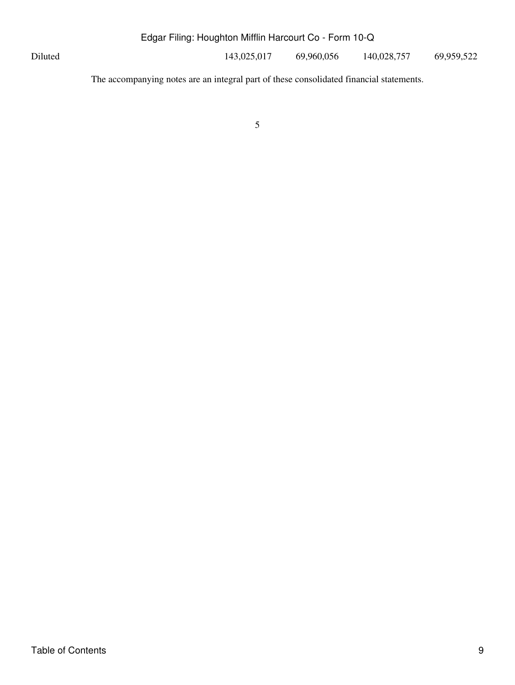Diluted 143,025,017 69,960,056 140,028,757 69,959,522

The accompanying notes are an integral part of these consolidated financial statements.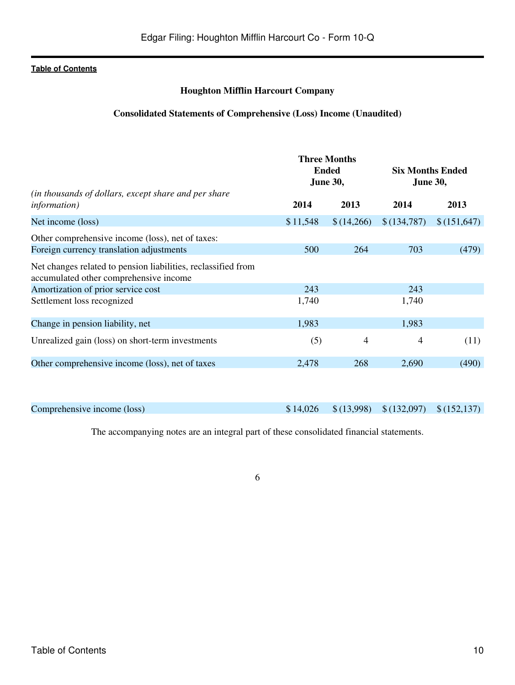## **Houghton Mifflin Harcourt Company**

### **Consolidated Statements of Comprehensive (Loss) Income (Unaudited)**

<span id="page-9-0"></span>

|                                                                                                         |          | <b>Three Months</b><br><b>Ended</b><br><b>June 30,</b> | <b>Six Months Ended</b><br><b>June 30,</b> |             |  |
|---------------------------------------------------------------------------------------------------------|----------|--------------------------------------------------------|--------------------------------------------|-------------|--|
| (in thousands of dollars, except share and per share<br><i>information</i> )                            | 2014     | 2013                                                   | 2014                                       | 2013        |  |
| Net income (loss)                                                                                       | \$11,548 | \$(14,266)                                             | \$(134,787)                                | \$(151,647) |  |
| Other comprehensive income (loss), net of taxes:                                                        |          |                                                        |                                            |             |  |
| Foreign currency translation adjustments                                                                | 500      | 264                                                    | 703                                        | (479)       |  |
| Net changes related to pension liabilities, reclassified from<br>accumulated other comprehensive income |          |                                                        |                                            |             |  |
| Amortization of prior service cost                                                                      | 243      |                                                        | 243                                        |             |  |
| Settlement loss recognized                                                                              | 1,740    |                                                        | 1,740                                      |             |  |
| Change in pension liability, net                                                                        | 1,983    |                                                        | 1,983                                      |             |  |
| Unrealized gain (loss) on short-term investments                                                        | (5)      | 4                                                      | $\overline{4}$                             | (11)        |  |
| Other comprehensive income (loss), net of taxes                                                         | 2,478    | 268                                                    | 2,690                                      | (490)       |  |
|                                                                                                         |          |                                                        |                                            |             |  |

Comprehensive income (loss) \$14,026 \$14,026 \$(13,998) \$(132,097) \$(152,137)

The accompanying notes are an integral part of these consolidated financial statements.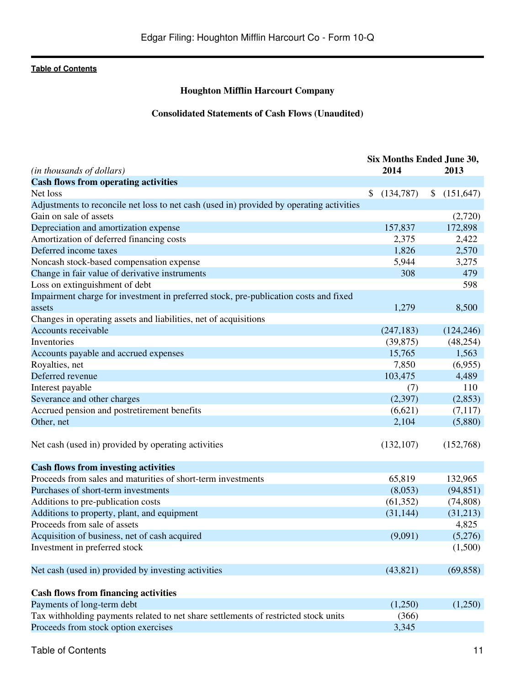# **Houghton Mifflin Harcourt Company**

# **Consolidated Statements of Cash Flows (Unaudited)**

<span id="page-10-0"></span>

|                                                                                          | Six Months Ended June 30, |                  |
|------------------------------------------------------------------------------------------|---------------------------|------------------|
| (in thousands of dollars)                                                                | 2014                      | 2013             |
| <b>Cash flows from operating activities</b>                                              |                           |                  |
| Net loss                                                                                 | \$<br>(134,787)           | (151, 647)<br>\$ |
| Adjustments to reconcile net loss to net cash (used in) provided by operating activities |                           |                  |
| Gain on sale of assets                                                                   |                           | (2,720)          |
| Depreciation and amortization expense                                                    | 157,837                   | 172,898          |
| Amortization of deferred financing costs                                                 | 2,375                     | 2,422            |
| Deferred income taxes                                                                    | 1,826                     | 2,570            |
| Noncash stock-based compensation expense                                                 | 5,944                     | 3,275            |
| Change in fair value of derivative instruments                                           | 308                       | 479              |
| Loss on extinguishment of debt                                                           |                           | 598              |
| Impairment charge for investment in preferred stock, pre-publication costs and fixed     |                           |                  |
| assets                                                                                   | 1,279                     | 8,500            |
| Changes in operating assets and liabilities, net of acquisitions                         |                           |                  |
| Accounts receivable                                                                      | (247, 183)                | (124, 246)       |
| Inventories                                                                              | (39, 875)                 | (48,254)         |
| Accounts payable and accrued expenses                                                    | 15,765                    | 1,563            |
| Royalties, net                                                                           | 7,850                     | (6,955)          |
| Deferred revenue                                                                         | 103,475                   | 4,489            |
| Interest payable                                                                         | (7)                       | 110              |
| Severance and other charges                                                              | (2,397)                   | (2,853)          |
| Accrued pension and postretirement benefits                                              | (6,621)                   | (7,117)          |
| Other, net                                                                               | 2,104                     | (5,880)          |
|                                                                                          |                           |                  |
| Net cash (used in) provided by operating activities                                      | (132, 107)                | (152,768)        |
| <b>Cash flows from investing activities</b>                                              |                           |                  |
| Proceeds from sales and maturities of short-term investments                             | 65,819                    | 132,965          |
| Purchases of short-term investments                                                      | (8,053)                   | (94, 851)        |
| Additions to pre-publication costs                                                       | (61, 352)                 | (74, 808)        |
| Additions to property, plant, and equipment                                              | (31, 144)                 | (31,213)         |
| Proceeds from sale of assets                                                             |                           | 4,825            |
| Acquisition of business, net of cash acquired                                            | (9,091)                   | (5,276)          |
| Investment in preferred stock                                                            |                           | (1,500)          |
|                                                                                          |                           |                  |
| Net cash (used in) provided by investing activities                                      | (43, 821)                 | (69, 858)        |
|                                                                                          |                           |                  |
| <b>Cash flows from financing activities</b>                                              |                           |                  |
| Payments of long-term debt                                                               | (1,250)                   | (1,250)          |
| Tax withholding payments related to net share settlements of restricted stock units      | (366)                     |                  |
| Proceeds from stock option exercises                                                     | 3,345                     |                  |
|                                                                                          |                           |                  |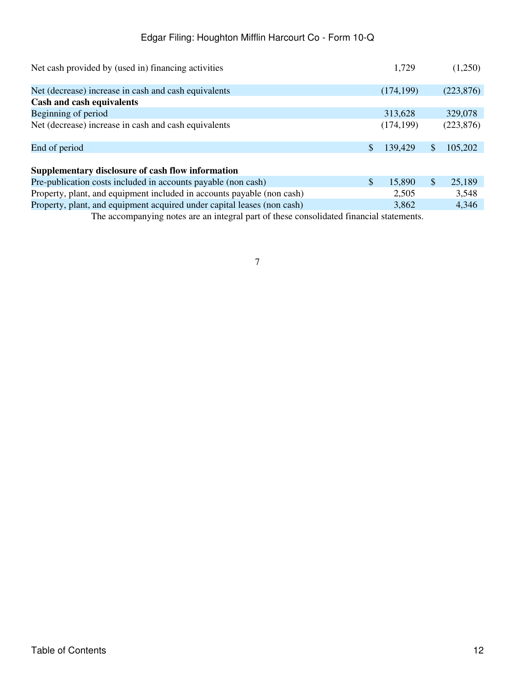| Net cash provided by (used in) financing activities                     |              | 1,729      |               | (1,250)    |
|-------------------------------------------------------------------------|--------------|------------|---------------|------------|
| Net (decrease) increase in cash and cash equivalents                    |              | (174, 199) |               | (223, 876) |
| Cash and cash equivalents                                               |              |            |               |            |
| Beginning of period                                                     |              | 313,628    |               | 329,078    |
| Net (decrease) increase in cash and cash equivalents                    |              | (174, 199) |               | (223, 876) |
| End of period                                                           |              | 139,429    | \$.           | 105,202    |
| Supplementary disclosure of cash flow information                       |              |            |               |            |
| Pre-publication costs included in accounts payable (non cash)           | $\mathbb{S}$ | 15,890     | $\mathcal{S}$ | 25,189     |
| Property, plant, and equipment included in accounts payable (non cash)  |              | 2,505      |               | 3,548      |
| Property, plant, and equipment acquired under capital leases (non cash) |              | 3,862      |               | 4,346      |

The accompanying notes are an integral part of these consolidated financial statements.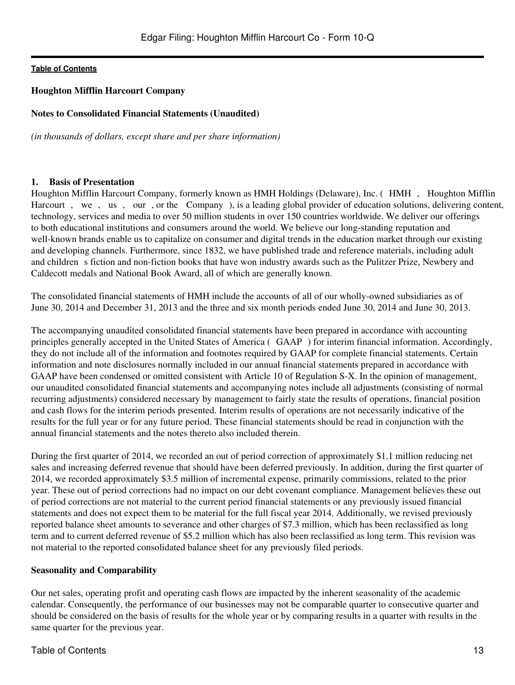## <span id="page-12-0"></span>**Houghton Mifflin Harcourt Company**

## **Notes to Consolidated Financial Statements (Unaudited)**

*(in thousands of dollars, except share and per share information)*

## **1. Basis of Presentation**

Houghton Mifflin Harcourt Company, formerly known as HMH Holdings (Delaware), Inc. (HMH, Houghton Mifflin Harcourt, we, us, our, or the Company), is a leading global provider of education solutions, delivering content, technology, services and media to over 50 million students in over 150 countries worldwide. We deliver our offerings to both educational institutions and consumers around the world. We believe our long-standing reputation and well-known brands enable us to capitalize on consumer and digital trends in the education market through our existing and developing channels. Furthermore, since 1832, we have published trade and reference materials, including adult and children s fiction and non-fiction books that have won industry awards such as the Pulitzer Prize, Newbery and Caldecott medals and National Book Award, all of which are generally known.

The consolidated financial statements of HMH include the accounts of all of our wholly-owned subsidiaries as of June 30, 2014 and December 31, 2013 and the three and six month periods ended June 30, 2014 and June 30, 2013.

The accompanying unaudited consolidated financial statements have been prepared in accordance with accounting principles generally accepted in the United States of America (GAAP) for interim financial information. Accordingly, they do not include all of the information and footnotes required by GAAP for complete financial statements. Certain information and note disclosures normally included in our annual financial statements prepared in accordance with GAAP have been condensed or omitted consistent with Article 10 of Regulation S-X. In the opinion of management, our unaudited consolidated financial statements and accompanying notes include all adjustments (consisting of normal recurring adjustments) considered necessary by management to fairly state the results of operations, financial position and cash flows for the interim periods presented. Interim results of operations are not necessarily indicative of the results for the full year or for any future period. These financial statements should be read in conjunction with the annual financial statements and the notes thereto also included therein.

During the first quarter of 2014, we recorded an out of period correction of approximately \$1.1 million reducing net sales and increasing deferred revenue that should have been deferred previously. In addition, during the first quarter of 2014, we recorded approximately \$3.5 million of incremental expense, primarily commissions, related to the prior year. These out of period corrections had no impact on our debt covenant compliance. Management believes these out of period corrections are not material to the current period financial statements or any previously issued financial statements and does not expect them to be material for the full fiscal year 2014. Additionally, we revised previously reported balance sheet amounts to severance and other charges of \$7.3 million, which has been reclassified as long term and to current deferred revenue of \$5.2 million which has also been reclassified as long term. This revision was not material to the reported consolidated balance sheet for any previously filed periods.

## **Seasonality and Comparability**

Our net sales, operating profit and operating cash flows are impacted by the inherent seasonality of the academic calendar. Consequently, the performance of our businesses may not be comparable quarter to consecutive quarter and should be considered on the basis of results for the whole year or by comparing results in a quarter with results in the same quarter for the previous year.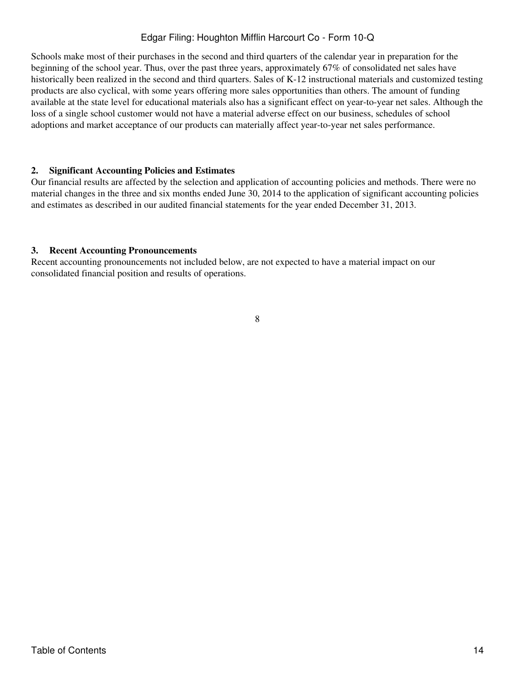Schools make most of their purchases in the second and third quarters of the calendar year in preparation for the beginning of the school year. Thus, over the past three years, approximately 67% of consolidated net sales have historically been realized in the second and third quarters. Sales of K-12 instructional materials and customized testing products are also cyclical, with some years offering more sales opportunities than others. The amount of funding available at the state level for educational materials also has a significant effect on year-to-year net sales. Although the loss of a single school customer would not have a material adverse effect on our business, schedules of school adoptions and market acceptance of our products can materially affect year-to-year net sales performance.

## **2. Significant Accounting Policies and Estimates**

Our financial results are affected by the selection and application of accounting policies and methods. There were no material changes in the three and six months ended June 30, 2014 to the application of significant accounting policies and estimates as described in our audited financial statements for the year ended December 31, 2013.

## **3. Recent Accounting Pronouncements**

Recent accounting pronouncements not included below, are not expected to have a material impact on our consolidated financial position and results of operations.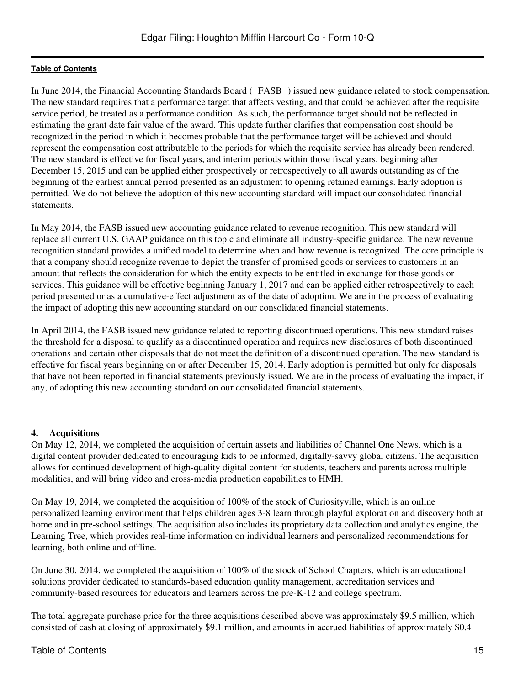In June 2014, the Financial Accounting Standards Board (FASB) issued new guidance related to stock compensation. The new standard requires that a performance target that affects vesting, and that could be achieved after the requisite service period, be treated as a performance condition. As such, the performance target should not be reflected in estimating the grant date fair value of the award. This update further clarifies that compensation cost should be recognized in the period in which it becomes probable that the performance target will be achieved and should represent the compensation cost attributable to the periods for which the requisite service has already been rendered. The new standard is effective for fiscal years, and interim periods within those fiscal years, beginning after December 15, 2015 and can be applied either prospectively or retrospectively to all awards outstanding as of the beginning of the earliest annual period presented as an adjustment to opening retained earnings. Early adoption is permitted. We do not believe the adoption of this new accounting standard will impact our consolidated financial statements.

In May 2014, the FASB issued new accounting guidance related to revenue recognition. This new standard will replace all current U.S. GAAP guidance on this topic and eliminate all industry-specific guidance. The new revenue recognition standard provides a unified model to determine when and how revenue is recognized. The core principle is that a company should recognize revenue to depict the transfer of promised goods or services to customers in an amount that reflects the consideration for which the entity expects to be entitled in exchange for those goods or services. This guidance will be effective beginning January 1, 2017 and can be applied either retrospectively to each period presented or as a cumulative-effect adjustment as of the date of adoption. We are in the process of evaluating the impact of adopting this new accounting standard on our consolidated financial statements.

In April 2014, the FASB issued new guidance related to reporting discontinued operations. This new standard raises the threshold for a disposal to qualify as a discontinued operation and requires new disclosures of both discontinued operations and certain other disposals that do not meet the definition of a discontinued operation. The new standard is effective for fiscal years beginning on or after December 15, 2014. Early adoption is permitted but only for disposals that have not been reported in financial statements previously issued. We are in the process of evaluating the impact, if any, of adopting this new accounting standard on our consolidated financial statements.

## **4. Acquisitions**

On May 12, 2014, we completed the acquisition of certain assets and liabilities of Channel One News, which is a digital content provider dedicated to encouraging kids to be informed, digitally-savvy global citizens. The acquisition allows for continued development of high-quality digital content for students, teachers and parents across multiple modalities, and will bring video and cross-media production capabilities to HMH.

On May 19, 2014, we completed the acquisition of 100% of the stock of Curiosityville, which is an online personalized learning environment that helps children ages 3-8 learn through playful exploration and discovery both at home and in pre-school settings. The acquisition also includes its proprietary data collection and analytics engine, the Learning Tree, which provides real-time information on individual learners and personalized recommendations for learning, both online and offline.

On June 30, 2014, we completed the acquisition of 100% of the stock of School Chapters, which is an educational solutions provider dedicated to standards-based education quality management, accreditation services and community-based resources for educators and learners across the pre-K-12 and college spectrum.

The total aggregate purchase price for the three acquisitions described above was approximately \$9.5 million, which consisted of cash at closing of approximately \$9.1 million, and amounts in accrued liabilities of approximately \$0.4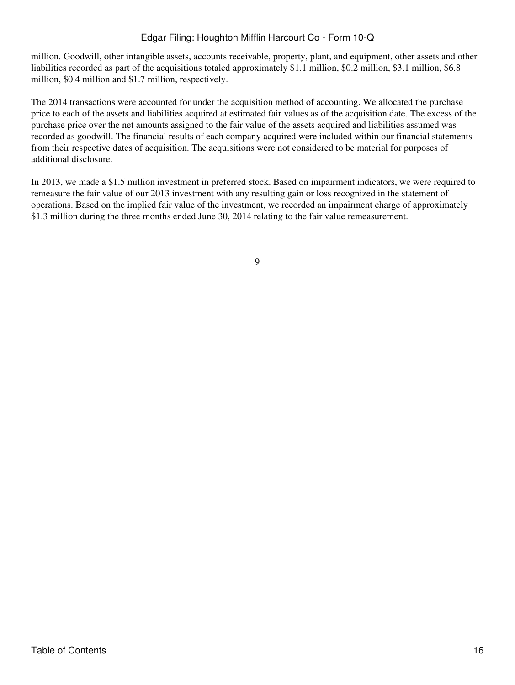million. Goodwill, other intangible assets, accounts receivable, property, plant, and equipment, other assets and other liabilities recorded as part of the acquisitions totaled approximately \$1.1 million, \$0.2 million, \$3.1 million, \$6.8 million, \$0.4 million and \$1.7 million, respectively.

The 2014 transactions were accounted for under the acquisition method of accounting. We allocated the purchase price to each of the assets and liabilities acquired at estimated fair values as of the acquisition date. The excess of the purchase price over the net amounts assigned to the fair value of the assets acquired and liabilities assumed was recorded as goodwill. The financial results of each company acquired were included within our financial statements from their respective dates of acquisition. The acquisitions were not considered to be material for purposes of additional disclosure.

In 2013, we made a \$1.5 million investment in preferred stock. Based on impairment indicators, we were required to remeasure the fair value of our 2013 investment with any resulting gain or loss recognized in the statement of operations. Based on the implied fair value of the investment, we recorded an impairment charge of approximately \$1.3 million during the three months ended June 30, 2014 relating to the fair value remeasurement.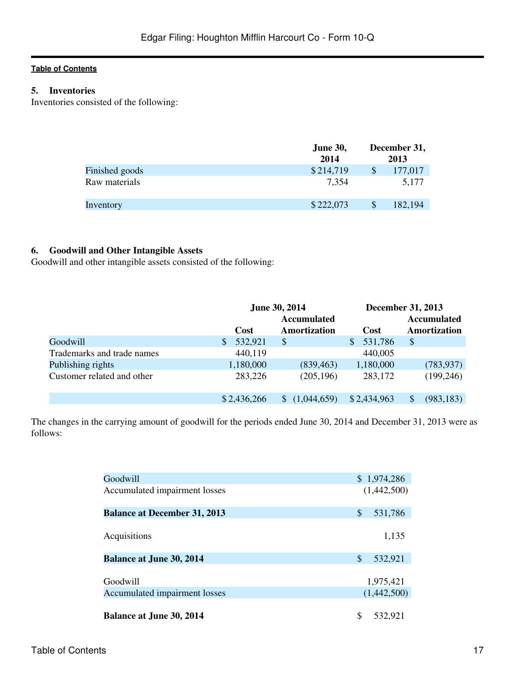# **5. Inventories**

Inventories consisted of the following:

|                | <b>June 30,</b> |   | December 31, |
|----------------|-----------------|---|--------------|
|                | 2014            |   | 2013         |
| Finished goods | \$214,719       | S | 177,017      |
| Raw materials  | 7,354           |   | 5.177        |
| Inventory      | \$222,073       |   | 182,194      |

# **6. Goodwill and Other Intangible Assets**

Goodwill and other intangible assets consisted of the following:

|                            | <b>June 30, 2014</b> |                    |               | <b>December 31, 2013</b> |  |
|----------------------------|----------------------|--------------------|---------------|--------------------------|--|
|                            |                      | <b>Accumulated</b> |               | <b>Accumulated</b>       |  |
|                            | <b>Cost</b>          | Amortization       | <b>Cost</b>   | Amortization             |  |
| Goodwill                   | 532,921<br>S         | \$                 | 531,786<br>\$ | \$                       |  |
| Trademarks and trade names | 440,119              |                    | 440,005       |                          |  |
| Publishing rights          | 1,180,000            | (839, 463)         | 1,180,000     | (783, 937)               |  |
| Customer related and other | 283,226              | (205, 196)         | 283,172       | (199, 246)               |  |
|                            | \$2,436,266          | (1,044,659)        | \$2,434,963   | (983, 183)               |  |

The changes in the carrying amount of goodwill for the periods ended June 30, 2014 and December 31, 2013 were as follows:

| Goodwill                            | \$1,974,286   |
|-------------------------------------|---------------|
| Accumulated impairment losses       | (1,442,500)   |
| <b>Balance at December 31, 2013</b> | \$<br>531,786 |
| Acquisitions                        | 1,135         |
| <b>Balance at June 30, 2014</b>     | \$<br>532,921 |
| Goodwill                            | 1,975,421     |
| Accumulated impairment losses       | (1,442,500)   |
| <b>Balance at June 30, 2014</b>     | \$<br>532,921 |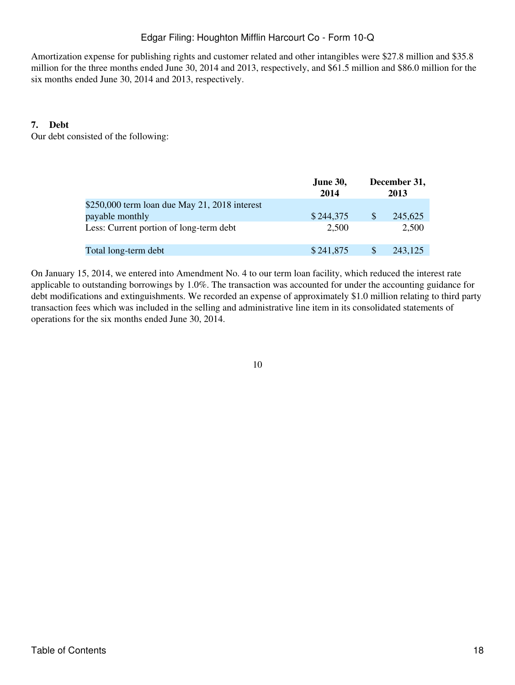Amortization expense for publishing rights and customer related and other intangibles were \$27.8 million and \$35.8 million for the three months ended June 30, 2014 and 2013, respectively, and \$61.5 million and \$86.0 million for the six months ended June 30, 2014 and 2013, respectively.

## **7. Debt**

Our debt consisted of the following:

|                                               | <b>June 30,</b><br>2014 |              | December 31,<br>2013 |
|-----------------------------------------------|-------------------------|--------------|----------------------|
| \$250,000 term loan due May 21, 2018 interest |                         |              |                      |
| payable monthly                               | \$244,375               | <sup>S</sup> | 245,625              |
| Less: Current portion of long-term debt       | 2,500                   |              | 2,500                |
| Total long-term debt                          | \$241,875               | <b>S</b>     | 243,125              |

On January 15, 2014, we entered into Amendment No. 4 to our term loan facility, which reduced the interest rate applicable to outstanding borrowings by 1.0%. The transaction was accounted for under the accounting guidance for debt modifications and extinguishments. We recorded an expense of approximately \$1.0 million relating to third party transaction fees which was included in the selling and administrative line item in its consolidated statements of operations for the six months ended June 30, 2014.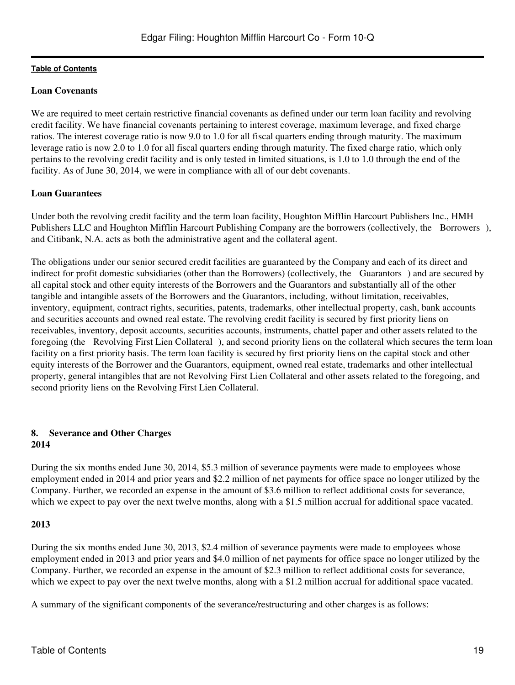## **Loan Covenants**

We are required to meet certain restrictive financial covenants as defined under our term loan facility and revolving credit facility. We have financial covenants pertaining to interest coverage, maximum leverage, and fixed charge ratios. The interest coverage ratio is now 9.0 to 1.0 for all fiscal quarters ending through maturity. The maximum leverage ratio is now 2.0 to 1.0 for all fiscal quarters ending through maturity. The fixed charge ratio, which only pertains to the revolving credit facility and is only tested in limited situations, is 1.0 to 1.0 through the end of the facility. As of June 30, 2014, we were in compliance with all of our debt covenants.

## **Loan Guarantees**

Under both the revolving credit facility and the term loan facility, Houghton Mifflin Harcourt Publishers Inc., HMH Publishers LLC and Houghton Mifflin Harcourt Publishing Company are the borrowers (collectively, the Borrowers), and Citibank, N.A. acts as both the administrative agent and the collateral agent.

The obligations under our senior secured credit facilities are guaranteed by the Company and each of its direct and indirect for profit domestic subsidiaries (other than the Borrowers) (collectively, the Guarantors) and are secured by all capital stock and other equity interests of the Borrowers and the Guarantors and substantially all of the other tangible and intangible assets of the Borrowers and the Guarantors, including, without limitation, receivables, inventory, equipment, contract rights, securities, patents, trademarks, other intellectual property, cash, bank accounts and securities accounts and owned real estate. The revolving credit facility is secured by first priority liens on receivables, inventory, deposit accounts, securities accounts, instruments, chattel paper and other assets related to the foregoing (the Revolving First Lien Collateral), and second priority liens on the collateral which secures the term loan facility on a first priority basis. The term loan facility is secured by first priority liens on the capital stock and other equity interests of the Borrower and the Guarantors, equipment, owned real estate, trademarks and other intellectual property, general intangibles that are not Revolving First Lien Collateral and other assets related to the foregoing, and second priority liens on the Revolving First Lien Collateral.

#### **8. Severance and Other Charges 2014**

During the six months ended June 30, 2014, \$5.3 million of severance payments were made to employees whose employment ended in 2014 and prior years and \$2.2 million of net payments for office space no longer utilized by the Company. Further, we recorded an expense in the amount of \$3.6 million to reflect additional costs for severance, which we expect to pay over the next twelve months, along with a \$1.5 million accrual for additional space vacated.

### **2013**

During the six months ended June 30, 2013, \$2.4 million of severance payments were made to employees whose employment ended in 2013 and prior years and \$4.0 million of net payments for office space no longer utilized by the Company. Further, we recorded an expense in the amount of \$2.3 million to reflect additional costs for severance, which we expect to pay over the next twelve months, along with a \$1.2 million accrual for additional space vacated.

A summary of the significant components of the severance/restructuring and other charges is as follows: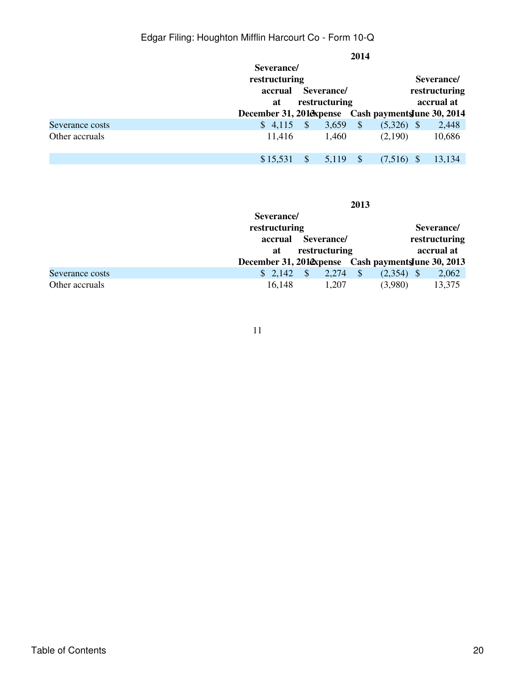|                 |                                              | 2014                                                 |
|-----------------|----------------------------------------------|------------------------------------------------------|
|                 | Severance/<br>restructuring                  | Severance/                                           |
|                 | Severance/<br>accrual<br>restructuring<br>at | restructuring<br>accrual at                          |
|                 |                                              | December 31, 2018 spense Cash payments June 30, 2014 |
| Severance costs | $$4,115$ \,<br>3,659                         | $\sqrt{S}$<br>$(5,326)$ \$<br>2,448                  |
| Other accruals  | 11,416<br>1,460                              | 10,686<br>(2,190)                                    |
|                 | $\mathbb{S}$<br>\$15,531<br>5,119            | 13,134<br>- \$<br>(7,516)<br>-S                      |

|                 |                                                     | 2013                                    |              |               |
|-----------------|-----------------------------------------------------|-----------------------------------------|--------------|---------------|
|                 | Severance/                                          |                                         |              |               |
|                 | restructuring                                       |                                         |              | Severance/    |
|                 | accrual                                             | Severance/                              |              | restructuring |
|                 | at                                                  | restructuring                           |              | accrual at    |
|                 | December 31, 201@xpense Cash payments June 30, 2013 |                                         |              |               |
| Severance costs | \$2,142                                             | $\mathcal{S}$<br>$\mathcal{S}$<br>2,274 | $(2,354)$ \$ | 2,062         |
| Other accruals  | 16,148                                              | 1,207                                   | (3,980)      | 13,375        |

11

# Table of Contents 20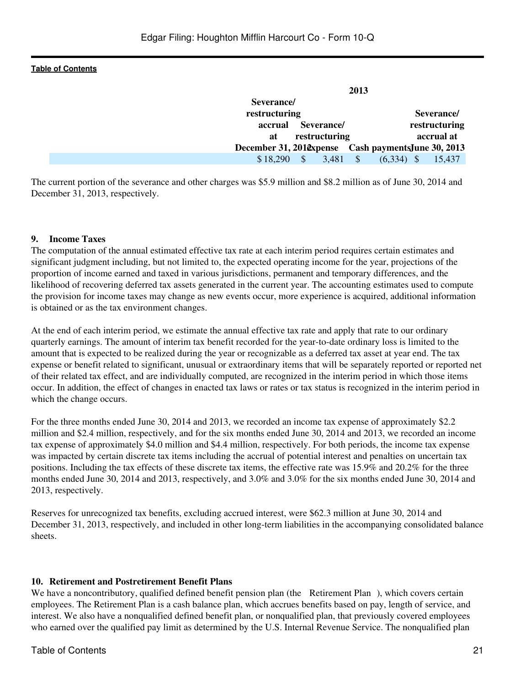| 2013                                                  |                   |
|-------------------------------------------------------|-------------------|
| Severance/                                            |                   |
| restructuring                                         | Severance/        |
| Severance/<br>accrual                                 | restructuring     |
| restructuring<br>at                                   | accrual at        |
| December 31, 2010 expense Cash payments June 30, 2013 |                   |
| $\mathcal{S}$<br>\$18,290<br>3,481                    | (6,334)<br>15,437 |

The current portion of the severance and other charges was \$5.9 million and \$8.2 million as of June 30, 2014 and December 31, 2013, respectively.

### **9. Income Taxes**

The computation of the annual estimated effective tax rate at each interim period requires certain estimates and significant judgment including, but not limited to, the expected operating income for the year, projections of the proportion of income earned and taxed in various jurisdictions, permanent and temporary differences, and the likelihood of recovering deferred tax assets generated in the current year. The accounting estimates used to compute the provision for income taxes may change as new events occur, more experience is acquired, additional information is obtained or as the tax environment changes.

At the end of each interim period, we estimate the annual effective tax rate and apply that rate to our ordinary quarterly earnings. The amount of interim tax benefit recorded for the year-to-date ordinary loss is limited to the amount that is expected to be realized during the year or recognizable as a deferred tax asset at year end. The tax expense or benefit related to significant, unusual or extraordinary items that will be separately reported or reported net of their related tax effect, and are individually computed, are recognized in the interim period in which those items occur. In addition, the effect of changes in enacted tax laws or rates or tax status is recognized in the interim period in which the change occurs.

For the three months ended June 30, 2014 and 2013, we recorded an income tax expense of approximately \$2.2 million and \$2.4 million, respectively, and for the six months ended June 30, 2014 and 2013, we recorded an income tax expense of approximately \$4.0 million and \$4.4 million, respectively. For both periods, the income tax expense was impacted by certain discrete tax items including the accrual of potential interest and penalties on uncertain tax positions. Including the tax effects of these discrete tax items, the effective rate was 15.9% and 20.2% for the three months ended June 30, 2014 and 2013, respectively, and 3.0% and 3.0% for the six months ended June 30, 2014 and 2013, respectively.

Reserves for unrecognized tax benefits, excluding accrued interest, were \$62.3 million at June 30, 2014 and December 31, 2013, respectively, and included in other long-term liabilities in the accompanying consolidated balance sheets.

## **10. Retirement and Postretirement Benefit Plans**

We have a noncontributory, qualified defined benefit pension plan (the Retirement Plan), which covers certain employees. The Retirement Plan is a cash balance plan, which accrues benefits based on pay, length of service, and interest. We also have a nonqualified defined benefit plan, or nonqualified plan, that previously covered employees who earned over the qualified pay limit as determined by the U.S. Internal Revenue Service. The nonqualified plan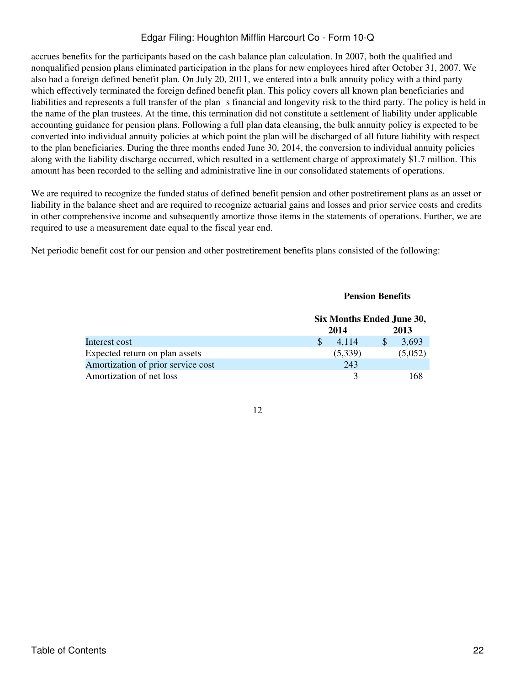accrues benefits for the participants based on the cash balance plan calculation. In 2007, both the qualified and nonqualified pension plans eliminated participation in the plans for new employees hired after October 31, 2007. We also had a foreign defined benefit plan. On July 20, 2011, we entered into a bulk annuity policy with a third party which effectively terminated the foreign defined benefit plan. This policy covers all known plan beneficiaries and liabilities and represents a full transfer of the plans financial and longevity risk to the third party. The policy is held in the name of the plan trustees. At the time, this termination did not constitute a settlement of liability under applicable accounting guidance for pension plans. Following a full plan data cleansing, the bulk annuity policy is expected to be converted into individual annuity policies at which point the plan will be discharged of all future liability with respect to the plan beneficiaries. During the three months ended June 30, 2014, the conversion to individual annuity policies along with the liability discharge occurred, which resulted in a settlement charge of approximately \$1.7 million. This amount has been recorded to the selling and administrative line in our consolidated statements of operations.

We are required to recognize the funded status of defined benefit pension and other postretirement plans as an asset or liability in the balance sheet and are required to recognize actuarial gains and losses and prior service costs and credits in other comprehensive income and subsequently amortize those items in the statements of operations. Further, we are required to use a measurement date equal to the fiscal year end.

Net periodic benefit cost for our pension and other postretirement benefits plans consisted of the following:

## **Pension Benefits**

|                                    | Six Months Ended June 30, |         |  |         |
|------------------------------------|---------------------------|---------|--|---------|
|                                    |                           | 2014    |  | 2013    |
| Interest cost                      |                           | 4.114   |  | 3,693   |
| Expected return on plan assets     |                           | (5,339) |  | (5,052) |
| Amortization of prior service cost |                           | 243     |  |         |
| Amortization of net loss           |                           |         |  | 168     |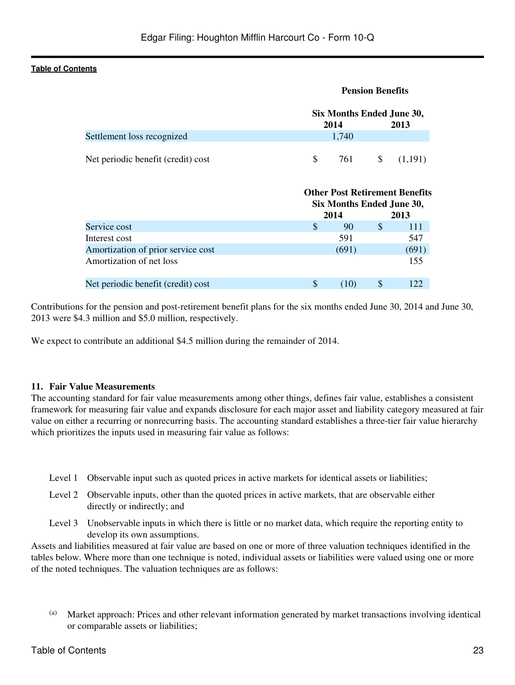| <b>Pension Benefits</b> |       |              |                                                                                                                     |
|-------------------------|-------|--------------|---------------------------------------------------------------------------------------------------------------------|
|                         |       |              | 2013                                                                                                                |
|                         | 1,740 |              |                                                                                                                     |
| \$                      | 761   | \$           | (1,191)                                                                                                             |
|                         |       |              | 2013                                                                                                                |
| \$                      | 90    | \$           | 111                                                                                                                 |
|                         | 591   |              | 547                                                                                                                 |
|                         | (691) |              | (691)                                                                                                               |
|                         |       |              | 155                                                                                                                 |
|                         |       |              | 122                                                                                                                 |
|                         |       | 2014<br>2014 | Six Months Ended June 30,<br><b>Other Post Retirement Benefits</b><br>Six Months Ended June 30,<br>\$<br>\$<br>(10) |

Contributions for the pension and post-retirement benefit plans for the six months ended June 30, 2014 and June 30, 2013 were \$4.3 million and \$5.0 million, respectively.

We expect to contribute an additional \$4.5 million during the remainder of 2014.

### **11. Fair Value Measurements**

The accounting standard for fair value measurements among other things, defines fair value, establishes a consistent framework for measuring fair value and expands disclosure for each major asset and liability category measured at fair value on either a recurring or nonrecurring basis. The accounting standard establishes a three-tier fair value hierarchy which prioritizes the inputs used in measuring fair value as follows:

- Level 1 Observable input such as quoted prices in active markets for identical assets or liabilities;
- Level 2 Observable inputs, other than the quoted prices in active markets, that are observable either directly or indirectly; and
- Level 3 Unobservable inputs in which there is little or no market data, which require the reporting entity to develop its own assumptions.

Assets and liabilities measured at fair value are based on one or more of three valuation techniques identified in the tables below. Where more than one technique is noted, individual assets or liabilities were valued using one or more of the noted techniques. The valuation techniques are as follows:

(a) Market approach: Prices and other relevant information generated by market transactions involving identical or comparable assets or liabilities;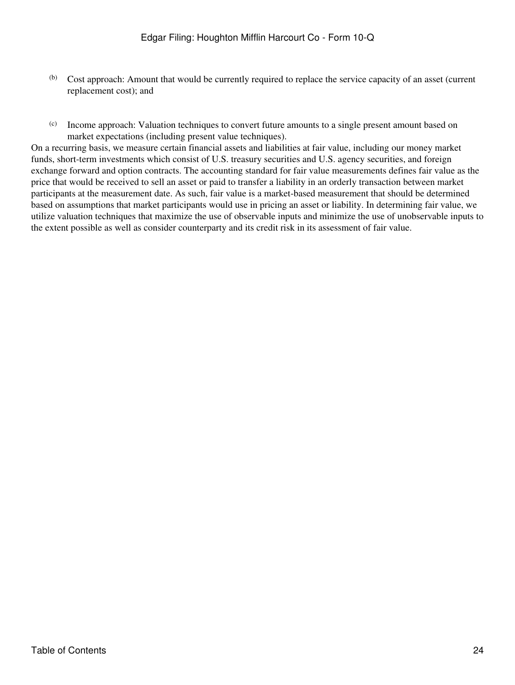- (b) Cost approach: Amount that would be currently required to replace the service capacity of an asset (current replacement cost); and
- (c) Income approach: Valuation techniques to convert future amounts to a single present amount based on market expectations (including present value techniques).

On a recurring basis, we measure certain financial assets and liabilities at fair value, including our money market funds, short-term investments which consist of U.S. treasury securities and U.S. agency securities, and foreign exchange forward and option contracts. The accounting standard for fair value measurements defines fair value as the price that would be received to sell an asset or paid to transfer a liability in an orderly transaction between market participants at the measurement date. As such, fair value is a market-based measurement that should be determined based on assumptions that market participants would use in pricing an asset or liability. In determining fair value, we utilize valuation techniques that maximize the use of observable inputs and minimize the use of unobservable inputs to the extent possible as well as consider counterparty and its credit risk in its assessment of fair value.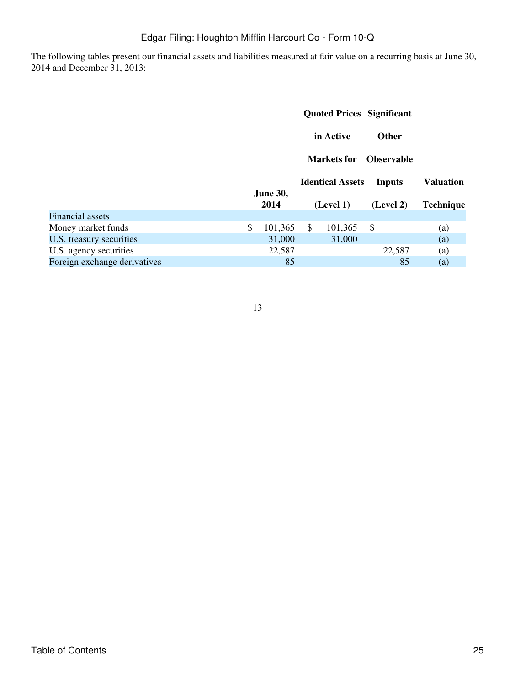The following tables present our financial assets and liabilities measured at fair value on a recurring basis at June 30, 2014 and December 31, 2013:

|                              |                         |              |                         | <b>Quoted Prices Significant</b> |                          |
|------------------------------|-------------------------|--------------|-------------------------|----------------------------------|--------------------------|
|                              |                         |              | in Active               | <b>Other</b>                     |                          |
|                              |                         |              | Markets for             | <b>Observable</b>                |                          |
|                              |                         |              | <b>Identical Assets</b> | <b>Inputs</b>                    | <b>Valuation</b>         |
|                              | <b>June 30,</b><br>2014 |              | (Level 1)               | (Level 2)                        | <b>Technique</b>         |
| Financial assets             |                         |              |                         |                                  |                          |
| Money market funds           | \$<br>101,365           | $\mathbb{S}$ | 101,365                 | \$                               | (a)                      |
| U.S. treasury securities     | 31,000                  |              | 31,000                  |                                  | (a)                      |
| U.S. agency securities       | 22,587                  |              |                         | 22,587                           | (a)                      |
| Foreign exchange derivatives | 85                      |              |                         | 85                               | $\left( \text{a}\right)$ |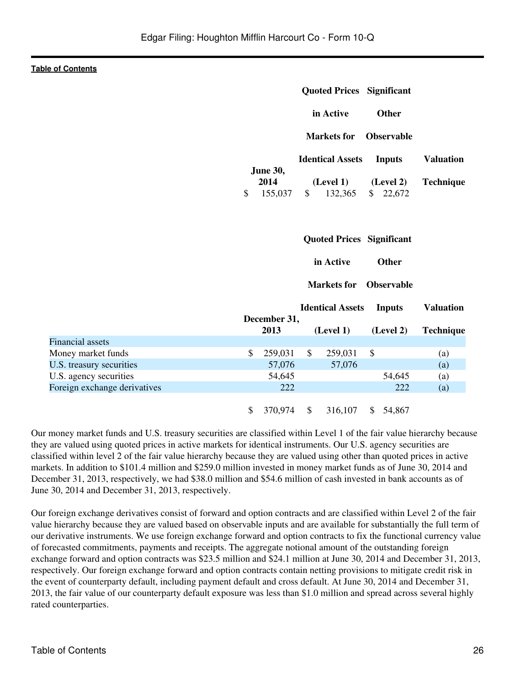|                              |                                                     | <b>Quoted Prices Significant</b> |                       |                  |
|------------------------------|-----------------------------------------------------|----------------------------------|-----------------------|------------------|
|                              |                                                     | in Active                        | <b>Other</b>          |                  |
|                              |                                                     | <b>Markets</b> for               | <b>Observable</b>     |                  |
|                              |                                                     | <b>Identical Assets</b>          | <b>Inputs</b>         | <b>Valuation</b> |
|                              | <b>June 30,</b><br>2014<br>$\mathcal{S}$<br>155,037 | (Level 1)<br>\$<br>132,365       | (Level 2)<br>\$22,672 | <b>Technique</b> |
|                              |                                                     | <b>Quoted Prices Significant</b> |                       |                  |
|                              |                                                     | in Active                        | <b>Other</b>          |                  |
|                              |                                                     | <b>Markets</b> for               | <b>Observable</b>     |                  |
|                              | December 31,                                        | <b>Identical Assets</b>          | <b>Inputs</b>         | <b>Valuation</b> |
|                              | 2013                                                | (Level 1)                        | (Level 2)             | <b>Technique</b> |
| <b>Financial</b> assets      |                                                     |                                  |                       |                  |
| Money market funds           | \$<br>259,031                                       | $\mathbb{S}$<br>259,031          | \$                    | (a)              |
| U.S. treasury securities     | 57,076                                              | 57,076                           |                       | (a)              |
| U.S. agency securities       | 54,645                                              |                                  | 54,645                | (a)              |
| Foreign exchange derivatives | 222                                                 |                                  | 222                   | (a)              |
|                              | $\mathbb{S}$<br>370,974 \$                          | 316,107                          | \$54,867              |                  |

Our money market funds and U.S. treasury securities are classified within Level 1 of the fair value hierarchy because they are valued using quoted prices in active markets for identical instruments. Our U.S. agency securities are classified within level 2 of the fair value hierarchy because they are valued using other than quoted prices in active markets. In addition to \$101.4 million and \$259.0 million invested in money market funds as of June 30, 2014 and December 31, 2013, respectively, we had \$38.0 million and \$54.6 million of cash invested in bank accounts as of June 30, 2014 and December 31, 2013, respectively.

Our foreign exchange derivatives consist of forward and option contracts and are classified within Level 2 of the fair value hierarchy because they are valued based on observable inputs and are available for substantially the full term of our derivative instruments. We use foreign exchange forward and option contracts to fix the functional currency value of forecasted commitments, payments and receipts. The aggregate notional amount of the outstanding foreign exchange forward and option contracts was \$23.5 million and \$24.1 million at June 30, 2014 and December 31, 2013, respectively. Our foreign exchange forward and option contracts contain netting provisions to mitigate credit risk in the event of counterparty default, including payment default and cross default. At June 30, 2014 and December 31, 2013, the fair value of our counterparty default exposure was less than \$1.0 million and spread across several highly rated counterparties.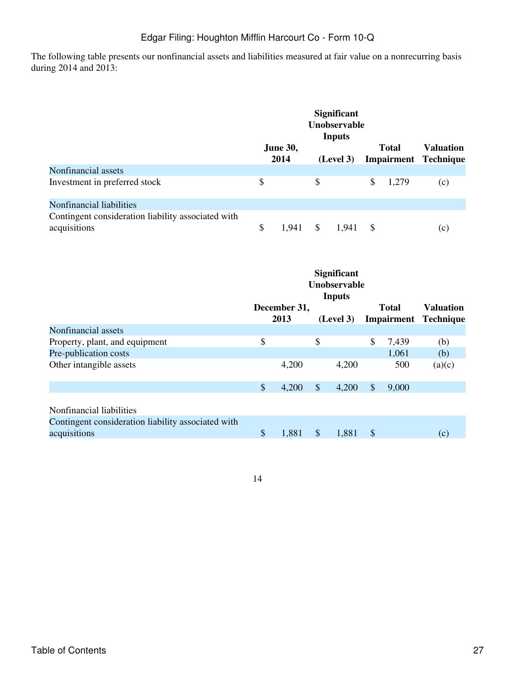The following table presents our nonfinancial assets and liabilities measured at fair value on a nonrecurring basis during 2014 and 2013:

|                                                                    |                         | <b>Significant</b><br><b>Unobservable</b><br><b>Inputs</b> |    |              |                                                 |
|--------------------------------------------------------------------|-------------------------|------------------------------------------------------------|----|--------------|-------------------------------------------------|
|                                                                    | <b>June 30,</b><br>2014 | (Level 3)                                                  |    | <b>Total</b> | <b>Valuation</b><br><b>Impairment Technique</b> |
| Nonfinancial assets                                                |                         |                                                            |    |              |                                                 |
| Investment in preferred stock                                      | \$                      | \$                                                         | S. | 1,279        | (c)                                             |
| Nonfinancial liabilities                                           |                         |                                                            |    |              |                                                 |
| Contingent consideration liability associated with<br>acquisitions | \$<br>1.941             | \$<br>1.941                                                | -S |              | (c)                                             |

|                                                                    |                           |              |                         | <b>Significant</b><br>Unobservable<br><b>Inputs</b> |                            |              |                             |
|--------------------------------------------------------------------|---------------------------|--------------|-------------------------|-----------------------------------------------------|----------------------------|--------------|-----------------------------|
|                                                                    |                           | December 31, |                         |                                                     |                            | <b>Total</b> | <b>Valuation</b>            |
| Nonfinancial assets                                                |                           | 2013         |                         | (Level 3)                                           |                            |              | <b>Impairment Technique</b> |
| Property, plant, and equipment                                     | \$                        |              | \$                      |                                                     | \$                         | 7,439        | (b)                         |
| Pre-publication costs                                              |                           |              |                         |                                                     |                            | 1,061        | (b)                         |
| Other intangible assets                                            |                           | 4,200        |                         | 4,200                                               |                            | 500          | (a)(c)                      |
|                                                                    | \$                        | 4,200        | $\sqrt[6]{\frac{1}{2}}$ | 4,200                                               | $\mathcal{S}$              | 9,000        |                             |
| Nonfinancial liabilities                                           |                           |              |                         |                                                     |                            |              |                             |
| Contingent consideration liability associated with<br>acquisitions | $\boldsymbol{\mathsf{S}}$ | 1,881        | $\mathbb{S}$            | 1,881                                               | $\boldsymbol{\mathcal{S}}$ |              | (c)                         |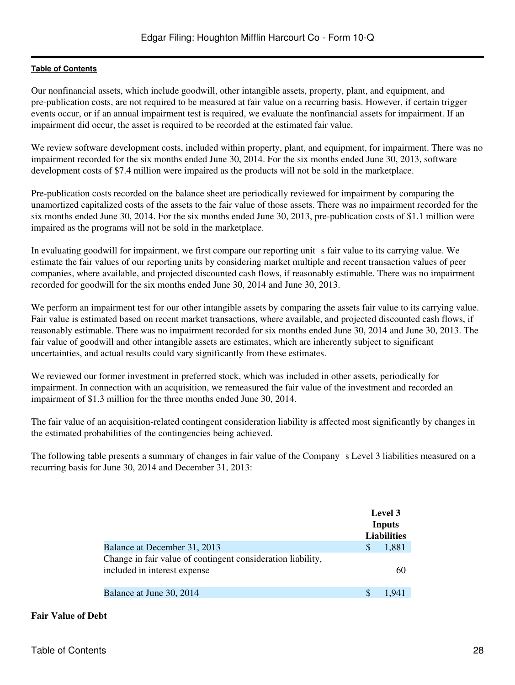Our nonfinancial assets, which include goodwill, other intangible assets, property, plant, and equipment, and pre-publication costs, are not required to be measured at fair value on a recurring basis. However, if certain trigger events occur, or if an annual impairment test is required, we evaluate the nonfinancial assets for impairment. If an impairment did occur, the asset is required to be recorded at the estimated fair value.

We review software development costs, included within property, plant, and equipment, for impairment. There was no impairment recorded for the six months ended June 30, 2014. For the six months ended June 30, 2013, software development costs of \$7.4 million were impaired as the products will not be sold in the marketplace.

Pre-publication costs recorded on the balance sheet are periodically reviewed for impairment by comparing the unamortized capitalized costs of the assets to the fair value of those assets. There was no impairment recorded for the six months ended June 30, 2014. For the six months ended June 30, 2013, pre-publication costs of \$1.1 million were impaired as the programs will not be sold in the marketplace.

In evaluating goodwill for impairment, we first compare our reporting unit s fair value to its carrying value. We estimate the fair values of our reporting units by considering market multiple and recent transaction values of peer companies, where available, and projected discounted cash flows, if reasonably estimable. There was no impairment recorded for goodwill for the six months ended June 30, 2014 and June 30, 2013.

We perform an impairment test for our other intangible assets by comparing the assets fair value to its carrying value. Fair value is estimated based on recent market transactions, where available, and projected discounted cash flows, if reasonably estimable. There was no impairment recorded for six months ended June 30, 2014 and June 30, 2013. The fair value of goodwill and other intangible assets are estimates, which are inherently subject to significant uncertainties, and actual results could vary significantly from these estimates.

We reviewed our former investment in preferred stock, which was included in other assets, periodically for impairment. In connection with an acquisition, we remeasured the fair value of the investment and recorded an impairment of \$1.3 million for the three months ended June 30, 2014.

The fair value of an acquisition-related contingent consideration liability is affected most significantly by changes in the estimated probabilities of the contingencies being achieved.

The following table presents a summary of changes in fair value of the Company s Level 3 liabilities measured on a recurring basis for June 30, 2014 and December 31, 2013:

|                                                                                             |   | Level 3<br>Inputs<br><b>Liabilities</b> |
|---------------------------------------------------------------------------------------------|---|-----------------------------------------|
| Balance at December 31, 2013                                                                | S | 1,881                                   |
| Change in fair value of contingent consideration liability,<br>included in interest expense |   | 60                                      |
| Balance at June 30, 2014                                                                    |   | 1.941                                   |

### **Fair Value of Debt**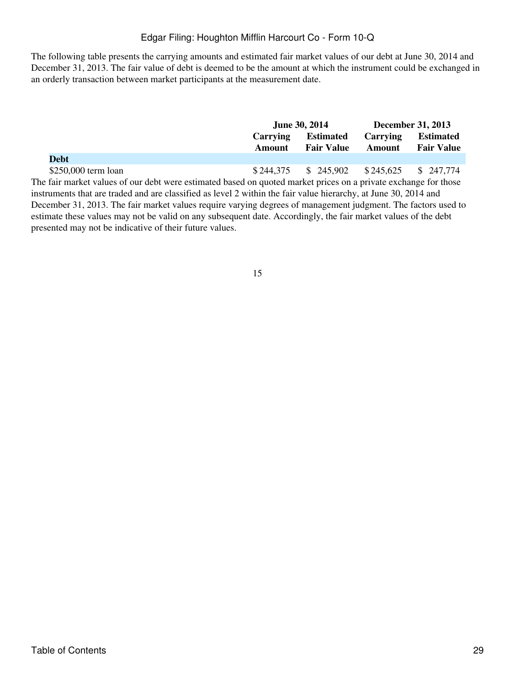The following table presents the carrying amounts and estimated fair market values of our debt at June 30, 2014 and December 31, 2013. The fair value of debt is deemed to be the amount at which the instrument could be exchanged in an orderly transaction between market participants at the measurement date.

|                                                                                                                                                     |          | <b>June 30, 2014</b>                        | <b>December 31, 2013</b> |                   |  |
|-----------------------------------------------------------------------------------------------------------------------------------------------------|----------|---------------------------------------------|--------------------------|-------------------|--|
|                                                                                                                                                     | Carrying | <b>Estimated</b>                            |                          | <b>Estimated</b>  |  |
|                                                                                                                                                     | Amount   | <b>Fair Value</b>                           | Amount                   | <b>Fair Value</b> |  |
| <b>Debt</b>                                                                                                                                         |          |                                             |                          |                   |  |
| \$250,000 term loan                                                                                                                                 |          | $$244,375$ $$245,902$ $$245,625$ $$247,774$ |                          |                   |  |
| The fair market values of our debt were estimated based on quoted market prices on a private exchange for those                                     |          |                                             |                          |                   |  |
| $\mathcal{L}$ , and a set of the set of the set of the set of $\mathcal{L}$ and $\mathcal{L}$ and $\mathcal{L}$ and $\mathcal{L}$ and $\mathcal{L}$ |          |                                             |                          |                   |  |

instruments that are traded and are classified as level 2 within the fair value hierarchy, at June 30, 2014 and December 31, 2013. The fair market values require varying degrees of management judgment. The factors used to estimate these values may not be valid on any subsequent date. Accordingly, the fair market values of the debt presented may not be indicative of their future values.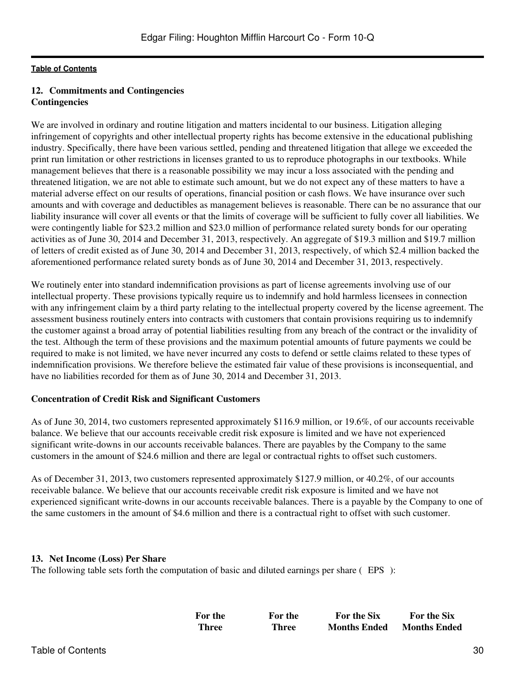## **12. Commitments and Contingencies Contingencies**

We are involved in ordinary and routine litigation and matters incidental to our business. Litigation alleging infringement of copyrights and other intellectual property rights has become extensive in the educational publishing industry. Specifically, there have been various settled, pending and threatened litigation that allege we exceeded the print run limitation or other restrictions in licenses granted to us to reproduce photographs in our textbooks. While management believes that there is a reasonable possibility we may incur a loss associated with the pending and threatened litigation, we are not able to estimate such amount, but we do not expect any of these matters to have a material adverse effect on our results of operations, financial position or cash flows. We have insurance over such amounts and with coverage and deductibles as management believes is reasonable. There can be no assurance that our liability insurance will cover all events or that the limits of coverage will be sufficient to fully cover all liabilities. We were contingently liable for \$23.2 million and \$23.0 million of performance related surety bonds for our operating activities as of June 30, 2014 and December 31, 2013, respectively. An aggregate of \$19.3 million and \$19.7 million of letters of credit existed as of June 30, 2014 and December 31, 2013, respectively, of which \$2.4 million backed the aforementioned performance related surety bonds as of June 30, 2014 and December 31, 2013, respectively.

We routinely enter into standard indemnification provisions as part of license agreements involving use of our intellectual property. These provisions typically require us to indemnify and hold harmless licensees in connection with any infringement claim by a third party relating to the intellectual property covered by the license agreement. The assessment business routinely enters into contracts with customers that contain provisions requiring us to indemnify the customer against a broad array of potential liabilities resulting from any breach of the contract or the invalidity of the test. Although the term of these provisions and the maximum potential amounts of future payments we could be required to make is not limited, we have never incurred any costs to defend or settle claims related to these types of indemnification provisions. We therefore believe the estimated fair value of these provisions is inconsequential, and have no liabilities recorded for them as of June 30, 2014 and December 31, 2013.

### **Concentration of Credit Risk and Significant Customers**

As of June 30, 2014, two customers represented approximately \$116.9 million, or 19.6%, of our accounts receivable balance. We believe that our accounts receivable credit risk exposure is limited and we have not experienced significant write-downs in our accounts receivable balances. There are payables by the Company to the same customers in the amount of \$24.6 million and there are legal or contractual rights to offset such customers.

As of December 31, 2013, two customers represented approximately \$127.9 million, or 40.2%, of our accounts receivable balance. We believe that our accounts receivable credit risk exposure is limited and we have not experienced significant write-downs in our accounts receivable balances. There is a payable by the Company to one of the same customers in the amount of \$4.6 million and there is a contractual right to offset with such customer.

### **13. Net Income (Loss) Per Share**

The following table sets forth the computation of basic and diluted earnings per share (EPS):

| For the | For the | <b>For the Six</b>  | <b>For the Six</b>  |
|---------|---------|---------------------|---------------------|
| Three   | Three   | <b>Months Ended</b> | <b>Months Ended</b> |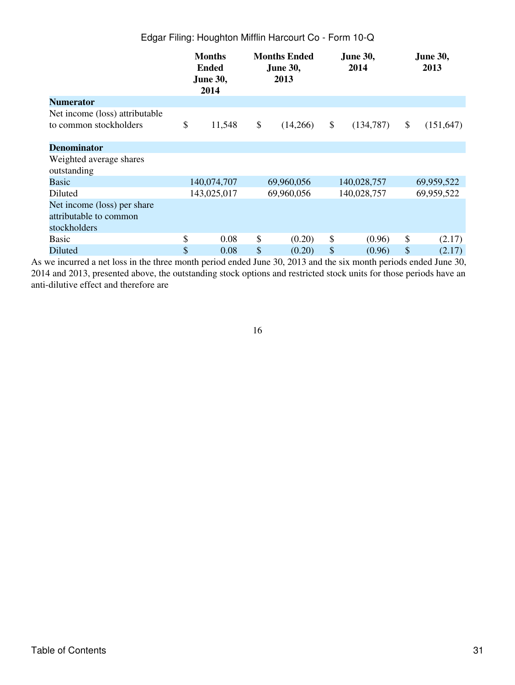|                                | <b>Months</b><br><b>Ended</b><br><b>June 30,</b><br>2014 | <b>Months Ended</b><br><b>June 30,</b><br>2013 |            | <b>June 30,</b><br>2014 |             | <b>June 30,</b><br>2013 |
|--------------------------------|----------------------------------------------------------|------------------------------------------------|------------|-------------------------|-------------|-------------------------|
| <b>Numerator</b>               |                                                          |                                                |            |                         |             |                         |
| Net income (loss) attributable |                                                          |                                                |            |                         |             |                         |
| to common stockholders         | \$<br>11,548                                             | \$                                             | (14,266)   | \$                      | (134, 787)  | \$<br>(151, 647)        |
|                                |                                                          |                                                |            |                         |             |                         |
| <b>Denominator</b>             |                                                          |                                                |            |                         |             |                         |
| Weighted average shares        |                                                          |                                                |            |                         |             |                         |
| outstanding                    |                                                          |                                                |            |                         |             |                         |
| Basic                          | 140,074,707                                              |                                                | 69,960,056 |                         | 140,028,757 | 69,959,522              |
| Diluted                        | 143,025,017                                              | 69,960,056                                     |            | 140,028,757             |             | 69,959,522              |
| Net income (loss) per share    |                                                          |                                                |            |                         |             |                         |
| attributable to common         |                                                          |                                                |            |                         |             |                         |
| stockholders                   |                                                          |                                                |            |                         |             |                         |
| <b>Basic</b>                   | \$<br>0.08                                               | \$                                             | (0.20)     | \$                      | (0.96)      | \$<br>(2.17)            |
| Diluted                        | \$<br>0.08                                               | \$                                             | (0.20)     | \$                      | (0.96)      | \$<br>(2.17)            |

As we incurred a net loss in the three month period ended June 30, 2013 and the six month periods ended June 30, 2014 and 2013, presented above, the outstanding stock options and restricted stock units for those periods have an anti-dilutive effect and therefore are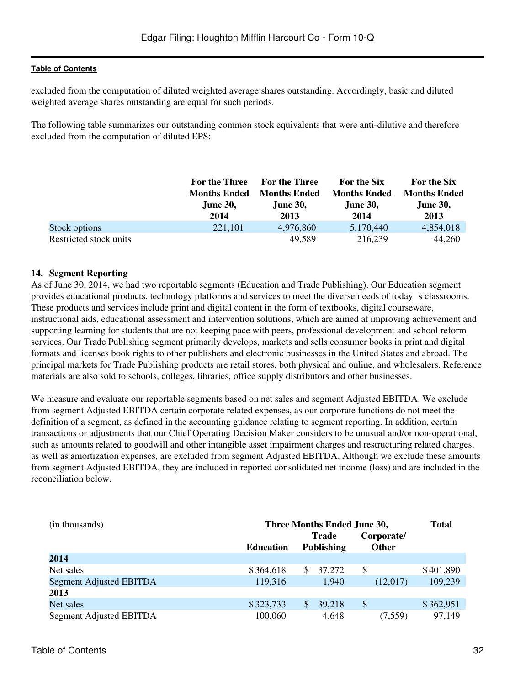excluded from the computation of diluted weighted average shares outstanding. Accordingly, basic and diluted weighted average shares outstanding are equal for such periods.

The following table summarizes our outstanding common stock equivalents that were anti-dilutive and therefore excluded from the computation of diluted EPS:

|                        | <b>For the Three</b> | <b>For the Three</b> | For the Six         | For the Six         |
|------------------------|----------------------|----------------------|---------------------|---------------------|
|                        | <b>Months Ended</b>  | <b>Months Ended</b>  | <b>Months Ended</b> | <b>Months Ended</b> |
|                        | <b>June 30,</b>      | <b>June 30,</b>      | <b>June 30,</b>     | <b>June 30,</b>     |
|                        | 2014                 | 2013                 | 2014                | 2013                |
| Stock options          | 221,101              | 4,976,860            | 5,170,440           | 4,854,018           |
| Restricted stock units |                      | 49.589               | 216,239             | 44,260              |

## **14. Segment Reporting**

As of June 30, 2014, we had two reportable segments (Education and Trade Publishing). Our Education segment provides educational products, technology platforms and services to meet the diverse needs of todays classrooms. These products and services include print and digital content in the form of textbooks, digital courseware, instructional aids, educational assessment and intervention solutions, which are aimed at improving achievement and supporting learning for students that are not keeping pace with peers, professional development and school reform services. Our Trade Publishing segment primarily develops, markets and sells consumer books in print and digital formats and licenses book rights to other publishers and electronic businesses in the United States and abroad. The principal markets for Trade Publishing products are retail stores, both physical and online, and wholesalers. Reference materials are also sold to schools, colleges, libraries, office supply distributors and other businesses.

We measure and evaluate our reportable segments based on net sales and segment Adjusted EBITDA. We exclude from segment Adjusted EBITDA certain corporate related expenses, as our corporate functions do not meet the definition of a segment, as defined in the accounting guidance relating to segment reporting. In addition, certain transactions or adjustments that our Chief Operating Decision Maker considers to be unusual and/or non-operational, such as amounts related to goodwill and other intangible asset impairment charges and restructuring related charges, as well as amortization expenses, are excluded from segment Adjusted EBITDA. Although we exclude these amounts from segment Adjusted EBITDA, they are included in reported consolidated net income (loss) and are included in the reconciliation below.

| (in thousands)          | Three Months Ended June 30, | <b>Total</b>            |              |           |
|-------------------------|-----------------------------|-------------------------|--------------|-----------|
|                         |                             | <b>Trade</b>            | Corporate/   |           |
|                         | <b>Education</b>            | <b>Publishing</b>       | <b>Other</b> |           |
| 2014                    |                             |                         |              |           |
| Net sales               | \$364,618                   | 37,272<br>S.            | S            | \$401,890 |
| Segment Adjusted EBITDA | 119,316                     | 1,940                   | (12,017)     | 109,239   |
| 2013                    |                             |                         |              |           |
| Net sales               | \$323,733                   | <sup>\$</sup><br>39,218 | \$           | \$362,951 |
| Segment Adjusted EBITDA | 100,060                     | 4,648                   | (7,559)      | 97,149    |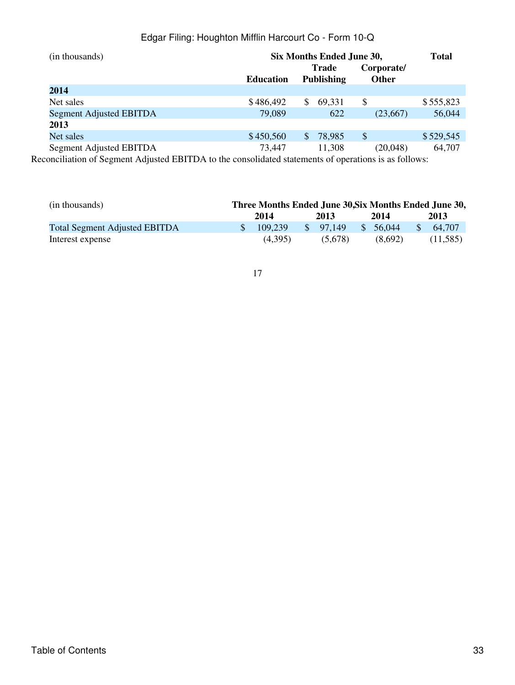| (in thousands)                                                                                                                                                                                                                                                                                                                                                | Six Months Ended June 30,                                                                                                                                                                                                                                                                                                                                   | <b>Total</b> |                                   |    |                            |           |
|---------------------------------------------------------------------------------------------------------------------------------------------------------------------------------------------------------------------------------------------------------------------------------------------------------------------------------------------------------------|-------------------------------------------------------------------------------------------------------------------------------------------------------------------------------------------------------------------------------------------------------------------------------------------------------------------------------------------------------------|--------------|-----------------------------------|----|----------------------------|-----------|
|                                                                                                                                                                                                                                                                                                                                                               | <b>Education</b>                                                                                                                                                                                                                                                                                                                                            |              | <b>Trade</b><br><b>Publishing</b> |    | Corporate/<br><b>Other</b> |           |
| 2014                                                                                                                                                                                                                                                                                                                                                          |                                                                                                                                                                                                                                                                                                                                                             |              |                                   |    |                            |           |
| Net sales                                                                                                                                                                                                                                                                                                                                                     | \$486,492                                                                                                                                                                                                                                                                                                                                                   | S.           | 69,331                            | \$ |                            | \$555,823 |
| Segment Adjusted EBITDA                                                                                                                                                                                                                                                                                                                                       | 79,089                                                                                                                                                                                                                                                                                                                                                      |              | 622                               |    | (23,667)                   | 56,044    |
| 2013                                                                                                                                                                                                                                                                                                                                                          |                                                                                                                                                                                                                                                                                                                                                             |              |                                   |    |                            |           |
| Net sales                                                                                                                                                                                                                                                                                                                                                     | \$450,560                                                                                                                                                                                                                                                                                                                                                   | \$.          | 78,985                            | \$ |                            | \$529,545 |
| Segment Adjusted EBITDA<br>$\mathbf{H}$ $\mathbf{H}$ $\mathbf{H}$ $\mathbf{H}$ $\mathbf{H}$ $\mathbf{H}$ $\mathbf{H}$ $\mathbf{H}$ $\mathbf{H}$ $\mathbf{H}$ $\mathbf{H}$ $\mathbf{H}$ $\mathbf{H}$ $\mathbf{H}$ $\mathbf{H}$ $\mathbf{H}$ $\mathbf{H}$ $\mathbf{H}$ $\mathbf{H}$ $\mathbf{H}$ $\mathbf{H}$ $\mathbf{H}$ $\mathbf{H}$ $\mathbf{H}$ $\mathbf{$ | 73,447<br>$1.11 \times 1.11 \times 1.111 \times 1.1111 \times 1.11111 \times 1.11111 \times 1.11111 \times 1.11111 \times 1.11111 \times 1.11111 \times 1.11111 \times 1.11111 \times 1.11111 \times 1.11111 \times 1.11111 \times 1.11111 \times 1.11111 \times 1.11111 \times 1.11111 \times 1.11111 \times 1.11111 \times 1.11111 \times 1.11111 \times$ |              | 11,308                            |    | (20,048)<br>0.11           | 64,707    |

Reconciliation of Segment Adjusted EBITDA to the consolidated statements of operations is as follows:

| (in thousands)                       | Three Months Ended June 30, Six Months Ended June 30, |          |              |         |              |          |
|--------------------------------------|-------------------------------------------------------|----------|--------------|---------|--------------|----------|
|                                      | 2014                                                  | 2013     |              | 2014    |              | 2013     |
| <b>Total Segment Adjusted EBITDA</b> | 109.239                                               | \$97.149 | <sup>S</sup> | 56,044  | $\mathbb{S}$ | 64.707   |
| Interest expense                     | (4.395)                                               | (5.678)  |              | (8.692) |              | (11,585) |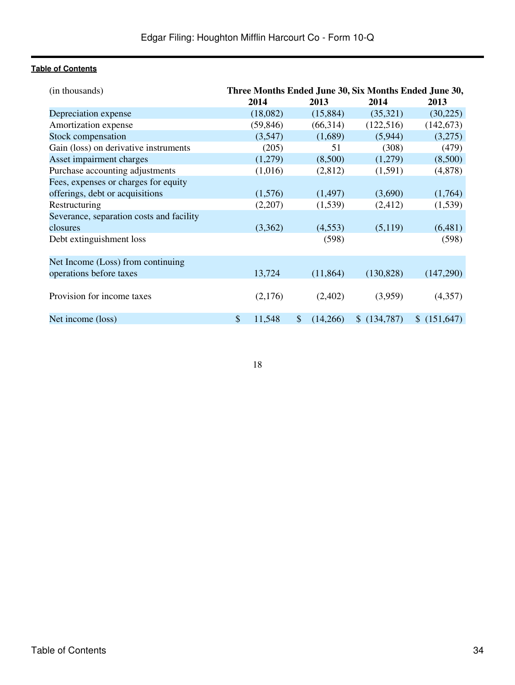| (in thousands)                           | Three Months Ended June 30, Six Months Ended June 30, |           |    |           |             |             |  |
|------------------------------------------|-------------------------------------------------------|-----------|----|-----------|-------------|-------------|--|
|                                          |                                                       | 2014      |    | 2013      | 2014        | 2013        |  |
| Depreciation expense                     |                                                       | (18,082)  |    | (15,884)  | (35,321)    | (30, 225)   |  |
| Amortization expense                     |                                                       | (59, 846) |    | (66,314)  | (122, 516)  | (142, 673)  |  |
| Stock compensation                       |                                                       | (3,547)   |    | (1,689)   | (5,944)     | (3,275)     |  |
| Gain (loss) on derivative instruments    |                                                       | (205)     |    | 51        | (308)       | (479)       |  |
| Asset impairment charges                 |                                                       | (1,279)   |    | (8,500)   | (1,279)     | (8,500)     |  |
| Purchase accounting adjustments          |                                                       | (1,016)   |    | (2,812)   | (1,591)     | (4,878)     |  |
| Fees, expenses or charges for equity     |                                                       |           |    |           |             |             |  |
| offerings, debt or acquisitions          |                                                       | (1,576)   |    | (1, 497)  | (3,690)     | (1,764)     |  |
| Restructuring                            |                                                       | (2,207)   |    | (1,539)   | (2, 412)    | (1,539)     |  |
| Severance, separation costs and facility |                                                       |           |    |           |             |             |  |
| closures                                 |                                                       | (3,362)   |    | (4,553)   | (5,119)     | (6,481)     |  |
| Debt extinguishment loss                 |                                                       |           |    | (598)     |             | (598)       |  |
|                                          |                                                       |           |    |           |             |             |  |
| Net Income (Loss) from continuing        |                                                       |           |    |           |             |             |  |
| operations before taxes                  |                                                       | 13,724    |    | (11, 864) | (130, 828)  | (147,290)   |  |
|                                          |                                                       |           |    |           |             |             |  |
| Provision for income taxes               |                                                       | (2,176)   |    | (2,402)   | (3,959)     | (4,357)     |  |
|                                          |                                                       |           |    |           |             |             |  |
| Net income (loss)                        | \$                                                    | 11,548    | \$ | (14,266)  | \$(134,787) | \$(151,647) |  |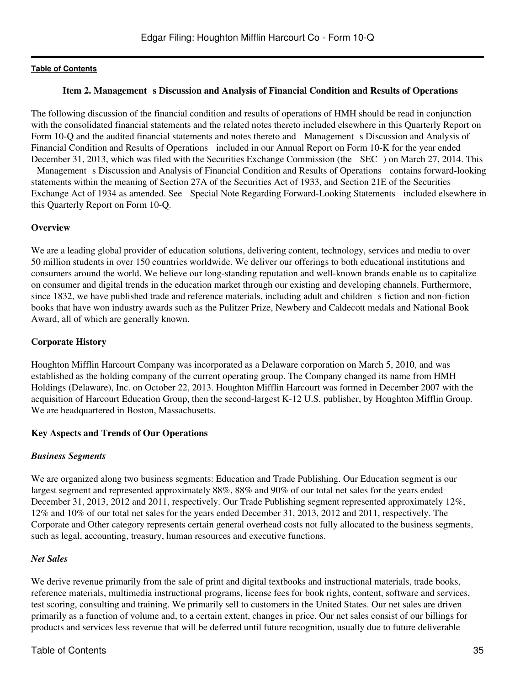### **Item 2. Management s Discussion and Analysis of Financial Condition and Results of Operations**

<span id="page-34-0"></span>The following discussion of the financial condition and results of operations of HMH should be read in conjunction with the consolidated financial statements and the related notes thereto included elsewhere in this Quarterly Report on Form 10-Q and the audited financial statements and notes thereto and Management s Discussion and Analysis of Financial Condition and Results of Operations included in our Annual Report on Form 10-K for the year ended December 31, 2013, which was filed with the Securities Exchange Commission (the SEC) on March 27, 2014. This Management s Discussion and Analysis of Financial Condition and Results of Operations contains forward-looking statements within the meaning of Section 27A of the Securities Act of 1933, and Section 21E of the Securities Exchange Act of 1934 as amended. See Special Note Regarding Forward-Looking Statements included elsewhere in this Quarterly Report on Form 10-Q.

#### **Overview**

We are a leading global provider of education solutions, delivering content, technology, services and media to over 50 million students in over 150 countries worldwide. We deliver our offerings to both educational institutions and consumers around the world. We believe our long-standing reputation and well-known brands enable us to capitalize on consumer and digital trends in the education market through our existing and developing channels. Furthermore, since 1832, we have published trade and reference materials, including adult and children s fiction and non-fiction books that have won industry awards such as the Pulitzer Prize, Newbery and Caldecott medals and National Book Award, all of which are generally known.

#### **Corporate History**

Houghton Mifflin Harcourt Company was incorporated as a Delaware corporation on March 5, 2010, and was established as the holding company of the current operating group. The Company changed its name from HMH Holdings (Delaware), Inc. on October 22, 2013. Houghton Mifflin Harcourt was formed in December 2007 with the acquisition of Harcourt Education Group, then the second-largest K-12 U.S. publisher, by Houghton Mifflin Group. We are headquartered in Boston, Massachusetts.

### **Key Aspects and Trends of Our Operations**

#### *Business Segments*

We are organized along two business segments: Education and Trade Publishing. Our Education segment is our largest segment and represented approximately 88%, 88% and 90% of our total net sales for the years ended December 31, 2013, 2012 and 2011, respectively. Our Trade Publishing segment represented approximately 12%, 12% and 10% of our total net sales for the years ended December 31, 2013, 2012 and 2011, respectively. The Corporate and Other category represents certain general overhead costs not fully allocated to the business segments, such as legal, accounting, treasury, human resources and executive functions.

### *Net Sales*

We derive revenue primarily from the sale of print and digital textbooks and instructional materials, trade books, reference materials, multimedia instructional programs, license fees for book rights, content, software and services, test scoring, consulting and training. We primarily sell to customers in the United States. Our net sales are driven primarily as a function of volume and, to a certain extent, changes in price. Our net sales consist of our billings for products and services less revenue that will be deferred until future recognition, usually due to future deliverable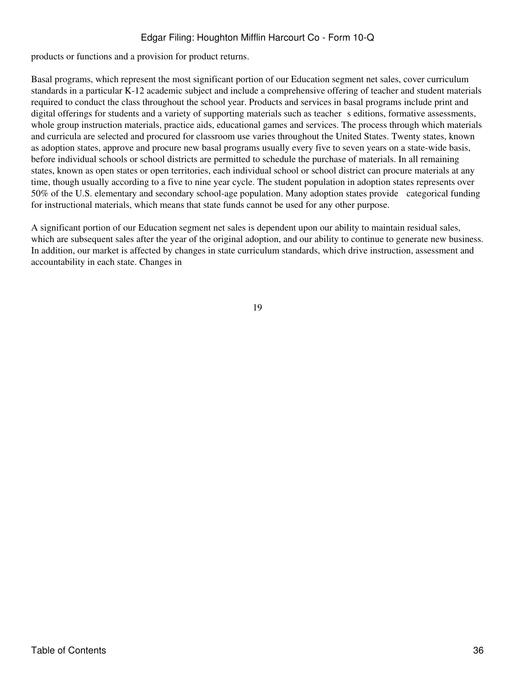products or functions and a provision for product returns.

Basal programs, which represent the most significant portion of our Education segment net sales, cover curriculum standards in a particular K-12 academic subject and include a comprehensive offering of teacher and student materials required to conduct the class throughout the school year. Products and services in basal programs include print and digital offerings for students and a variety of supporting materials such as teacher s editions, formative assessments, whole group instruction materials, practice aids, educational games and services. The process through which materials and curricula are selected and procured for classroom use varies throughout the United States. Twenty states, known as adoption states, approve and procure new basal programs usually every five to seven years on a state-wide basis, before individual schools or school districts are permitted to schedule the purchase of materials. In all remaining states, known as open states or open territories, each individual school or school district can procure materials at any time, though usually according to a five to nine year cycle. The student population in adoption states represents over 50% of the U.S. elementary and secondary school-age population. Many adoption states provide categorical funding for instructional materials, which means that state funds cannot be used for any other purpose.

A significant portion of our Education segment net sales is dependent upon our ability to maintain residual sales, which are subsequent sales after the year of the original adoption, and our ability to continue to generate new business. In addition, our market is affected by changes in state curriculum standards, which drive instruction, assessment and accountability in each state. Changes in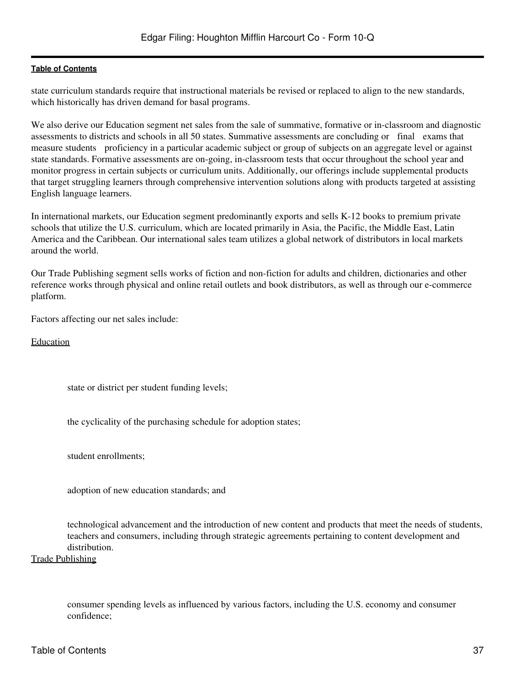state curriculum standards require that instructional materials be revised or replaced to align to the new standards, which historically has driven demand for basal programs.

We also derive our Education segment net sales from the sale of summative, formative or in-classroom and diagnostic assessments to districts and schools in all 50 states. Summative assessments are concluding or final exams that measure students proficiency in a particular academic subject or group of subjects on an aggregate level or against state standards. Formative assessments are on-going, in-classroom tests that occur throughout the school year and monitor progress in certain subjects or curriculum units. Additionally, our offerings include supplemental products that target struggling learners through comprehensive intervention solutions along with products targeted at assisting English language learners.

In international markets, our Education segment predominantly exports and sells K-12 books to premium private schools that utilize the U.S. curriculum, which are located primarily in Asia, the Pacific, the Middle East, Latin America and the Caribbean. Our international sales team utilizes a global network of distributors in local markets around the world.

Our Trade Publishing segment sells works of fiction and non-fiction for adults and children, dictionaries and other reference works through physical and online retail outlets and book distributors, as well as through our e-commerce platform.

Factors affecting our net sales include:

Education

state or district per student funding levels;

the cyclicality of the purchasing schedule for adoption states;

student enrollments;

adoption of new education standards; and

technological advancement and the introduction of new content and products that meet the needs of students, teachers and consumers, including through strategic agreements pertaining to content development and distribution.

Trade Publishing

consumer spending levels as influenced by various factors, including the U.S. economy and consumer confidence;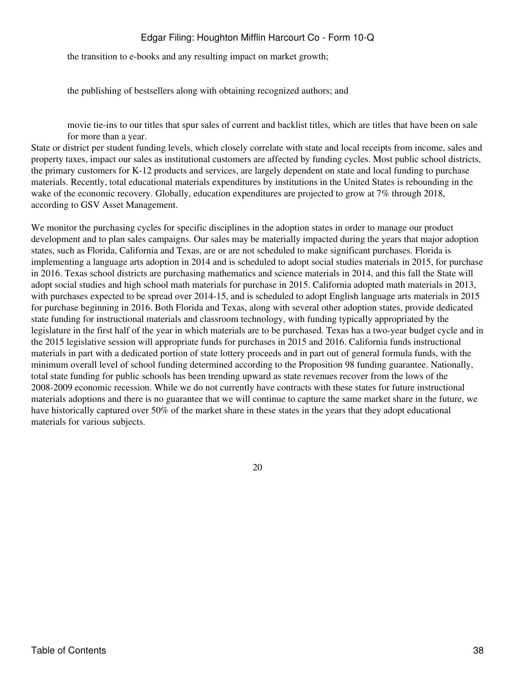the transition to e-books and any resulting impact on market growth;

the publishing of bestsellers along with obtaining recognized authors; and

movie tie-ins to our titles that spur sales of current and backlist titles, which are titles that have been on sale for more than a year.

State or district per student funding levels, which closely correlate with state and local receipts from income, sales and property taxes, impact our sales as institutional customers are affected by funding cycles. Most public school districts, the primary customers for K-12 products and services, are largely dependent on state and local funding to purchase materials. Recently, total educational materials expenditures by institutions in the United States is rebounding in the wake of the economic recovery. Globally, education expenditures are projected to grow at 7% through 2018, according to GSV Asset Management.

We monitor the purchasing cycles for specific disciplines in the adoption states in order to manage our product development and to plan sales campaigns. Our sales may be materially impacted during the years that major adoption states, such as Florida, California and Texas, are or are not scheduled to make significant purchases. Florida is implementing a language arts adoption in 2014 and is scheduled to adopt social studies materials in 2015, for purchase in 2016. Texas school districts are purchasing mathematics and science materials in 2014, and this fall the State will adopt social studies and high school math materials for purchase in 2015. California adopted math materials in 2013, with purchases expected to be spread over 2014-15, and is scheduled to adopt English language arts materials in 2015 for purchase beginning in 2016. Both Florida and Texas, along with several other adoption states, provide dedicated state funding for instructional materials and classroom technology, with funding typically appropriated by the legislature in the first half of the year in which materials are to be purchased. Texas has a two-year budget cycle and in the 2015 legislative session will appropriate funds for purchases in 2015 and 2016. California funds instructional materials in part with a dedicated portion of state lottery proceeds and in part out of general formula funds, with the minimum overall level of school funding determined according to the Proposition 98 funding guarantee. Nationally, total state funding for public schools has been trending upward as state revenues recover from the lows of the 2008-2009 economic recession. While we do not currently have contracts with these states for future instructional materials adoptions and there is no guarantee that we will continue to capture the same market share in the future, we have historically captured over 50% of the market share in these states in the years that they adopt educational materials for various subjects.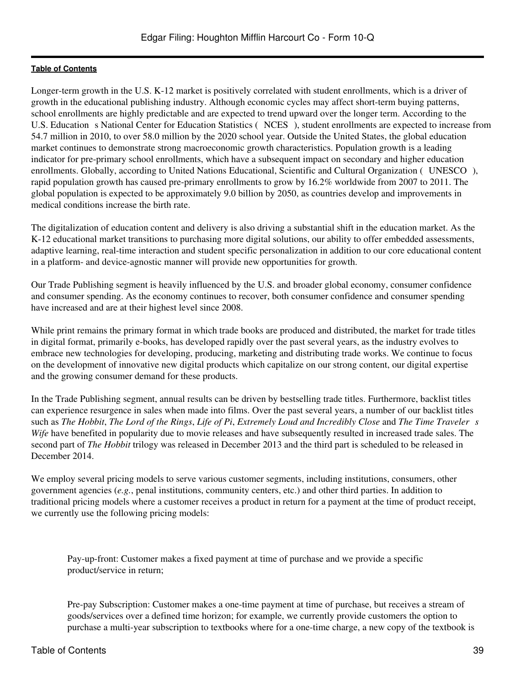Longer-term growth in the U.S. K-12 market is positively correlated with student enrollments, which is a driver of growth in the educational publishing industry. Although economic cycles may affect short-term buying patterns, school enrollments are highly predictable and are expected to trend upward over the longer term. According to the U.S. Education s National Center for Education Statistics (NCES), student enrollments are expected to increase from 54.7 million in 2010, to over 58.0 million by the 2020 school year. Outside the United States, the global education market continues to demonstrate strong macroeconomic growth characteristics. Population growth is a leading indicator for pre-primary school enrollments, which have a subsequent impact on secondary and higher education enrollments. Globally, according to United Nations Educational, Scientific and Cultural Organization (UNESCO), rapid population growth has caused pre-primary enrollments to grow by 16.2% worldwide from 2007 to 2011. The global population is expected to be approximately 9.0 billion by 2050, as countries develop and improvements in medical conditions increase the birth rate.

The digitalization of education content and delivery is also driving a substantial shift in the education market. As the K-12 educational market transitions to purchasing more digital solutions, our ability to offer embedded assessments, adaptive learning, real-time interaction and student specific personalization in addition to our core educational content in a platform- and device-agnostic manner will provide new opportunities for growth.

Our Trade Publishing segment is heavily influenced by the U.S. and broader global economy, consumer confidence and consumer spending. As the economy continues to recover, both consumer confidence and consumer spending have increased and are at their highest level since 2008.

While print remains the primary format in which trade books are produced and distributed, the market for trade titles in digital format, primarily e-books, has developed rapidly over the past several years, as the industry evolves to embrace new technologies for developing, producing, marketing and distributing trade works. We continue to focus on the development of innovative new digital products which capitalize on our strong content, our digital expertise and the growing consumer demand for these products.

In the Trade Publishing segment, annual results can be driven by bestselling trade titles. Furthermore, backlist titles can experience resurgence in sales when made into films. Over the past several years, a number of our backlist titles such as *The Hobbit*, *The Lord of the Rings*, *Life of Pi*, *Extremely Loud and Incredibly Close* and *The Time Travelers Wife* have benefited in popularity due to movie releases and have subsequently resulted in increased trade sales. The second part of *The Hobbit* trilogy was released in December 2013 and the third part is scheduled to be released in December 2014.

We employ several pricing models to serve various customer segments, including institutions, consumers, other government agencies (*e.g.*, penal institutions, community centers, etc.) and other third parties. In addition to traditional pricing models where a customer receives a product in return for a payment at the time of product receipt, we currently use the following pricing models:

Pay-up-front: Customer makes a fixed payment at time of purchase and we provide a specific product/service in return;

Pre-pay Subscription: Customer makes a one-time payment at time of purchase, but receives a stream of goods/services over a defined time horizon; for example, we currently provide customers the option to purchase a multi-year subscription to textbooks where for a one-time charge, a new copy of the textbook is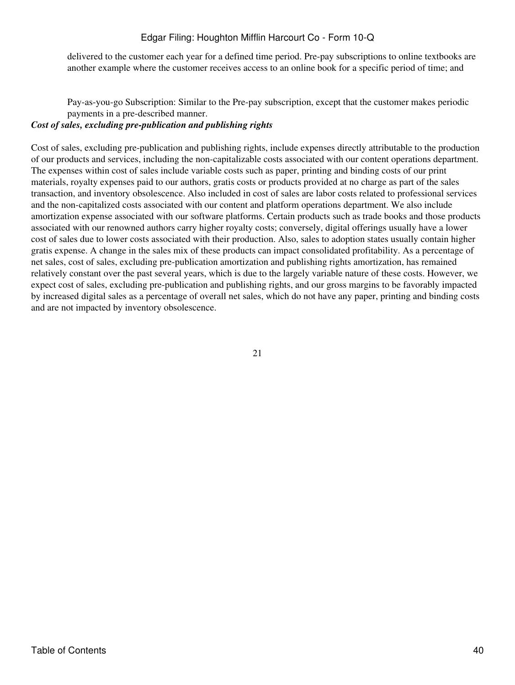delivered to the customer each year for a defined time period. Pre-pay subscriptions to online textbooks are another example where the customer receives access to an online book for a specific period of time; and

Pay-as-you-go Subscription: Similar to the Pre-pay subscription, except that the customer makes periodic payments in a pre-described manner.

# *Cost of sales, excluding pre-publication and publishing rights*

Cost of sales, excluding pre-publication and publishing rights, include expenses directly attributable to the production of our products and services, including the non-capitalizable costs associated with our content operations department. The expenses within cost of sales include variable costs such as paper, printing and binding costs of our print materials, royalty expenses paid to our authors, gratis costs or products provided at no charge as part of the sales transaction, and inventory obsolescence. Also included in cost of sales are labor costs related to professional services and the non-capitalized costs associated with our content and platform operations department. We also include amortization expense associated with our software platforms. Certain products such as trade books and those products associated with our renowned authors carry higher royalty costs; conversely, digital offerings usually have a lower cost of sales due to lower costs associated with their production. Also, sales to adoption states usually contain higher gratis expense. A change in the sales mix of these products can impact consolidated profitability. As a percentage of net sales, cost of sales, excluding pre-publication amortization and publishing rights amortization, has remained relatively constant over the past several years, which is due to the largely variable nature of these costs. However, we expect cost of sales, excluding pre-publication and publishing rights, and our gross margins to be favorably impacted by increased digital sales as a percentage of overall net sales, which do not have any paper, printing and binding costs and are not impacted by inventory obsolescence.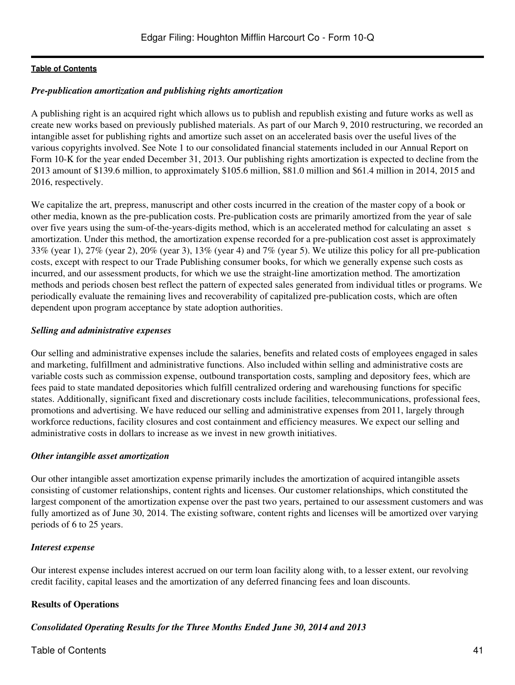### *Pre-publication amortization and publishing rights amortization*

A publishing right is an acquired right which allows us to publish and republish existing and future works as well as create new works based on previously published materials. As part of our March 9, 2010 restructuring, we recorded an intangible asset for publishing rights and amortize such asset on an accelerated basis over the useful lives of the various copyrights involved. See Note 1 to our consolidated financial statements included in our Annual Report on Form 10-K for the year ended December 31, 2013. Our publishing rights amortization is expected to decline from the 2013 amount of \$139.6 million, to approximately \$105.6 million, \$81.0 million and \$61.4 million in 2014, 2015 and 2016, respectively.

We capitalize the art, prepress, manuscript and other costs incurred in the creation of the master copy of a book or other media, known as the pre-publication costs. Pre-publication costs are primarily amortized from the year of sale over five years using the sum-of-the-years-digits method, which is an accelerated method for calculating an asset s amortization. Under this method, the amortization expense recorded for a pre-publication cost asset is approximately 33% (year 1), 27% (year 2), 20% (year 3), 13% (year 4) and 7% (year 5). We utilize this policy for all pre-publication costs, except with respect to our Trade Publishing consumer books, for which we generally expense such costs as incurred, and our assessment products, for which we use the straight-line amortization method. The amortization methods and periods chosen best reflect the pattern of expected sales generated from individual titles or programs. We periodically evaluate the remaining lives and recoverability of capitalized pre-publication costs, which are often dependent upon program acceptance by state adoption authorities.

### *Selling and administrative expenses*

Our selling and administrative expenses include the salaries, benefits and related costs of employees engaged in sales and marketing, fulfillment and administrative functions. Also included within selling and administrative costs are variable costs such as commission expense, outbound transportation costs, sampling and depository fees, which are fees paid to state mandated depositories which fulfill centralized ordering and warehousing functions for specific states. Additionally, significant fixed and discretionary costs include facilities, telecommunications, professional fees, promotions and advertising. We have reduced our selling and administrative expenses from 2011, largely through workforce reductions, facility closures and cost containment and efficiency measures. We expect our selling and administrative costs in dollars to increase as we invest in new growth initiatives.

#### *Other intangible asset amortization*

Our other intangible asset amortization expense primarily includes the amortization of acquired intangible assets consisting of customer relationships, content rights and licenses. Our customer relationships, which constituted the largest component of the amortization expense over the past two years, pertained to our assessment customers and was fully amortized as of June 30, 2014. The existing software, content rights and licenses will be amortized over varying periods of 6 to 25 years.

#### *Interest expense*

Our interest expense includes interest accrued on our term loan facility along with, to a lesser extent, our revolving credit facility, capital leases and the amortization of any deferred financing fees and loan discounts.

# **Results of Operations**

*Consolidated Operating Results for the Three Months Ended June 30, 2014 and 2013*

# Table of Contents 41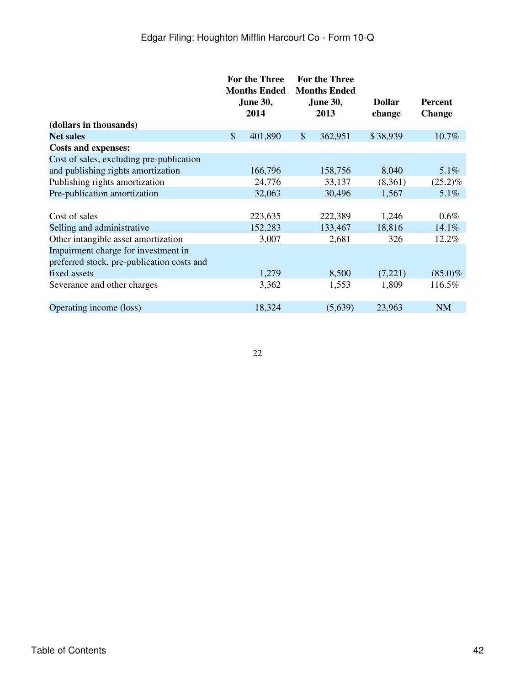|                                            |               | <b>For the Three</b><br><b>Months Ended</b><br><b>June 30,</b><br>2014 |                           | <b>For the Three</b><br><b>Months Ended</b><br><b>June 30,</b><br>2013 | <b>Dollar</b><br>change | Percent<br><b>Change</b> |
|--------------------------------------------|---------------|------------------------------------------------------------------------|---------------------------|------------------------------------------------------------------------|-------------------------|--------------------------|
| (dollars in thousands)                     |               |                                                                        |                           |                                                                        |                         |                          |
| <b>Net sales</b>                           | $\mathcal{S}$ | 401,890                                                                | $\boldsymbol{\mathsf{S}}$ | 362,951                                                                | \$38,939                | 10.7%                    |
| <b>Costs and expenses:</b>                 |               |                                                                        |                           |                                                                        |                         |                          |
| Cost of sales, excluding pre-publication   |               |                                                                        |                           |                                                                        |                         |                          |
| and publishing rights amortization         |               | 166,796                                                                |                           | 158,756                                                                | 8,040                   | $5.1\%$                  |
| Publishing rights amortization             |               | 24,776                                                                 |                           | 33,137                                                                 | (8,361)                 | $(25.2)\%$               |
| Pre-publication amortization               |               | 32,063                                                                 |                           | 30,496                                                                 | 1,567                   | 5.1%                     |
|                                            |               |                                                                        |                           |                                                                        |                         |                          |
| Cost of sales                              |               | 223,635                                                                |                           | 222,389                                                                | 1,246                   | $0.6\%$                  |
| Selling and administrative                 |               | 152,283                                                                |                           | 133,467                                                                | 18,816                  | 14.1%                    |
| Other intangible asset amortization        |               | 3,007                                                                  |                           | 2,681                                                                  | 326                     | 12.2%                    |
| Impairment charge for investment in        |               |                                                                        |                           |                                                                        |                         |                          |
| preferred stock, pre-publication costs and |               |                                                                        |                           |                                                                        |                         |                          |
| fixed assets                               |               | 1,279                                                                  |                           | 8,500                                                                  | (7,221)                 | $(85.0)\%$               |
| Severance and other charges                |               | 3,362                                                                  |                           | 1,553                                                                  | 1,809                   | 116.5%                   |
|                                            |               |                                                                        |                           |                                                                        |                         |                          |
| Operating income (loss)                    |               | 18,324                                                                 |                           | (5,639)                                                                | 23,963                  | <b>NM</b>                |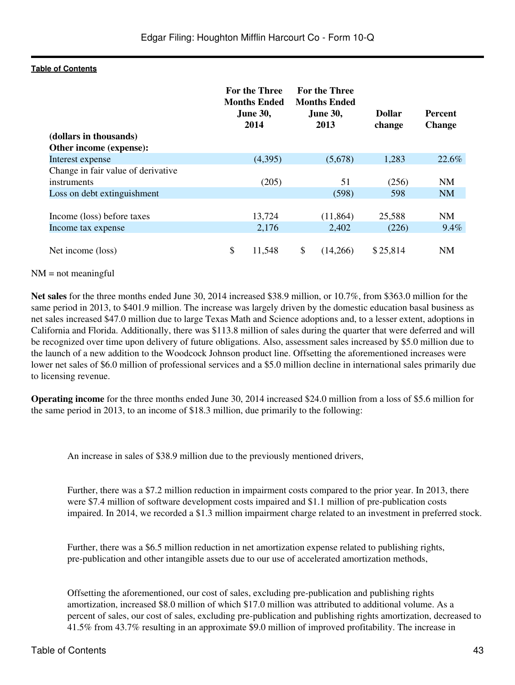|                                    | For the Three<br><b>Months Ended</b><br><b>June 30,</b><br>2014 |         | <b>For the Three</b><br><b>Months Ended</b><br><b>June 30,</b><br>2013 | <b>Dollar</b><br>change | <b>Percent</b><br><b>Change</b> |
|------------------------------------|-----------------------------------------------------------------|---------|------------------------------------------------------------------------|-------------------------|---------------------------------|
| (dollars in thousands)             |                                                                 |         |                                                                        |                         |                                 |
| Other income (expense):            |                                                                 |         |                                                                        |                         |                                 |
| Interest expense                   |                                                                 | (4,395) | (5,678)                                                                | 1,283                   | 22.6%                           |
| Change in fair value of derivative |                                                                 |         |                                                                        |                         |                                 |
| instruments                        |                                                                 | (205)   | 51                                                                     | (256)                   | <b>NM</b>                       |
| Loss on debt extinguishment        |                                                                 |         | (598)                                                                  | 598                     | <b>NM</b>                       |
|                                    |                                                                 |         |                                                                        |                         |                                 |
| Income (loss) before taxes         |                                                                 | 13,724  | (11, 864)                                                              | 25,588                  | NM                              |
| Income tax expense                 |                                                                 | 2,176   | 2,402                                                                  | (226)                   | 9.4%                            |
|                                    |                                                                 |         |                                                                        |                         |                                 |
| Net income (loss)                  | \$                                                              | 11,548  | \$<br>(14,266)                                                         | \$25,814                | <b>NM</b>                       |

#### $NM = not meaningful$

**Net sales** for the three months ended June 30, 2014 increased \$38.9 million, or 10.7%, from \$363.0 million for the same period in 2013, to \$401.9 million. The increase was largely driven by the domestic education basal business as net sales increased \$47.0 million due to large Texas Math and Science adoptions and, to a lesser extent, adoptions in California and Florida. Additionally, there was \$113.8 million of sales during the quarter that were deferred and will be recognized over time upon delivery of future obligations. Also, assessment sales increased by \$5.0 million due to the launch of a new addition to the Woodcock Johnson product line. Offsetting the aforementioned increases were lower net sales of \$6.0 million of professional services and a \$5.0 million decline in international sales primarily due to licensing revenue.

**Operating income** for the three months ended June 30, 2014 increased \$24.0 million from a loss of \$5.6 million for the same period in 2013, to an income of \$18.3 million, due primarily to the following:

An increase in sales of \$38.9 million due to the previously mentioned drivers,

Further, there was a \$7.2 million reduction in impairment costs compared to the prior year. In 2013, there were \$7.4 million of software development costs impaired and \$1.1 million of pre-publication costs impaired. In 2014, we recorded a \$1.3 million impairment charge related to an investment in preferred stock.

Further, there was a \$6.5 million reduction in net amortization expense related to publishing rights, pre-publication and other intangible assets due to our use of accelerated amortization methods,

Offsetting the aforementioned, our cost of sales, excluding pre-publication and publishing rights amortization, increased \$8.0 million of which \$17.0 million was attributed to additional volume. As a percent of sales, our cost of sales, excluding pre-publication and publishing rights amortization, decreased to 41.5% from 43.7% resulting in an approximate \$9.0 million of improved profitability. The increase in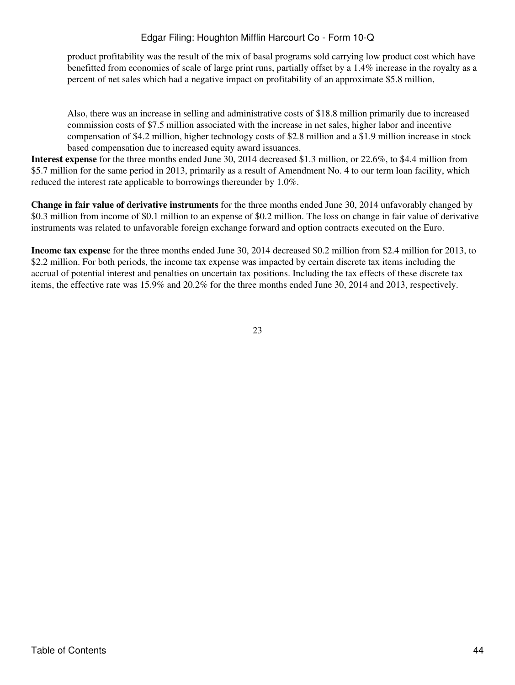product profitability was the result of the mix of basal programs sold carrying low product cost which have benefitted from economies of scale of large print runs, partially offset by a 1.4% increase in the royalty as a percent of net sales which had a negative impact on profitability of an approximate \$5.8 million,

Also, there was an increase in selling and administrative costs of \$18.8 million primarily due to increased commission costs of \$7.5 million associated with the increase in net sales, higher labor and incentive compensation of \$4.2 million, higher technology costs of \$2.8 million and a \$1.9 million increase in stock based compensation due to increased equity award issuances.

**Interest expense** for the three months ended June 30, 2014 decreased \$1.3 million, or 22.6%, to \$4.4 million from \$5.7 million for the same period in 2013, primarily as a result of Amendment No. 4 to our term loan facility, which reduced the interest rate applicable to borrowings thereunder by 1.0%.

**Change in fair value of derivative instruments** for the three months ended June 30, 2014 unfavorably changed by \$0.3 million from income of \$0.1 million to an expense of \$0.2 million. The loss on change in fair value of derivative instruments was related to unfavorable foreign exchange forward and option contracts executed on the Euro.

**Income tax expense** for the three months ended June 30, 2014 decreased \$0.2 million from \$2.4 million for 2013, to \$2.2 million. For both periods, the income tax expense was impacted by certain discrete tax items including the accrual of potential interest and penalties on uncertain tax positions. Including the tax effects of these discrete tax items, the effective rate was 15.9% and 20.2% for the three months ended June 30, 2014 and 2013, respectively.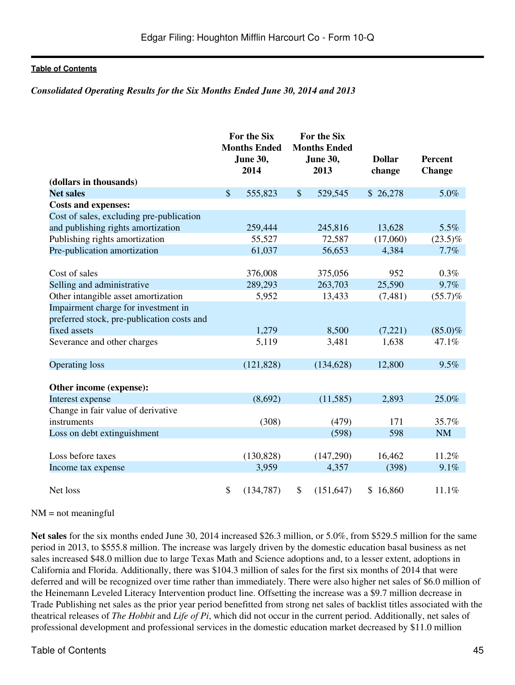#### *Consolidated Operating Results for the Six Months Ended June 30, 2014 and 2013*

|                                            |               | For the Six<br><b>Months Ended</b><br><b>June 30,</b><br>2014 |                           | For the Six<br><b>Months Ended</b><br>June 30,<br>2013 | <b>Dollar</b><br>change | <b>Percent</b><br><b>Change</b> |
|--------------------------------------------|---------------|---------------------------------------------------------------|---------------------------|--------------------------------------------------------|-------------------------|---------------------------------|
| (dollars in thousands)                     |               |                                                               |                           |                                                        |                         |                                 |
| <b>Net sales</b>                           | $\mathcal{S}$ | 555,823                                                       | $\boldsymbol{\mathsf{S}}$ | 529,545                                                | \$26,278                | 5.0%                            |
| <b>Costs and expenses:</b>                 |               |                                                               |                           |                                                        |                         |                                 |
| Cost of sales, excluding pre-publication   |               |                                                               |                           |                                                        |                         |                                 |
| and publishing rights amortization         |               | 259,444                                                       |                           | 245,816                                                | 13,628                  | 5.5%                            |
| Publishing rights amortization             |               | 55,527                                                        |                           | 72,587                                                 | (17,060)                | $(23.5)\%$                      |
| Pre-publication amortization               |               | 61,037                                                        |                           | 56,653                                                 | 4,384                   | 7.7%                            |
|                                            |               |                                                               |                           |                                                        |                         |                                 |
| Cost of sales                              |               | 376,008                                                       |                           | 375,056                                                | 952                     | 0.3%                            |
| Selling and administrative                 |               | 289,293                                                       |                           | 263,703                                                | 25,590                  | 9.7%                            |
| Other intangible asset amortization        |               | 5,952                                                         |                           | 13,433                                                 | (7,481)                 | (55.7)%                         |
| Impairment charge for investment in        |               |                                                               |                           |                                                        |                         |                                 |
| preferred stock, pre-publication costs and |               |                                                               |                           |                                                        |                         |                                 |
| fixed assets                               |               | 1,279                                                         |                           | 8,500                                                  | (7,221)                 | $(85.0)\%$                      |
| Severance and other charges                |               | 5,119                                                         |                           | 3,481                                                  | 1,638                   | 47.1%                           |
| <b>Operating loss</b>                      |               | (121, 828)                                                    |                           | (134, 628)                                             | 12,800                  | 9.5%                            |
| Other income (expense):                    |               |                                                               |                           |                                                        |                         |                                 |
| Interest expense                           |               | (8,692)                                                       |                           | (11, 585)                                              | 2,893                   | 25.0%                           |
| Change in fair value of derivative         |               |                                                               |                           |                                                        |                         |                                 |
| instruments                                |               | (308)                                                         |                           | (479)                                                  | 171                     | 35.7%                           |
| Loss on debt extinguishment                |               |                                                               |                           | (598)                                                  | 598                     | <b>NM</b>                       |
|                                            |               |                                                               |                           |                                                        |                         |                                 |
| Loss before taxes                          |               | (130, 828)                                                    |                           | (147,290)                                              | 16,462                  | 11.2%                           |
| Income tax expense                         |               | 3,959                                                         |                           | 4,357                                                  | (398)                   | 9.1%                            |
|                                            |               |                                                               |                           |                                                        |                         |                                 |
| Net loss                                   | \$            | (134, 787)                                                    | \$                        | (151, 647)                                             | \$16,860                | 11.1%                           |

#### $NM = not meaningful$

**Net sales** for the six months ended June 30, 2014 increased \$26.3 million, or 5.0%, from \$529.5 million for the same period in 2013, to \$555.8 million. The increase was largely driven by the domestic education basal business as net sales increased \$48.0 million due to large Texas Math and Science adoptions and, to a lesser extent, adoptions in California and Florida. Additionally, there was \$104.3 million of sales for the first six months of 2014 that were deferred and will be recognized over time rather than immediately. There were also higher net sales of \$6.0 million of the Heinemann Leveled Literacy Intervention product line. Offsetting the increase was a \$9.7 million decrease in Trade Publishing net sales as the prior year period benefitted from strong net sales of backlist titles associated with the theatrical releases of *The Hobbit* and *Life of Pi*, which did not occur in the current period. Additionally, net sales of professional development and professional services in the domestic education market decreased by \$11.0 million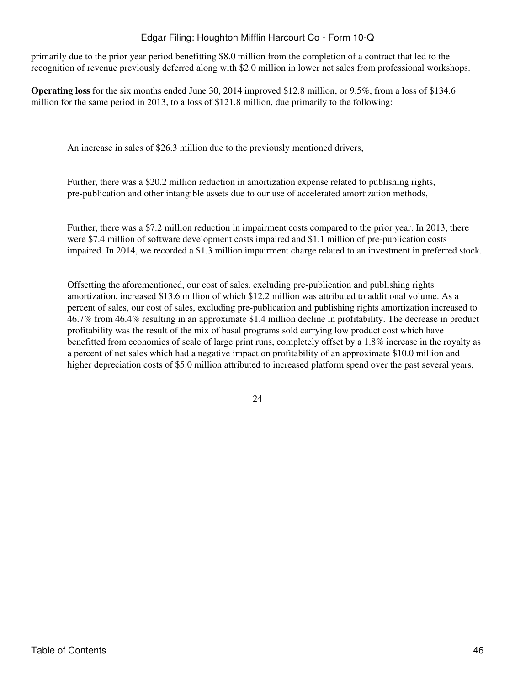primarily due to the prior year period benefitting \$8.0 million from the completion of a contract that led to the recognition of revenue previously deferred along with \$2.0 million in lower net sales from professional workshops.

**Operating loss** for the six months ended June 30, 2014 improved \$12.8 million, or 9.5%, from a loss of \$134.6 million for the same period in 2013, to a loss of \$121.8 million, due primarily to the following:

An increase in sales of \$26.3 million due to the previously mentioned drivers,

Further, there was a \$20.2 million reduction in amortization expense related to publishing rights, pre-publication and other intangible assets due to our use of accelerated amortization methods,

Further, there was a \$7.2 million reduction in impairment costs compared to the prior year. In 2013, there were \$7.4 million of software development costs impaired and \$1.1 million of pre-publication costs impaired. In 2014, we recorded a \$1.3 million impairment charge related to an investment in preferred stock.

Offsetting the aforementioned, our cost of sales, excluding pre-publication and publishing rights amortization, increased \$13.6 million of which \$12.2 million was attributed to additional volume. As a percent of sales, our cost of sales, excluding pre-publication and publishing rights amortization increased to 46.7% from 46.4% resulting in an approximate \$1.4 million decline in profitability. The decrease in product profitability was the result of the mix of basal programs sold carrying low product cost which have benefitted from economies of scale of large print runs, completely offset by a 1.8% increase in the royalty as a percent of net sales which had a negative impact on profitability of an approximate \$10.0 million and higher depreciation costs of \$5.0 million attributed to increased platform spend over the past several years,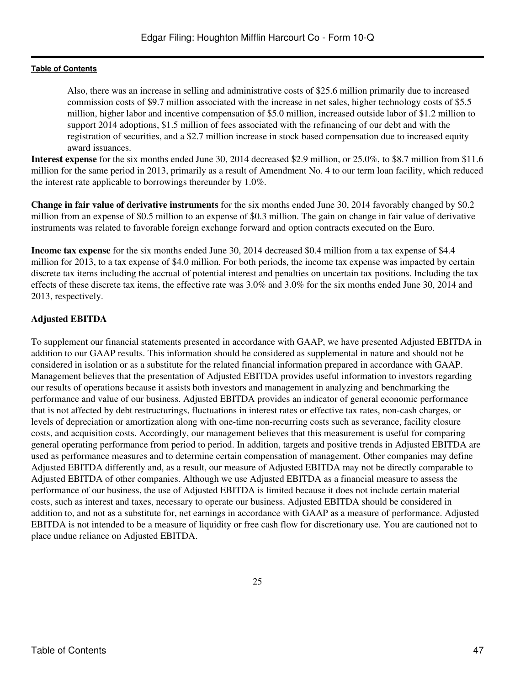Also, there was an increase in selling and administrative costs of \$25.6 million primarily due to increased commission costs of \$9.7 million associated with the increase in net sales, higher technology costs of \$5.5 million, higher labor and incentive compensation of \$5.0 million, increased outside labor of \$1.2 million to support 2014 adoptions, \$1.5 million of fees associated with the refinancing of our debt and with the registration of securities, and a \$2.7 million increase in stock based compensation due to increased equity award issuances.

**Interest expense** for the six months ended June 30, 2014 decreased \$2.9 million, or 25.0%, to \$8.7 million from \$11.6 million for the same period in 2013, primarily as a result of Amendment No. 4 to our term loan facility, which reduced the interest rate applicable to borrowings thereunder by 1.0%.

**Change in fair value of derivative instruments** for the six months ended June 30, 2014 favorably changed by \$0.2 million from an expense of \$0.5 million to an expense of \$0.3 million. The gain on change in fair value of derivative instruments was related to favorable foreign exchange forward and option contracts executed on the Euro.

**Income tax expense** for the six months ended June 30, 2014 decreased \$0.4 million from a tax expense of \$4.4 million for 2013, to a tax expense of \$4.0 million. For both periods, the income tax expense was impacted by certain discrete tax items including the accrual of potential interest and penalties on uncertain tax positions. Including the tax effects of these discrete tax items, the effective rate was 3.0% and 3.0% for the six months ended June 30, 2014 and 2013, respectively.

### **Adjusted EBITDA**

To supplement our financial statements presented in accordance with GAAP, we have presented Adjusted EBITDA in addition to our GAAP results. This information should be considered as supplemental in nature and should not be considered in isolation or as a substitute for the related financial information prepared in accordance with GAAP. Management believes that the presentation of Adjusted EBITDA provides useful information to investors regarding our results of operations because it assists both investors and management in analyzing and benchmarking the performance and value of our business. Adjusted EBITDA provides an indicator of general economic performance that is not affected by debt restructurings, fluctuations in interest rates or effective tax rates, non-cash charges, or levels of depreciation or amortization along with one-time non-recurring costs such as severance, facility closure costs, and acquisition costs. Accordingly, our management believes that this measurement is useful for comparing general operating performance from period to period. In addition, targets and positive trends in Adjusted EBITDA are used as performance measures and to determine certain compensation of management. Other companies may define Adjusted EBITDA differently and, as a result, our measure of Adjusted EBITDA may not be directly comparable to Adjusted EBITDA of other companies. Although we use Adjusted EBITDA as a financial measure to assess the performance of our business, the use of Adjusted EBITDA is limited because it does not include certain material costs, such as interest and taxes, necessary to operate our business. Adjusted EBITDA should be considered in addition to, and not as a substitute for, net earnings in accordance with GAAP as a measure of performance. Adjusted EBITDA is not intended to be a measure of liquidity or free cash flow for discretionary use. You are cautioned not to place undue reliance on Adjusted EBITDA.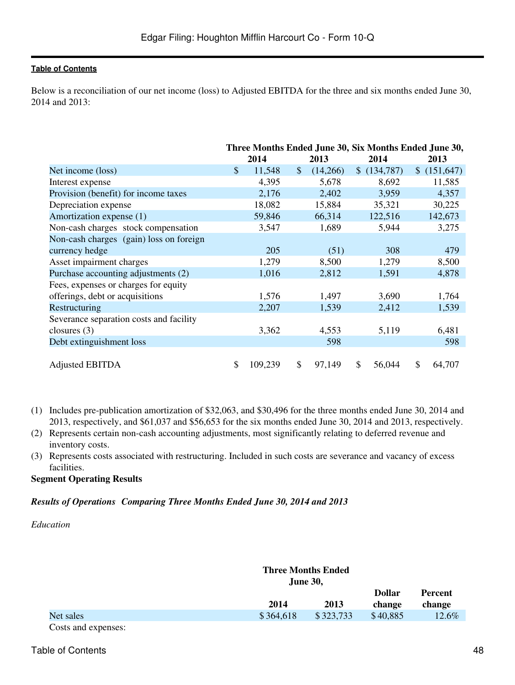Below is a reconciliation of our net income (loss) to Adjusted EBITDA for the three and six months ended June 30, 2014 and 2013:

|                                         |    | Three Months Ended June 30, Six Months Ended June 30, |              |          |              |              |
|-----------------------------------------|----|-------------------------------------------------------|--------------|----------|--------------|--------------|
|                                         |    | 2014                                                  |              | 2013     | 2014         | 2013         |
| Net income (loss)                       | \$ | 11,548                                                | $\mathbb{S}$ | (14,266) | \$(134,787)  | \$(151,647)  |
| Interest expense                        |    | 4,395                                                 |              | 5,678    | 8,692        | 11,585       |
| Provision (benefit) for income taxes    |    | 2,176                                                 |              | 2,402    | 3,959        | 4,357        |
| Depreciation expense                    |    | 18,082                                                |              | 15,884   | 35,321       | 30,225       |
| Amortization expense (1)                |    | 59,846                                                |              | 66,314   | 122,516      | 142,673      |
| Non-cash charges stock compensation     |    | 3,547                                                 |              | 1,689    | 5,944        | 3,275        |
| Non-cash charges (gain) loss on foreign |    |                                                       |              |          |              |              |
| currency hedge                          |    | 205                                                   |              | (51)     | 308          | 479          |
| Asset impairment charges                |    | 1,279                                                 |              | 8,500    | 1,279        | 8,500        |
| Purchase accounting adjustments (2)     |    | 1,016                                                 |              | 2,812    | 1,591        | 4,878        |
| Fees, expenses or charges for equity    |    |                                                       |              |          |              |              |
| offerings, debt or acquisitions         |    | 1,576                                                 |              | 1,497    | 3,690        | 1,764        |
| Restructuring                           |    | 2,207                                                 |              | 1,539    | 2,412        | 1,539        |
| Severance separation costs and facility |    |                                                       |              |          |              |              |
| closures $(3)$                          |    | 3,362                                                 |              | 4,553    | 5,119        | 6,481        |
| Debt extinguishment loss                |    |                                                       |              | 598      |              | 598          |
|                                         |    |                                                       |              |          |              |              |
| <b>Adjusted EBITDA</b>                  | S  | 109,239                                               | \$           | 97,149   | \$<br>56,044 | \$<br>64,707 |

- (1) Includes pre-publication amortization of \$32,063, and \$30,496 for the three months ended June 30, 2014 and 2013, respectively, and \$61,037 and \$56,653 for the six months ended June 30, 2014 and 2013, respectively.
- (2) Represents certain non-cash accounting adjustments, most significantly relating to deferred revenue and inventory costs.
- (3) Represents costs associated with restructuring. Included in such costs are severance and vacancy of excess facilities.

#### **Segment Operating Results**

# *Results of OperationsComparing Three Months Ended June 30, 2014 and 2013*

*Education*

|                     |           | <b>Three Months Ended</b><br><b>June 30,</b> |                         |                          |  |
|---------------------|-----------|----------------------------------------------|-------------------------|--------------------------|--|
|                     | 2014      | 2013                                         | <b>Dollar</b><br>change | <b>Percent</b><br>change |  |
| Net sales           | \$364,618 | \$323,733                                    | \$40,885                | 12.6%                    |  |
| Costs and expenses: |           |                                              |                         |                          |  |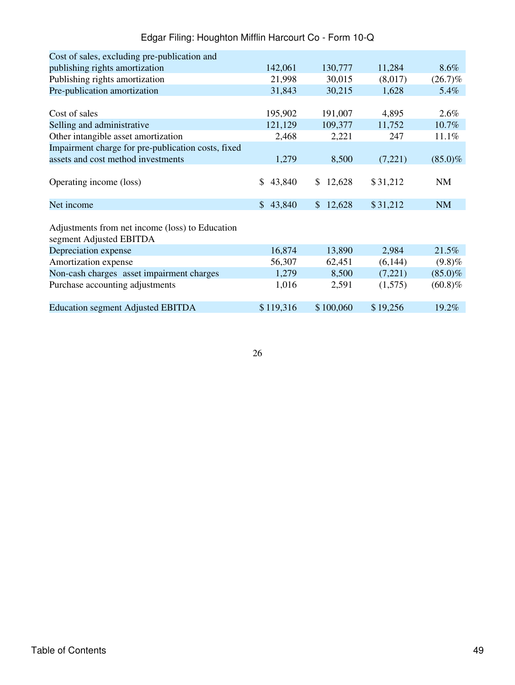| Cost of sales, excluding pre-publication and       |               |                          |          |            |
|----------------------------------------------------|---------------|--------------------------|----------|------------|
| publishing rights amortization                     | 142,061       | 130,777                  | 11,284   | 8.6%       |
| Publishing rights amortization                     | 21,998        | 30,015                   | (8,017)  | $(26.7)\%$ |
| Pre-publication amortization                       | 31,843        | 30,215                   | 1,628    | 5.4%       |
|                                                    |               |                          |          |            |
| Cost of sales                                      | 195,902       | 191,007                  | 4,895    | $2.6\%$    |
| Selling and administrative                         | 121,129       | 109,377                  | 11,752   | 10.7%      |
| Other intangible asset amortization                | 2,468         | 2,221                    | 247      | 11.1%      |
| Impairment charge for pre-publication costs, fixed |               |                          |          |            |
| assets and cost method investments                 | 1,279         | 8,500                    | (7,221)  | $(85.0)\%$ |
|                                                    |               |                          |          |            |
| Operating income (loss)                            | 43,840<br>\$. | 12,628<br>$\mathbb{S}^-$ | \$31,212 | NM         |
| Net income                                         | \$43,840      | 12,628<br>$\mathbb{S}^-$ | \$31,212 | <b>NM</b>  |
|                                                    |               |                          |          |            |
| Adjustments from net income (loss) to Education    |               |                          |          |            |
| segment Adjusted EBITDA                            |               |                          |          |            |
| Depreciation expense                               | 16,874        | 13,890                   | 2,984    | 21.5%      |
| Amortization expense                               | 56,307        | 62,451                   | (6,144)  | (9.8)%     |
| Non-cash charges asset impairment charges          | 1,279         | 8,500                    | (7,221)  | $(85.0)\%$ |
| Purchase accounting adjustments                    | 1,016         | 2,591                    | (1,575)  | $(60.8)\%$ |
|                                                    |               |                          |          |            |
| <b>Education segment Adjusted EBITDA</b>           | \$119,316     | \$100,060                | \$19,256 | 19.2%      |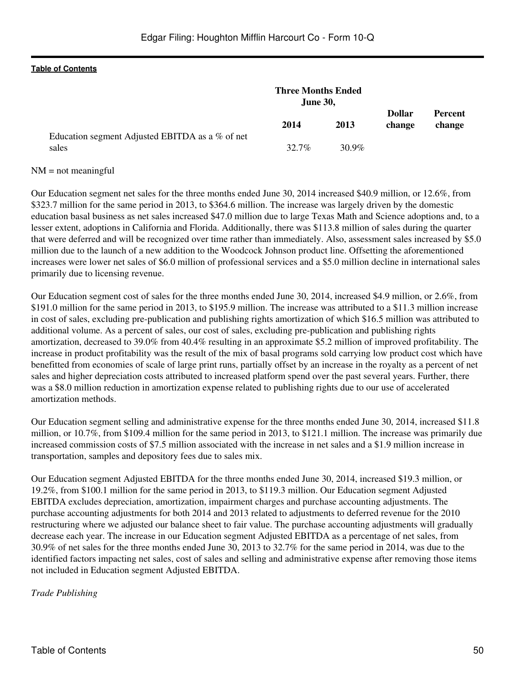|                                                          | <b>Three Months Ended</b><br><b>June 30,</b> |          |                         |                          |
|----------------------------------------------------------|----------------------------------------------|----------|-------------------------|--------------------------|
|                                                          | 2014                                         | 2013     | <b>Dollar</b><br>change | <b>Percent</b><br>change |
| Education segment Adjusted EBITDA as a % of net<br>sales | $32.7\%$                                     | $30.9\%$ |                         |                          |

#### $NM = not meaningful$

Our Education segment net sales for the three months ended June 30, 2014 increased \$40.9 million, or 12.6%, from \$323.7 million for the same period in 2013, to \$364.6 million. The increase was largely driven by the domestic education basal business as net sales increased \$47.0 million due to large Texas Math and Science adoptions and, to a lesser extent, adoptions in California and Florida. Additionally, there was \$113.8 million of sales during the quarter that were deferred and will be recognized over time rather than immediately. Also, assessment sales increased by \$5.0 million due to the launch of a new addition to the Woodcock Johnson product line. Offsetting the aforementioned increases were lower net sales of \$6.0 million of professional services and a \$5.0 million decline in international sales primarily due to licensing revenue.

Our Education segment cost of sales for the three months ended June 30, 2014, increased \$4.9 million, or 2.6%, from \$191.0 million for the same period in 2013, to \$195.9 million. The increase was attributed to a \$11.3 million increase in cost of sales, excluding pre-publication and publishing rights amortization of which \$16.5 million was attributed to additional volume. As a percent of sales, our cost of sales, excluding pre-publication and publishing rights amortization, decreased to 39.0% from 40.4% resulting in an approximate \$5.2 million of improved profitability. The increase in product profitability was the result of the mix of basal programs sold carrying low product cost which have benefitted from economies of scale of large print runs, partially offset by an increase in the royalty as a percent of net sales and higher depreciation costs attributed to increased platform spend over the past several years. Further, there was a \$8.0 million reduction in amortization expense related to publishing rights due to our use of accelerated amortization methods.

Our Education segment selling and administrative expense for the three months ended June 30, 2014, increased \$11.8 million, or 10.7%, from \$109.4 million for the same period in 2013, to \$121.1 million. The increase was primarily due increased commission costs of \$7.5 million associated with the increase in net sales and a \$1.9 million increase in transportation, samples and depository fees due to sales mix.

Our Education segment Adjusted EBITDA for the three months ended June 30, 2014, increased \$19.3 million, or 19.2%, from \$100.1 million for the same period in 2013, to \$119.3 million. Our Education segment Adjusted EBITDA excludes depreciation, amortization, impairment charges and purchase accounting adjustments. The purchase accounting adjustments for both 2014 and 2013 related to adjustments to deferred revenue for the 2010 restructuring where we adjusted our balance sheet to fair value. The purchase accounting adjustments will gradually decrease each year. The increase in our Education segment Adjusted EBITDA as a percentage of net sales, from 30.9% of net sales for the three months ended June 30, 2013 to 32.7% for the same period in 2014, was due to the identified factors impacting net sales, cost of sales and selling and administrative expense after removing those items not included in Education segment Adjusted EBITDA.

*Trade Publishing*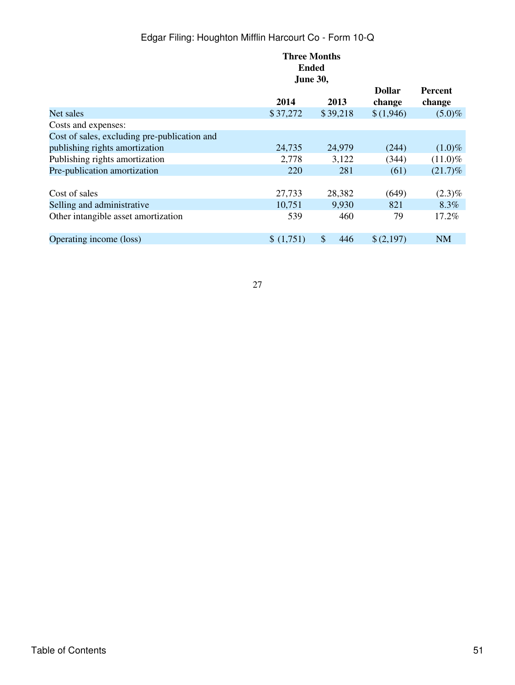|                                              | <b>Three Months</b> |           |               |            |  |  |  |
|----------------------------------------------|---------------------|-----------|---------------|------------|--|--|--|
|                                              | <b>Ended</b>        |           |               |            |  |  |  |
|                                              | <b>June 30,</b>     |           |               |            |  |  |  |
|                                              |                     |           | <b>Dollar</b> | Percent    |  |  |  |
|                                              | 2014                | 2013      | change        | change     |  |  |  |
| Net sales                                    | \$37,272            | \$39,218  | \$(1,946)     | $(5.0)\%$  |  |  |  |
| Costs and expenses:                          |                     |           |               |            |  |  |  |
| Cost of sales, excluding pre-publication and |                     |           |               |            |  |  |  |
| publishing rights amortization               | 24,735              | 24,979    | (244)         | $(1.0)\%$  |  |  |  |
| Publishing rights amortization               | 2,778               | 3,122     | (344)         | $(11.0)\%$ |  |  |  |
| Pre-publication amortization                 | 220                 | 281       | (61)          | $(21.7)\%$ |  |  |  |
|                                              |                     |           |               |            |  |  |  |
| Cost of sales                                | 27,733              | 28,382    | (649)         | $(2.3)\%$  |  |  |  |
| Selling and administrative                   | 10,751              | 9,930     | 821           | 8.3%       |  |  |  |
| Other intangible asset amortization          | 539                 | 460       | 79            | 17.2%      |  |  |  |
|                                              |                     |           |               |            |  |  |  |
| Operating income (loss)                      | \$(1,751)           | 446<br>\$ | \$(2,197)     | <b>NM</b>  |  |  |  |
|                                              |                     |           |               |            |  |  |  |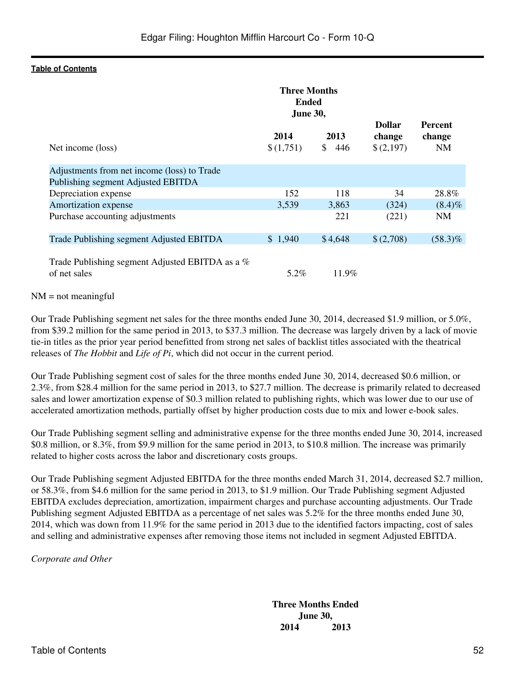|                                                                                   | <b>Three Months</b><br><b>Ended</b><br><b>June 30,</b> |                   |                                      |                                |
|-----------------------------------------------------------------------------------|--------------------------------------------------------|-------------------|--------------------------------------|--------------------------------|
| Net income (loss)                                                                 | 2014<br>\$(1,751)                                      | 2013<br>\$<br>446 | <b>Dollar</b><br>change<br>\$(2,197) | Percent<br>change<br><b>NM</b> |
| Adjustments from net income (loss) to Trade<br>Publishing segment Adjusted EBITDA |                                                        |                   |                                      |                                |
| Depreciation expense                                                              | 152                                                    | 118               | 34                                   | 28.8%                          |
| Amortization expense                                                              | 3,539                                                  | 3,863             | (324)                                | $(8.4)\%$                      |
| Purchase accounting adjustments                                                   |                                                        | 221               | (221)                                | <b>NM</b>                      |
| Trade Publishing segment Adjusted EBITDA                                          | \$1,940                                                | \$4,648           | \$(2,708)                            | $(58.3)\%$                     |
| Trade Publishing segment Adjusted EBITDA as a %<br>of net sales                   | 5.2%                                                   | 11.9%             |                                      |                                |

#### $NM = not meaningful$

Our Trade Publishing segment net sales for the three months ended June 30, 2014, decreased \$1.9 million, or 5.0%, from \$39.2 million for the same period in 2013, to \$37.3 million. The decrease was largely driven by a lack of movie tie-in titles as the prior year period benefitted from strong net sales of backlist titles associated with the theatrical releases of *The Hobbit* and *Life of Pi*, which did not occur in the current period.

Our Trade Publishing segment cost of sales for the three months ended June 30, 2014, decreased \$0.6 million, or 2.3%, from \$28.4 million for the same period in 2013, to \$27.7 million. The decrease is primarily related to decreased sales and lower amortization expense of \$0.3 million related to publishing rights, which was lower due to our use of accelerated amortization methods, partially offset by higher production costs due to mix and lower e-book sales.

Our Trade Publishing segment selling and administrative expense for the three months ended June 30, 2014, increased \$0.8 million, or 8.3%, from \$9.9 million for the same period in 2013, to \$10.8 million. The increase was primarily related to higher costs across the labor and discretionary costs groups.

Our Trade Publishing segment Adjusted EBITDA for the three months ended March 31, 2014, decreased \$2.7 million, or 58.3%, from \$4.6 million for the same period in 2013, to \$1.9 million. Our Trade Publishing segment Adjusted EBITDA excludes depreciation, amortization, impairment charges and purchase accounting adjustments. Our Trade Publishing segment Adjusted EBITDA as a percentage of net sales was 5.2% for the three months ended June 30, 2014, which was down from 11.9% for the same period in 2013 due to the identified factors impacting, cost of sales and selling and administrative expenses after removing those items not included in segment Adjusted EBITDA.

*Corporate and Other*

**Three Months Ended June 30, 2014 2013**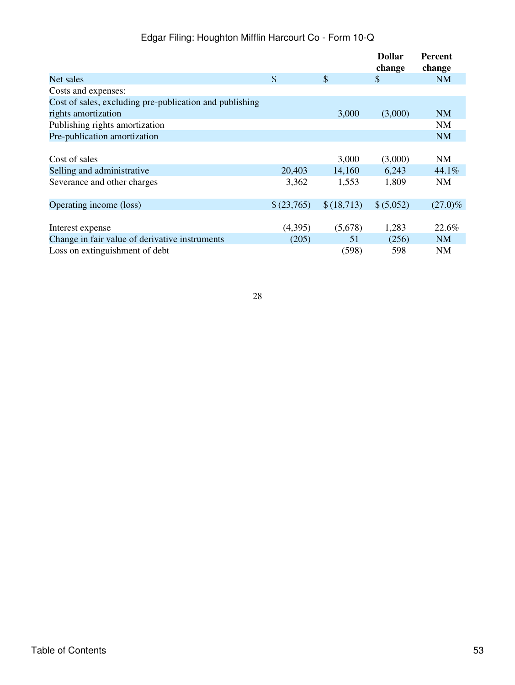|                                                         |            |            | <b>Dollar</b><br>change   | <b>Percent</b><br>change |
|---------------------------------------------------------|------------|------------|---------------------------|--------------------------|
| Net sales                                               | \$         | \$         | $\boldsymbol{\mathsf{S}}$ | <b>NM</b>                |
| Costs and expenses:                                     |            |            |                           |                          |
| Cost of sales, excluding pre-publication and publishing |            |            |                           |                          |
| rights amortization                                     |            | 3,000      | (3,000)                   | <b>NM</b>                |
| Publishing rights amortization                          |            |            |                           | <b>NM</b>                |
| Pre-publication amortization                            |            |            |                           | <b>NM</b>                |
|                                                         |            |            |                           |                          |
| Cost of sales                                           |            | 3,000      | (3,000)                   | <b>NM</b>                |
| Selling and administrative                              | 20,403     | 14,160     | 6,243                     | 44.1%                    |
| Severance and other charges                             | 3,362      | 1,553      | 1,809                     | NM                       |
|                                                         |            |            |                           |                          |
| Operating income (loss)                                 | \$(23,765) | \$(18,713) | \$ (5,052)                | $(27.0)\%$               |
|                                                         |            |            |                           |                          |
| Interest expense                                        | (4,395)    | (5,678)    | 1,283                     | 22.6%                    |
| Change in fair value of derivative instruments          | (205)      | 51         | (256)                     | <b>NM</b>                |
| Loss on extinguishment of debt                          |            | (598)      | 598                       | <b>NM</b>                |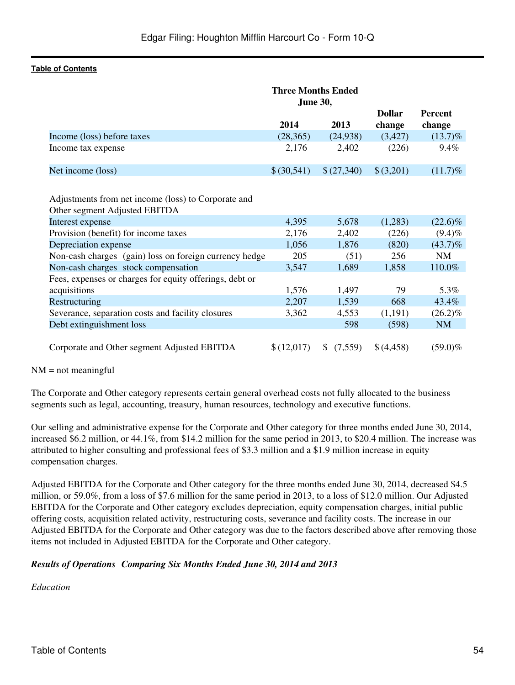|                                                                                      | <b>Three Months Ended</b><br><b>June 30,</b> |               |               |            |
|--------------------------------------------------------------------------------------|----------------------------------------------|---------------|---------------|------------|
|                                                                                      |                                              |               | <b>Dollar</b> | Percent    |
|                                                                                      | 2014                                         | 2013          | change        | change     |
| Income (loss) before taxes                                                           | (28, 365)                                    | (24, 938)     | (3,427)       | $(13.7)\%$ |
| Income tax expense                                                                   | 2,176                                        | 2,402         | (226)         | $9.4\%$    |
| Net income (loss)                                                                    | \$ (30,541)                                  | \$(27,340)    | \$(3,201)     | $(11.7)\%$ |
| Adjustments from net income (loss) to Corporate and<br>Other segment Adjusted EBITDA |                                              |               |               |            |
| Interest expense                                                                     | 4,395                                        | 5,678         | (1,283)       | $(22.6)\%$ |
| Provision (benefit) for income taxes                                                 | 2,176                                        | 2,402         | (226)         | $(9.4)\%$  |
| Depreciation expense                                                                 | 1,056                                        | 1,876         | (820)         | $(43.7)\%$ |
| Non-cash charges (gain) loss on foreign currency hedge                               | 205                                          | (51)          | 256           | <b>NM</b>  |
| Non-cash charges stock compensation                                                  | 3,547                                        | 1,689         | 1,858         | 110.0%     |
| Fees, expenses or charges for equity offerings, debt or<br>acquisitions              | 1,576                                        | 1,497         | 79            | 5.3%       |
| Restructuring                                                                        | 2,207                                        | 1,539         | 668           | 43.4%      |
| Severance, separation costs and facility closures                                    | 3,362                                        | 4,553         | (1,191)       | $(26.2)\%$ |
| Debt extinguishment loss                                                             |                                              | 598           | (598)         | <b>NM</b>  |
| Corporate and Other segment Adjusted EBITDA                                          | \$(12,017)                                   | (7,559)<br>\$ | \$(4,458)     | $(59.0)\%$ |

#### $NM = not meaningful$

The Corporate and Other category represents certain general overhead costs not fully allocated to the business segments such as legal, accounting, treasury, human resources, technology and executive functions.

Our selling and administrative expense for the Corporate and Other category for three months ended June 30, 2014, increased \$6.2 million, or 44.1%, from \$14.2 million for the same period in 2013, to \$20.4 million. The increase was attributed to higher consulting and professional fees of \$3.3 million and a \$1.9 million increase in equity compensation charges.

Adjusted EBITDA for the Corporate and Other category for the three months ended June 30, 2014, decreased \$4.5 million, or 59.0%, from a loss of \$7.6 million for the same period in 2013, to a loss of \$12.0 million. Our Adjusted EBITDA for the Corporate and Other category excludes depreciation, equity compensation charges, initial public offering costs, acquisition related activity, restructuring costs, severance and facility costs. The increase in our Adjusted EBITDA for the Corporate and Other category was due to the factors described above after removing those items not included in Adjusted EBITDA for the Corporate and Other category.

# *Results of OperationsComparing Six Months Ended June 30, 2014 and 2013*

# *Education*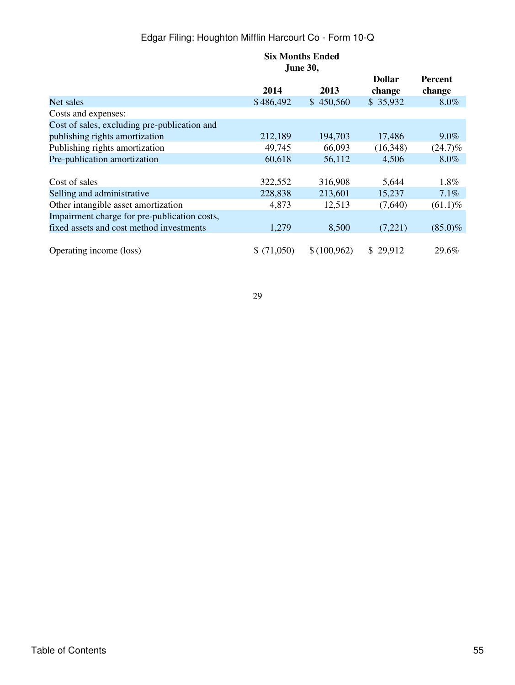|                                              |            | <b>Six Months Ended</b><br><b>June 30,</b> |                         |                          |
|----------------------------------------------|------------|--------------------------------------------|-------------------------|--------------------------|
|                                              | 2014       | 2013                                       | <b>Dollar</b><br>change | <b>Percent</b><br>change |
| Net sales                                    | \$486,492  | \$450,560                                  | \$35,932                | $8.0\%$                  |
| Costs and expenses:                          |            |                                            |                         |                          |
| Cost of sales, excluding pre-publication and |            |                                            |                         |                          |
| publishing rights amortization               | 212,189    | 194,703                                    | 17,486                  | $9.0\%$                  |
| Publishing rights amortization               | 49,745     | 66,093                                     | (16,348)                | $(24.7)\%$               |
| Pre-publication amortization                 | 60,618     | 56,112                                     | 4,506                   | $8.0\%$                  |
|                                              |            |                                            |                         |                          |
| Cost of sales                                | 322,552    | 316,908                                    | 5,644                   | 1.8%                     |
| Selling and administrative                   | 228,838    | 213,601                                    | 15,237                  | 7.1%                     |
| Other intangible asset amortization          | 4,873      | 12,513                                     | (7,640)                 | $(61.1)\%$               |
| Impairment charge for pre-publication costs, |            |                                            |                         |                          |
| fixed assets and cost method investments     | 1,279      | 8,500                                      | (7,221)                 | $(85.0)\%$               |
| Operating income (loss)                      | \$(71,050) | \$(100,962)                                | \$29,912                | 29.6%                    |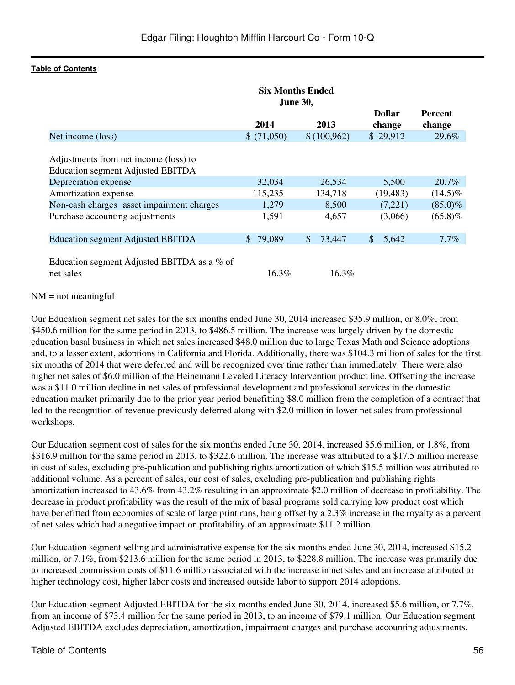|                                                                                   | <b>Six Months Ended</b><br><b>June 30,</b> |                        |                         |                          |
|-----------------------------------------------------------------------------------|--------------------------------------------|------------------------|-------------------------|--------------------------|
|                                                                                   | 2014                                       | 2013                   | <b>Dollar</b><br>change | <b>Percent</b><br>change |
| Net income (loss)                                                                 | \$(71,050)                                 | \$(100,962)            | \$29,912                | 29.6%                    |
| Adjustments from net income (loss) to<br><b>Education segment Adjusted EBITDA</b> |                                            |                        |                         |                          |
| Depreciation expense                                                              | 32,034                                     | 26,534                 | 5,500                   | 20.7%                    |
| Amortization expense                                                              | 115,235                                    | 134,718                | (19, 483)               | $(14.5)\%$               |
| Non-cash charges asset impairment charges                                         | 1,279                                      | 8,500                  | (7,221)                 | $(85.0)\%$               |
| Purchase accounting adjustments                                                   | 1,591                                      | 4,657                  | (3,066)                 | $(65.8)\%$               |
| <b>Education segment Adjusted EBITDA</b>                                          | \$79,089                                   | 73,447<br>$\mathbb{S}$ | <sup>\$</sup><br>5,642  | $7.7\%$                  |
| Education segment Adjusted EBITDA as a % of<br>net sales                          | 16.3%                                      | 16.3%                  |                         |                          |

#### $NM = not meaningful$

Our Education segment net sales for the six months ended June 30, 2014 increased \$35.9 million, or 8.0%, from \$450.6 million for the same period in 2013, to \$486.5 million. The increase was largely driven by the domestic education basal business in which net sales increased \$48.0 million due to large Texas Math and Science adoptions and, to a lesser extent, adoptions in California and Florida. Additionally, there was \$104.3 million of sales for the first six months of 2014 that were deferred and will be recognized over time rather than immediately. There were also higher net sales of \$6.0 million of the Heinemann Leveled Literacy Intervention product line. Offsetting the increase was a \$11.0 million decline in net sales of professional development and professional services in the domestic education market primarily due to the prior year period benefitting \$8.0 million from the completion of a contract that led to the recognition of revenue previously deferred along with \$2.0 million in lower net sales from professional workshops.

Our Education segment cost of sales for the six months ended June 30, 2014, increased \$5.6 million, or 1.8%, from \$316.9 million for the same period in 2013, to \$322.6 million. The increase was attributed to a \$17.5 million increase in cost of sales, excluding pre-publication and publishing rights amortization of which \$15.5 million was attributed to additional volume. As a percent of sales, our cost of sales, excluding pre-publication and publishing rights amortization increased to 43.6% from 43.2% resulting in an approximate \$2.0 million of decrease in profitability. The decrease in product profitability was the result of the mix of basal programs sold carrying low product cost which have benefitted from economies of scale of large print runs, being offset by a 2.3% increase in the royalty as a percent of net sales which had a negative impact on profitability of an approximate \$11.2 million.

Our Education segment selling and administrative expense for the six months ended June 30, 2014, increased \$15.2 million, or 7.1%, from \$213.6 million for the same period in 2013, to \$228.8 million. The increase was primarily due to increased commission costs of \$11.6 million associated with the increase in net sales and an increase attributed to higher technology cost, higher labor costs and increased outside labor to support 2014 adoptions.

Our Education segment Adjusted EBITDA for the six months ended June 30, 2014, increased \$5.6 million, or 7.7%, from an income of \$73.4 million for the same period in 2013, to an income of \$79.1 million. Our Education segment Adjusted EBITDA excludes depreciation, amortization, impairment charges and purchase accounting adjustments.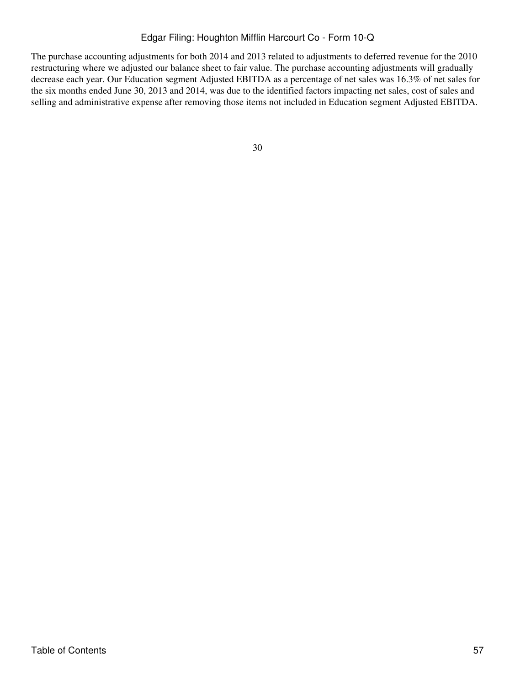The purchase accounting adjustments for both 2014 and 2013 related to adjustments to deferred revenue for the 2010 restructuring where we adjusted our balance sheet to fair value. The purchase accounting adjustments will gradually decrease each year. Our Education segment Adjusted EBITDA as a percentage of net sales was 16.3% of net sales for the six months ended June 30, 2013 and 2014, was due to the identified factors impacting net sales, cost of sales and selling and administrative expense after removing those items not included in Education segment Adjusted EBITDA.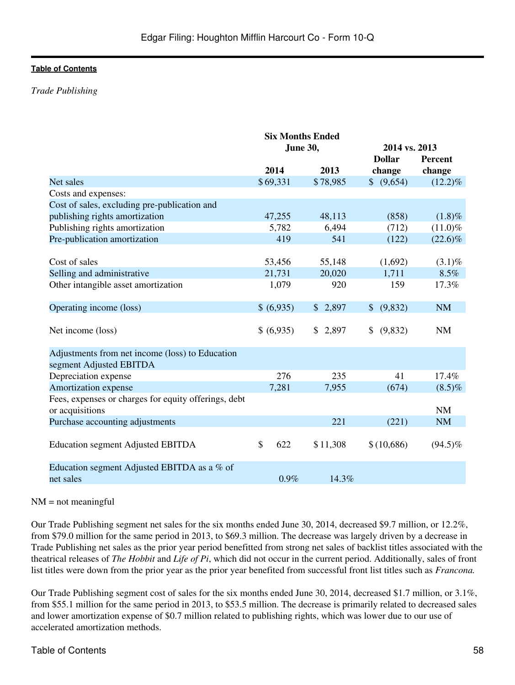### *Trade Publishing*

|                                                      | <b>Six Months Ended</b> |          |               |                |
|------------------------------------------------------|-------------------------|----------|---------------|----------------|
|                                                      | June 30,                |          | 2014 vs. 2013 |                |
|                                                      |                         |          | <b>Dollar</b> | <b>Percent</b> |
|                                                      | 2014                    | 2013     | change        | change         |
| Net sales                                            | \$69,331                | \$78,985 | \$ (9,654)    | $(12.2)\%$     |
| Costs and expenses:                                  |                         |          |               |                |
| Cost of sales, excluding pre-publication and         |                         |          |               |                |
| publishing rights amortization                       | 47,255                  | 48,113   | (858)         | $(1.8)\%$      |
| Publishing rights amortization                       | 5,782                   | 6,494    | (712)         | $(11.0)\%$     |
| Pre-publication amortization                         | 419                     | 541      | (122)         | $(22.6)\%$     |
|                                                      |                         |          |               |                |
| Cost of sales                                        | 53,456                  | 55,148   | (1,692)       | $(3.1)\%$      |
| Selling and administrative                           | 21,731                  | 20,020   | 1,711         | 8.5%           |
| Other intangible asset amortization                  | 1,079                   | 920      | 159           | 17.3%          |
|                                                      |                         |          |               |                |
| Operating income (loss)                              | \$ (6,935)              | \$2,897  | \$ (9,832)    | <b>NM</b>      |
|                                                      |                         |          |               |                |
| Net income (loss)                                    | \$ (6,935)              | \$2,897  | \$<br>(9,832) | <b>NM</b>      |
|                                                      |                         |          |               |                |
| Adjustments from net income (loss) to Education      |                         |          |               |                |
| segment Adjusted EBITDA                              |                         |          |               |                |
| Depreciation expense                                 | 276                     | 235      | 41            | 17.4%          |
| Amortization expense                                 | 7,281                   | 7,955    | (674)         | $(8.5)\%$      |
| Fees, expenses or charges for equity offerings, debt |                         |          |               |                |
| or acquisitions                                      |                         |          |               | <b>NM</b>      |
| Purchase accounting adjustments                      |                         | 221      | (221)         | <b>NM</b>      |
|                                                      |                         |          |               |                |
| <b>Education segment Adjusted EBITDA</b>             | \$<br>622               | \$11,308 | \$(10,686)    | $(94.5)\%$     |
|                                                      |                         |          |               |                |
| Education segment Adjusted EBITDA as a % of          |                         |          |               |                |
| net sales                                            | 0.9%                    | 14.3%    |               |                |

#### $NM = not meaningful$

Our Trade Publishing segment net sales for the six months ended June 30, 2014, decreased \$9.7 million, or 12.2%, from \$79.0 million for the same period in 2013, to \$69.3 million. The decrease was largely driven by a decrease in Trade Publishing net sales as the prior year period benefitted from strong net sales of backlist titles associated with the theatrical releases of *The Hobbit* and *Life of Pi*, which did not occur in the current period. Additionally, sales of front list titles were down from the prior year as the prior year benefited from successful front list titles such as *Francona.*

Our Trade Publishing segment cost of sales for the six months ended June 30, 2014, decreased \$1.7 million, or 3.1%, from \$55.1 million for the same period in 2013, to \$53.5 million. The decrease is primarily related to decreased sales and lower amortization expense of \$0.7 million related to publishing rights, which was lower due to our use of accelerated amortization methods.

# Table of Contents 58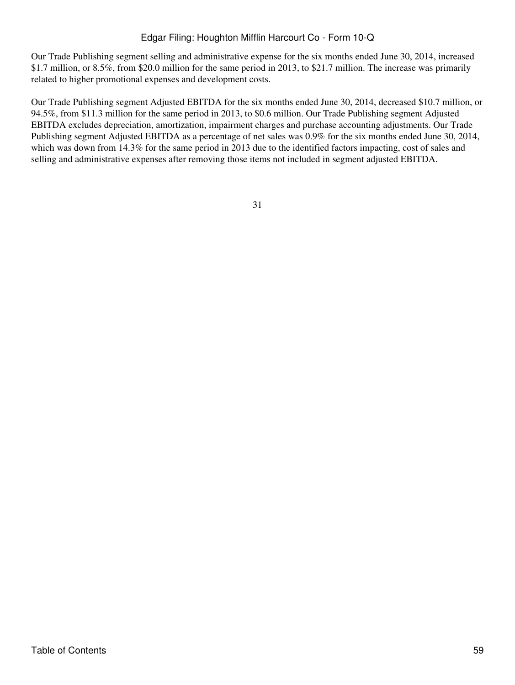Our Trade Publishing segment selling and administrative expense for the six months ended June 30, 2014, increased \$1.7 million, or 8.5%, from \$20.0 million for the same period in 2013, to \$21.7 million. The increase was primarily related to higher promotional expenses and development costs.

Our Trade Publishing segment Adjusted EBITDA for the six months ended June 30, 2014, decreased \$10.7 million, or 94.5%, from \$11.3 million for the same period in 2013, to \$0.6 million. Our Trade Publishing segment Adjusted EBITDA excludes depreciation, amortization, impairment charges and purchase accounting adjustments. Our Trade Publishing segment Adjusted EBITDA as a percentage of net sales was 0.9% for the six months ended June 30, 2014, which was down from 14.3% for the same period in 2013 due to the identified factors impacting, cost of sales and selling and administrative expenses after removing those items not included in segment adjusted EBITDA.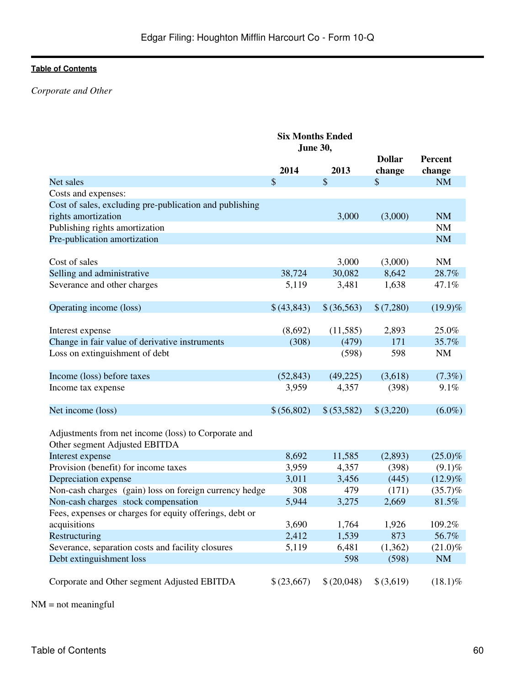# *Corporate and Other*

|                                                         | <b>Six Months Ended</b> |             |               |                |
|---------------------------------------------------------|-------------------------|-------------|---------------|----------------|
|                                                         | June 30,                |             |               |                |
|                                                         |                         |             | <b>Dollar</b> | <b>Percent</b> |
|                                                         | 2014                    | 2013        | change        | change         |
| Net sales                                               | \$                      | \$          | $\mathcal{S}$ | <b>NM</b>      |
| Costs and expenses:                                     |                         |             |               |                |
| Cost of sales, excluding pre-publication and publishing |                         |             |               |                |
| rights amortization                                     |                         | 3,000       | (3,000)       | <b>NM</b>      |
| Publishing rights amortization                          |                         |             |               | <b>NM</b>      |
| Pre-publication amortization                            |                         |             |               | NM             |
|                                                         |                         |             |               |                |
| Cost of sales                                           |                         | 3,000       | (3,000)       | <b>NM</b>      |
| Selling and administrative                              | 38,724                  | 30,082      | 8,642         | 28.7%          |
| Severance and other charges                             | 5,119                   | 3,481       | 1,638         | 47.1%          |
|                                                         |                         |             |               |                |
| Operating income (loss)                                 | \$(43,843)              | \$(36,563)  | \$(7,280)     | $(19.9)\%$     |
|                                                         |                         |             |               |                |
| Interest expense                                        | (8,692)                 | (11,585)    | 2,893         | 25.0%          |
| Change in fair value of derivative instruments          | (308)                   | (479)       | 171           | 35.7%          |
| Loss on extinguishment of debt                          |                         | (598)       | 598           | <b>NM</b>      |
|                                                         |                         |             |               |                |
| Income (loss) before taxes                              | (52, 843)               | (49,225)    | (3,618)       | (7.3%)         |
| Income tax expense                                      | 3,959                   | 4,357       | (398)         | 9.1%           |
|                                                         |                         |             |               |                |
| Net income (loss)                                       | \$ (56,802)             | \$ (53,582) | \$(3,220)     | $(6.0\%)$      |
|                                                         |                         |             |               |                |
| Adjustments from net income (loss) to Corporate and     |                         |             |               |                |
| Other segment Adjusted EBITDA                           |                         |             |               |                |
| Interest expense                                        | 8,692                   | 11,585      | (2,893)       | $(25.0)\%$     |
| Provision (benefit) for income taxes                    | 3,959                   | 4,357       | (398)         | $(9.1)\%$      |
| Depreciation expense                                    | 3,011                   | 3,456       | (445)         | $(12.9)\%$     |
| Non-cash charges (gain) loss on foreign currency hedge  | 308                     | 479         | (171)         | (35.7)%        |
| Non-cash charges stock compensation                     | 5,944                   | 3,275       | 2,669         | 81.5%          |
| Fees, expenses or charges for equity offerings, debt or |                         |             |               |                |
| acquisitions                                            | 3,690                   | 1,764       | 1,926         | 109.2%         |
| Restructuring                                           | 2,412                   | 1,539       | 873           | 56.7%          |
| Severance, separation costs and facility closures       | 5,119                   | 6,481       | (1,362)       | $(21.0)\%$     |
| Debt extinguishment loss                                |                         | 598         | (598)         | <b>NM</b>      |
| Corporate and Other segment Adjusted EBITDA             | \$(23,667)              | \$(20,048)  | \$ (3,619)    | $(18.1)\%$     |
|                                                         |                         |             |               |                |

NM = not meaningful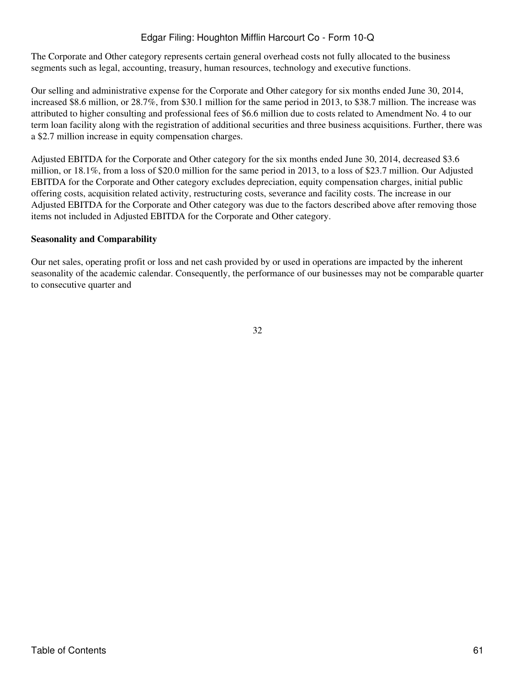The Corporate and Other category represents certain general overhead costs not fully allocated to the business segments such as legal, accounting, treasury, human resources, technology and executive functions.

Our selling and administrative expense for the Corporate and Other category for six months ended June 30, 2014, increased \$8.6 million, or 28.7%, from \$30.1 million for the same period in 2013, to \$38.7 million. The increase was attributed to higher consulting and professional fees of \$6.6 million due to costs related to Amendment No. 4 to our term loan facility along with the registration of additional securities and three business acquisitions. Further, there was a \$2.7 million increase in equity compensation charges.

Adjusted EBITDA for the Corporate and Other category for the six months ended June 30, 2014, decreased \$3.6 million, or 18.1%, from a loss of \$20.0 million for the same period in 2013, to a loss of \$23.7 million. Our Adjusted EBITDA for the Corporate and Other category excludes depreciation, equity compensation charges, initial public offering costs, acquisition related activity, restructuring costs, severance and facility costs. The increase in our Adjusted EBITDA for the Corporate and Other category was due to the factors described above after removing those items not included in Adjusted EBITDA for the Corporate and Other category.

### **Seasonality and Comparability**

Our net sales, operating profit or loss and net cash provided by or used in operations are impacted by the inherent seasonality of the academic calendar. Consequently, the performance of our businesses may not be comparable quarter to consecutive quarter and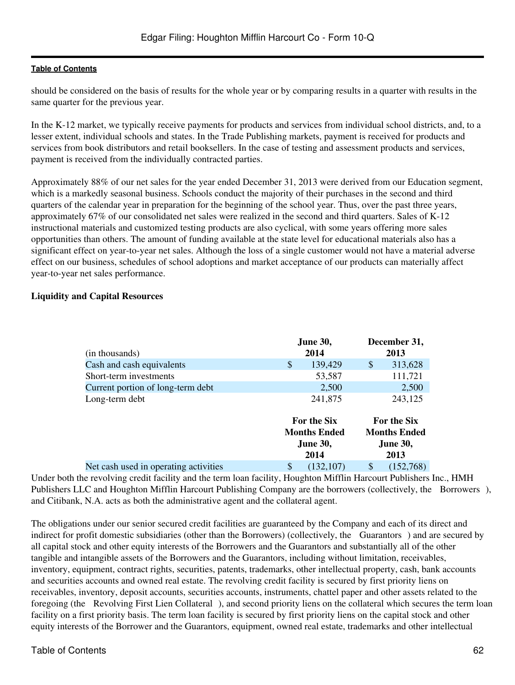should be considered on the basis of results for the whole year or by comparing results in a quarter with results in the same quarter for the previous year.

In the K-12 market, we typically receive payments for products and services from individual school districts, and, to a lesser extent, individual schools and states. In the Trade Publishing markets, payment is received for products and services from book distributors and retail booksellers. In the case of testing and assessment products and services, payment is received from the individually contracted parties.

Approximately 88% of our net sales for the year ended December 31, 2013 were derived from our Education segment, which is a markedly seasonal business. Schools conduct the majority of their purchases in the second and third quarters of the calendar year in preparation for the beginning of the school year. Thus, over the past three years, approximately 67% of our consolidated net sales were realized in the second and third quarters. Sales of K-12 instructional materials and customized testing products are also cyclical, with some years offering more sales opportunities than others. The amount of funding available at the state level for educational materials also has a significant effect on year-to-year net sales. Although the loss of a single customer would not have a material adverse effect on our business, schedules of school adoptions and market acceptance of our products can materially affect year-to-year net sales performance.

# **Liquidity and Capital Resources**

| (in thousands)                        | <b>June 30,</b><br>2014                                              | December 31,<br>2013                                                 |
|---------------------------------------|----------------------------------------------------------------------|----------------------------------------------------------------------|
| Cash and cash equivalents             | \$<br>139,429                                                        | \$<br>313,628                                                        |
| Short-term investments                | 53,587                                                               | 111,721                                                              |
| Current portion of long-term debt     | 2,500                                                                | 2,500                                                                |
| Long-term debt                        | 241,875                                                              | 243,125                                                              |
|                                       | <b>For the Six</b><br><b>Months Ended</b><br><b>June 30,</b><br>2014 | <b>For the Six</b><br><b>Months Ended</b><br><b>June 30,</b><br>2013 |
| Net cash used in operating activities | \$<br>(132, 107)                                                     | \$<br>(152,768)                                                      |

Under both the revolving credit facility and the term loan facility, Houghton Mifflin Harcourt Publishers Inc., HMH Publishers LLC and Houghton Mifflin Harcourt Publishing Company are the borrowers (collectively, the Borrowers), and Citibank, N.A. acts as both the administrative agent and the collateral agent.

The obligations under our senior secured credit facilities are guaranteed by the Company and each of its direct and indirect for profit domestic subsidiaries (other than the Borrowers) (collectively, the Guarantors) and are secured by all capital stock and other equity interests of the Borrowers and the Guarantors and substantially all of the other tangible and intangible assets of the Borrowers and the Guarantors, including without limitation, receivables, inventory, equipment, contract rights, securities, patents, trademarks, other intellectual property, cash, bank accounts and securities accounts and owned real estate. The revolving credit facility is secured by first priority liens on receivables, inventory, deposit accounts, securities accounts, instruments, chattel paper and other assets related to the foregoing (the Revolving First Lien Collateral), and second priority liens on the collateral which secures the term loan facility on a first priority basis. The term loan facility is secured by first priority liens on the capital stock and other equity interests of the Borrower and the Guarantors, equipment, owned real estate, trademarks and other intellectual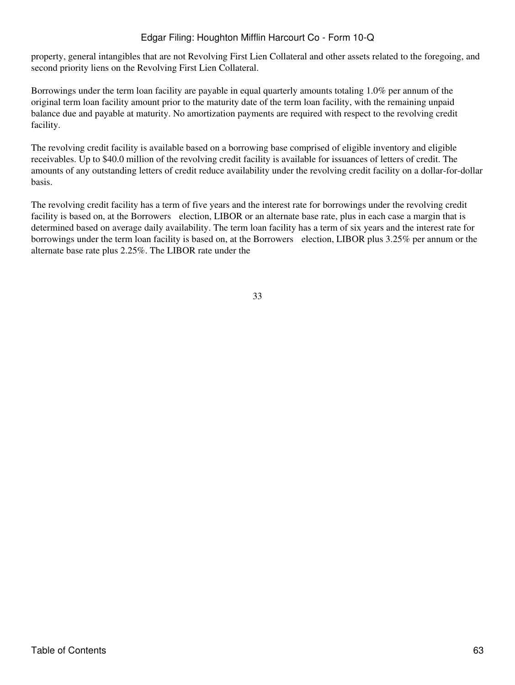property, general intangibles that are not Revolving First Lien Collateral and other assets related to the foregoing, and second priority liens on the Revolving First Lien Collateral.

Borrowings under the term loan facility are payable in equal quarterly amounts totaling 1.0% per annum of the original term loan facility amount prior to the maturity date of the term loan facility, with the remaining unpaid balance due and payable at maturity. No amortization payments are required with respect to the revolving credit facility.

The revolving credit facility is available based on a borrowing base comprised of eligible inventory and eligible receivables. Up to \$40.0 million of the revolving credit facility is available for issuances of letters of credit. The amounts of any outstanding letters of credit reduce availability under the revolving credit facility on a dollar-for-dollar basis.

The revolving credit facility has a term of five years and the interest rate for borrowings under the revolving credit facility is based on, at the Borrowers election, LIBOR or an alternate base rate, plus in each case a margin that is determined based on average daily availability. The term loan facility has a term of six years and the interest rate for borrowings under the term loan facility is based on, at the Borrowers election, LIBOR plus 3.25% per annum or the alternate base rate plus 2.25%. The LIBOR rate under the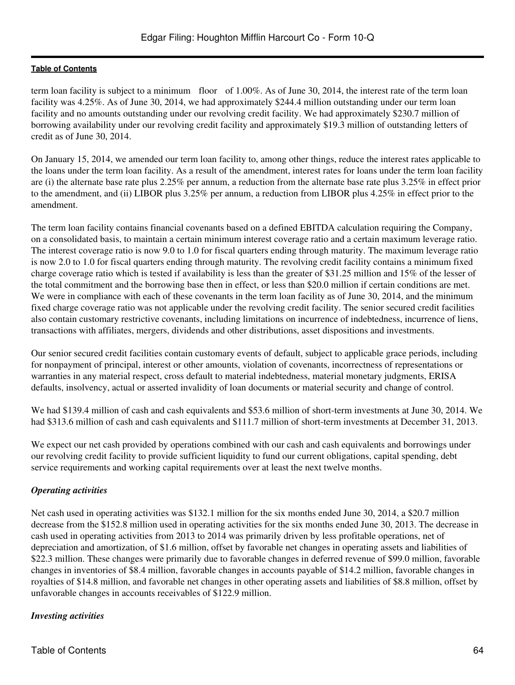term loan facility is subject to a minimum floor of 1.00%. As of June 30, 2014, the interest rate of the term loan facility was 4.25%. As of June 30, 2014, we had approximately \$244.4 million outstanding under our term loan facility and no amounts outstanding under our revolving credit facility. We had approximately \$230.7 million of borrowing availability under our revolving credit facility and approximately \$19.3 million of outstanding letters of credit as of June 30, 2014.

On January 15, 2014, we amended our term loan facility to, among other things, reduce the interest rates applicable to the loans under the term loan facility. As a result of the amendment, interest rates for loans under the term loan facility are (i) the alternate base rate plus 2.25% per annum, a reduction from the alternate base rate plus 3.25% in effect prior to the amendment, and (ii) LIBOR plus 3.25% per annum, a reduction from LIBOR plus 4.25% in effect prior to the amendment.

The term loan facility contains financial covenants based on a defined EBITDA calculation requiring the Company, on a consolidated basis, to maintain a certain minimum interest coverage ratio and a certain maximum leverage ratio. The interest coverage ratio is now 9.0 to 1.0 for fiscal quarters ending through maturity. The maximum leverage ratio is now 2.0 to 1.0 for fiscal quarters ending through maturity. The revolving credit facility contains a minimum fixed charge coverage ratio which is tested if availability is less than the greater of \$31.25 million and 15% of the lesser of the total commitment and the borrowing base then in effect, or less than \$20.0 million if certain conditions are met. We were in compliance with each of these covenants in the term loan facility as of June 30, 2014, and the minimum fixed charge coverage ratio was not applicable under the revolving credit facility. The senior secured credit facilities also contain customary restrictive covenants, including limitations on incurrence of indebtedness, incurrence of liens, transactions with affiliates, mergers, dividends and other distributions, asset dispositions and investments.

Our senior secured credit facilities contain customary events of default, subject to applicable grace periods, including for nonpayment of principal, interest or other amounts, violation of covenants, incorrectness of representations or warranties in any material respect, cross default to material indebtedness, material monetary judgments, ERISA defaults, insolvency, actual or asserted invalidity of loan documents or material security and change of control.

We had \$139.4 million of cash and cash equivalents and \$53.6 million of short-term investments at June 30, 2014. We had \$313.6 million of cash and cash equivalents and \$111.7 million of short-term investments at December 31, 2013.

We expect our net cash provided by operations combined with our cash and cash equivalents and borrowings under our revolving credit facility to provide sufficient liquidity to fund our current obligations, capital spending, debt service requirements and working capital requirements over at least the next twelve months.

# *Operating activities*

Net cash used in operating activities was \$132.1 million for the six months ended June 30, 2014, a \$20.7 million decrease from the \$152.8 million used in operating activities for the six months ended June 30, 2013. The decrease in cash used in operating activities from 2013 to 2014 was primarily driven by less profitable operations, net of depreciation and amortization, of \$1.6 million, offset by favorable net changes in operating assets and liabilities of \$22.3 million. These changes were primarily due to favorable changes in deferred revenue of \$99.0 million, favorable changes in inventories of \$8.4 million, favorable changes in accounts payable of \$14.2 million, favorable changes in royalties of \$14.8 million, and favorable net changes in other operating assets and liabilities of \$8.8 million, offset by unfavorable changes in accounts receivables of \$122.9 million.

# *Investing activities*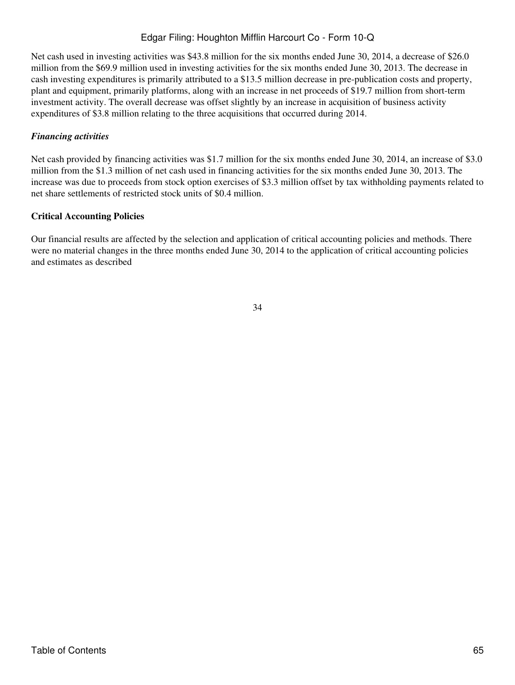Net cash used in investing activities was \$43.8 million for the six months ended June 30, 2014, a decrease of \$26.0 million from the \$69.9 million used in investing activities for the six months ended June 30, 2013. The decrease in cash investing expenditures is primarily attributed to a \$13.5 million decrease in pre-publication costs and property, plant and equipment, primarily platforms, along with an increase in net proceeds of \$19.7 million from short-term investment activity. The overall decrease was offset slightly by an increase in acquisition of business activity expenditures of \$3.8 million relating to the three acquisitions that occurred during 2014.

# *Financing activities*

Net cash provided by financing activities was \$1.7 million for the six months ended June 30, 2014, an increase of \$3.0 million from the \$1.3 million of net cash used in financing activities for the six months ended June 30, 2013. The increase was due to proceeds from stock option exercises of \$3.3 million offset by tax withholding payments related to net share settlements of restricted stock units of \$0.4 million.

# **Critical Accounting Policies**

Our financial results are affected by the selection and application of critical accounting policies and methods. There were no material changes in the three months ended June 30, 2014 to the application of critical accounting policies and estimates as described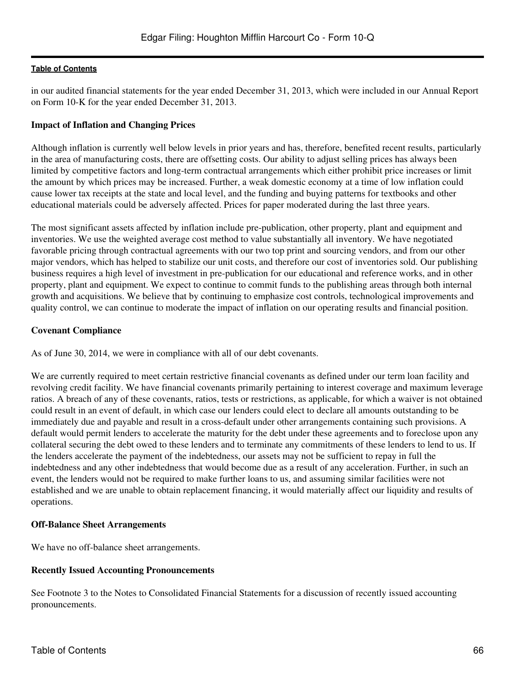in our audited financial statements for the year ended December 31, 2013, which were included in our Annual Report on Form 10-K for the year ended December 31, 2013.

### **Impact of Inflation and Changing Prices**

Although inflation is currently well below levels in prior years and has, therefore, benefited recent results, particularly in the area of manufacturing costs, there are offsetting costs. Our ability to adjust selling prices has always been limited by competitive factors and long-term contractual arrangements which either prohibit price increases or limit the amount by which prices may be increased. Further, a weak domestic economy at a time of low inflation could cause lower tax receipts at the state and local level, and the funding and buying patterns for textbooks and other educational materials could be adversely affected. Prices for paper moderated during the last three years.

The most significant assets affected by inflation include pre-publication, other property, plant and equipment and inventories. We use the weighted average cost method to value substantially all inventory. We have negotiated favorable pricing through contractual agreements with our two top print and sourcing vendors, and from our other major vendors, which has helped to stabilize our unit costs, and therefore our cost of inventories sold. Our publishing business requires a high level of investment in pre-publication for our educational and reference works, and in other property, plant and equipment. We expect to continue to commit funds to the publishing areas through both internal growth and acquisitions. We believe that by continuing to emphasize cost controls, technological improvements and quality control, we can continue to moderate the impact of inflation on our operating results and financial position.

### **Covenant Compliance**

As of June 30, 2014, we were in compliance with all of our debt covenants.

We are currently required to meet certain restrictive financial covenants as defined under our term loan facility and revolving credit facility. We have financial covenants primarily pertaining to interest coverage and maximum leverage ratios. A breach of any of these covenants, ratios, tests or restrictions, as applicable, for which a waiver is not obtained could result in an event of default, in which case our lenders could elect to declare all amounts outstanding to be immediately due and payable and result in a cross-default under other arrangements containing such provisions. A default would permit lenders to accelerate the maturity for the debt under these agreements and to foreclose upon any collateral securing the debt owed to these lenders and to terminate any commitments of these lenders to lend to us. If the lenders accelerate the payment of the indebtedness, our assets may not be sufficient to repay in full the indebtedness and any other indebtedness that would become due as a result of any acceleration. Further, in such an event, the lenders would not be required to make further loans to us, and assuming similar facilities were not established and we are unable to obtain replacement financing, it would materially affect our liquidity and results of operations.

# **Off-Balance Sheet Arrangements**

We have no off-balance sheet arrangements.

# **Recently Issued Accounting Pronouncements**

See Footnote 3 to the Notes to Consolidated Financial Statements for a discussion of recently issued accounting pronouncements.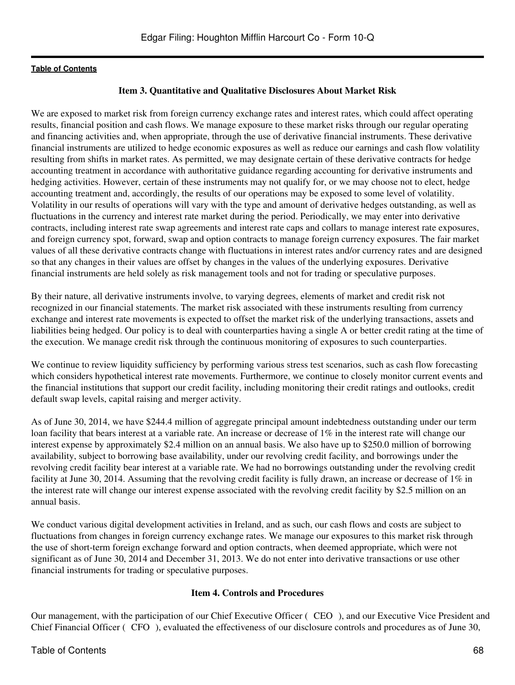# **Item 3. Quantitative and Qualitative Disclosures About Market Risk**

We are exposed to market risk from foreign currency exchange rates and interest rates, which could affect operating results, financial position and cash flows. We manage exposure to these market risks through our regular operating and financing activities and, when appropriate, through the use of derivative financial instruments. These derivative financial instruments are utilized to hedge economic exposures as well as reduce our earnings and cash flow volatility resulting from shifts in market rates. As permitted, we may designate certain of these derivative contracts for hedge accounting treatment in accordance with authoritative guidance regarding accounting for derivative instruments and hedging activities. However, certain of these instruments may not qualify for, or we may choose not to elect, hedge accounting treatment and, accordingly, the results of our operations may be exposed to some level of volatility. Volatility in our results of operations will vary with the type and amount of derivative hedges outstanding, as well as fluctuations in the currency and interest rate market during the period. Periodically, we may enter into derivative contracts, including interest rate swap agreements and interest rate caps and collars to manage interest rate exposures, and foreign currency spot, forward, swap and option contracts to manage foreign currency exposures. The fair market values of all these derivative contracts change with fluctuations in interest rates and/or currency rates and are designed so that any changes in their values are offset by changes in the values of the underlying exposures. Derivative financial instruments are held solely as risk management tools and not for trading or speculative purposes.

By their nature, all derivative instruments involve, to varying degrees, elements of market and credit risk not recognized in our financial statements. The market risk associated with these instruments resulting from currency exchange and interest rate movements is expected to offset the market risk of the underlying transactions, assets and liabilities being hedged. Our policy is to deal with counterparties having a single A or better credit rating at the time of the execution. We manage credit risk through the continuous monitoring of exposures to such counterparties.

We continue to review liquidity sufficiency by performing various stress test scenarios, such as cash flow forecasting which considers hypothetical interest rate movements. Furthermore, we continue to closely monitor current events and the financial institutions that support our credit facility, including monitoring their credit ratings and outlooks, credit default swap levels, capital raising and merger activity.

As of June 30, 2014, we have \$244.4 million of aggregate principal amount indebtedness outstanding under our term loan facility that bears interest at a variable rate. An increase or decrease of 1% in the interest rate will change our interest expense by approximately \$2.4 million on an annual basis. We also have up to \$250.0 million of borrowing availability, subject to borrowing base availability, under our revolving credit facility, and borrowings under the revolving credit facility bear interest at a variable rate. We had no borrowings outstanding under the revolving credit facility at June 30, 2014. Assuming that the revolving credit facility is fully drawn, an increase or decrease of 1% in the interest rate will change our interest expense associated with the revolving credit facility by \$2.5 million on an annual basis.

We conduct various digital development activities in Ireland, and as such, our cash flows and costs are subject to fluctuations from changes in foreign currency exchange rates. We manage our exposures to this market risk through the use of short-term foreign exchange forward and option contracts, when deemed appropriate, which were not significant as of June 30, 2014 and December 31, 2013. We do not enter into derivative transactions or use other financial instruments for trading or speculative purposes.

# **Item 4. Controls and Procedures**

Our management, with the participation of our Chief Executive Officer (CEO), and our Executive Vice President and Chief Financial Officer (CFO), evaluated the effectiveness of our disclosure controls and procedures as of June 30,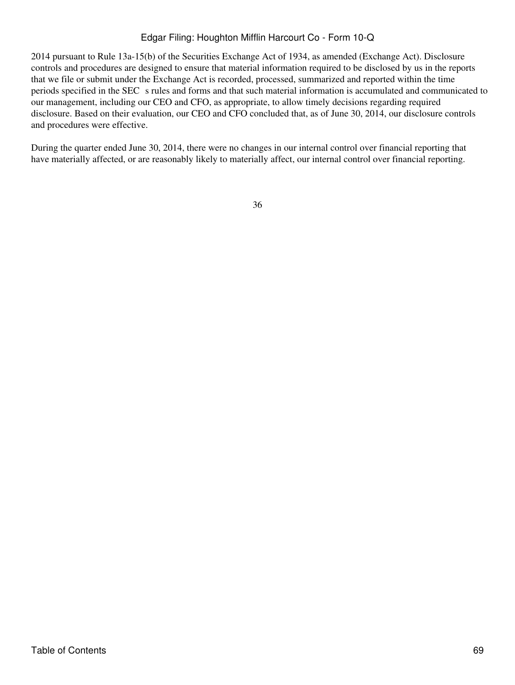2014 pursuant to Rule 13a-15(b) of the Securities Exchange Act of 1934, as amended (Exchange Act). Disclosure controls and procedures are designed to ensure that material information required to be disclosed by us in the reports that we file or submit under the Exchange Act is recorded, processed, summarized and reported within the time periods specified in the SEC s rules and forms and that such material information is accumulated and communicated to our management, including our CEO and CFO, as appropriate, to allow timely decisions regarding required disclosure. Based on their evaluation, our CEO and CFO concluded that, as of June 30, 2014, our disclosure controls and procedures were effective.

During the quarter ended June 30, 2014, there were no changes in our internal control over financial reporting that have materially affected, or are reasonably likely to materially affect, our internal control over financial reporting.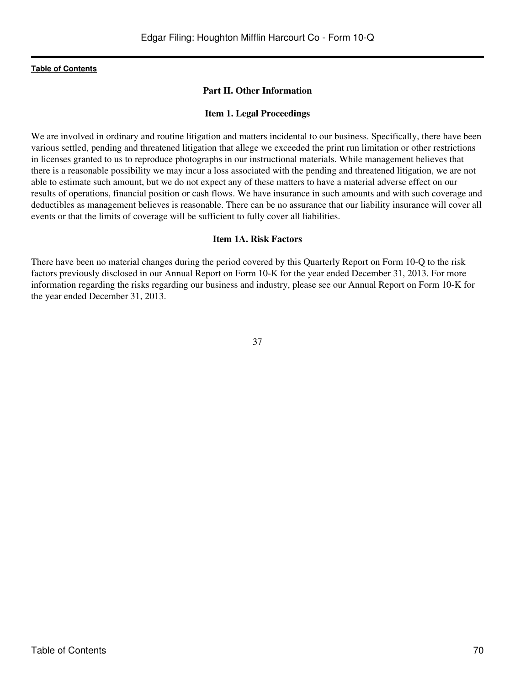### **Part II. Other Information**

#### **Item 1. Legal Proceedings**

We are involved in ordinary and routine litigation and matters incidental to our business. Specifically, there have been various settled, pending and threatened litigation that allege we exceeded the print run limitation or other restrictions in licenses granted to us to reproduce photographs in our instructional materials. While management believes that there is a reasonable possibility we may incur a loss associated with the pending and threatened litigation, we are not able to estimate such amount, but we do not expect any of these matters to have a material adverse effect on our results of operations, financial position or cash flows. We have insurance in such amounts and with such coverage and deductibles as management believes is reasonable. There can be no assurance that our liability insurance will cover all events or that the limits of coverage will be sufficient to fully cover all liabilities.

#### **Item 1A. Risk Factors**

There have been no material changes during the period covered by this Quarterly Report on Form 10-Q to the risk factors previously disclosed in our Annual Report on Form 10-K for the year ended December 31, 2013. For more information regarding the risks regarding our business and industry, please see our Annual Report on Form 10-K for the year ended December 31, 2013.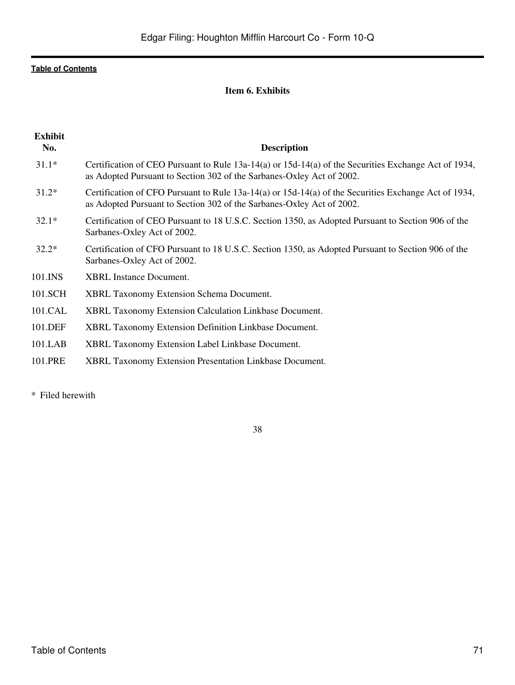# **Item 6. Exhibits**

| <b>Exhibit</b> |                                                                                                                                                                                   |
|----------------|-----------------------------------------------------------------------------------------------------------------------------------------------------------------------------------|
| No.            | <b>Description</b>                                                                                                                                                                |
| $31.1*$        | Certification of CEO Pursuant to Rule $13a-14(a)$ or $15d-14(a)$ of the Securities Exchange Act of 1934,<br>as Adopted Pursuant to Section 302 of the Sarbanes-Oxley Act of 2002. |
| $31.2*$        | Certification of CFO Pursuant to Rule 13a-14(a) or 15d-14(a) of the Securities Exchange Act of 1934,<br>as Adopted Pursuant to Section 302 of the Sarbanes-Oxley Act of 2002.     |
| $32.1*$        | Certification of CEO Pursuant to 18 U.S.C. Section 1350, as Adopted Pursuant to Section 906 of the<br>Sarbanes-Oxley Act of 2002.                                                 |
| $32.2*$        | Certification of CFO Pursuant to 18 U.S.C. Section 1350, as Adopted Pursuant to Section 906 of the<br>Sarbanes-Oxley Act of 2002.                                                 |
| 101.INS        | <b>XBRL</b> Instance Document.                                                                                                                                                    |
| 101.SCH        | <b>XBRL Taxonomy Extension Schema Document.</b>                                                                                                                                   |
| 101.CAL        | XBRL Taxonomy Extension Calculation Linkbase Document.                                                                                                                            |
| 101.DEF        | XBRL Taxonomy Extension Definition Linkbase Document.                                                                                                                             |
| 101.LAB        | XBRL Taxonomy Extension Label Linkbase Document.                                                                                                                                  |
| 101.PRE        | XBRL Taxonomy Extension Presentation Linkbase Document.                                                                                                                           |
|                |                                                                                                                                                                                   |

\* Filed herewith